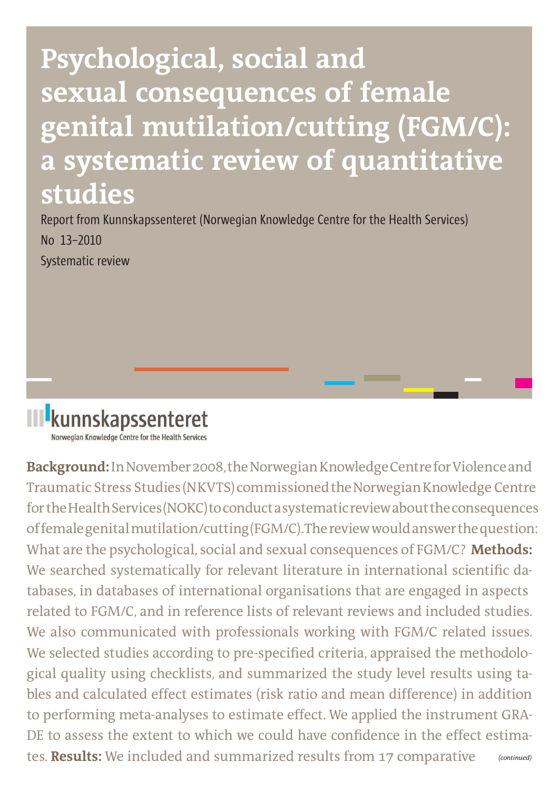# **Psychological, social and sexual consequences of female genital mutilation/cutting (FGM/C): a systematic review of quantitative studies**

Report from Kunnskapssenteret (Norwegian Knowledge Centre for the Health Services) No 13–2010 Systematic review



**Background:** In November 2008, the Norwegian Knowledge Centre for Violence and Traumatic Stress Studies (NKVTS) commissioned the Norwegian Knowledge Centre for the Health Services (NOKC) to conduct a systematic review about the consequences of female genital mutilation/cutting (FGM/C). The review would answer the question: What are the psychological, social and sexual consequences of FGM/C? **Methods:**  We searched systematically for relevant literature in international scientific databases, in databases of international organisations that are engaged in aspects related to FGM/C, and in reference lists of relevant reviews and included studies. We also communicated with professionals working with FGM/C related issues. We selected studies according to pre-specified criteria, appraised the methodological quality using checklists, and summarized the study level results using tables and calculated effect estimates (risk ratio and mean difference) in addition to performing meta-analyses to estimate effect. We applied the instrument GRA-DE to assess the extent to which we could have confidence in the effect estimates. **Results:** We included and summarized results from 17 comparative  *(continued)*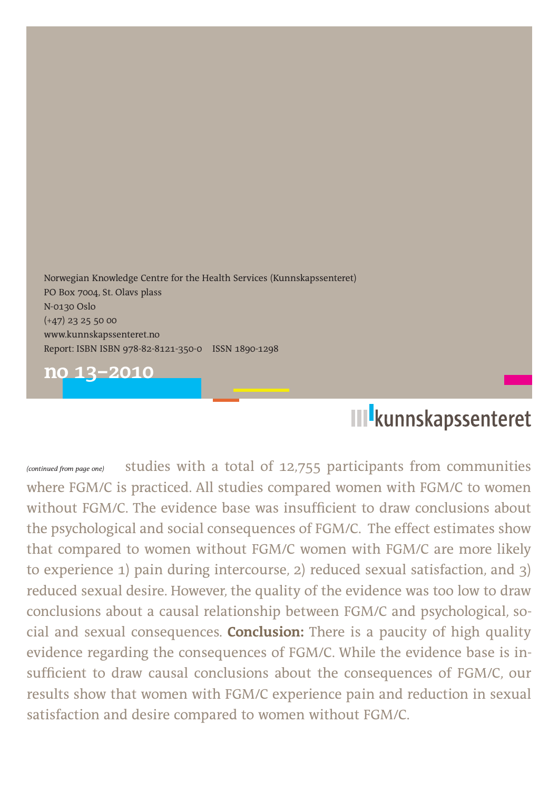Norwegian Knowledge Centre for the Health Services (Kunnskapssenteret) PO Box 7004, St. Olavs plass N-0130 Oslo (+47) 23 25 50 00 www.kunnskapssenteret.no Report: ISBN ISBN 978-82-8121-350-0 ISSN 1890-1298

**no 13–2010**

# **III** kunnskapssenteret

studies with a total of 12,755 participants from communities where FGM/C is practiced. All studies compared women with FGM/C to women without FGM/C. The evidence base was insufficient to draw conclusions about the psychological and social consequences of FGM/C. The effect estimates show that compared to women without FGM/C women with FGM/C are more likely to experience 1) pain during intercourse, 2) reduced sexual satisfaction, and 3) reduced sexual desire. However, the quality of the evidence was too low to draw conclusions about a causal relationship between FGM/C and psychological, social and sexual consequences. **Conclusion:** There is a paucity of high quality evidence regarding the consequences of FGM/C. While the evidence base is insufficient to draw causal conclusions about the consequences of FGM/C, our results show that women with FGM/C experience pain and reduction in sexual satisfaction and desire compared to women without FGM/C. *(continued from page one)*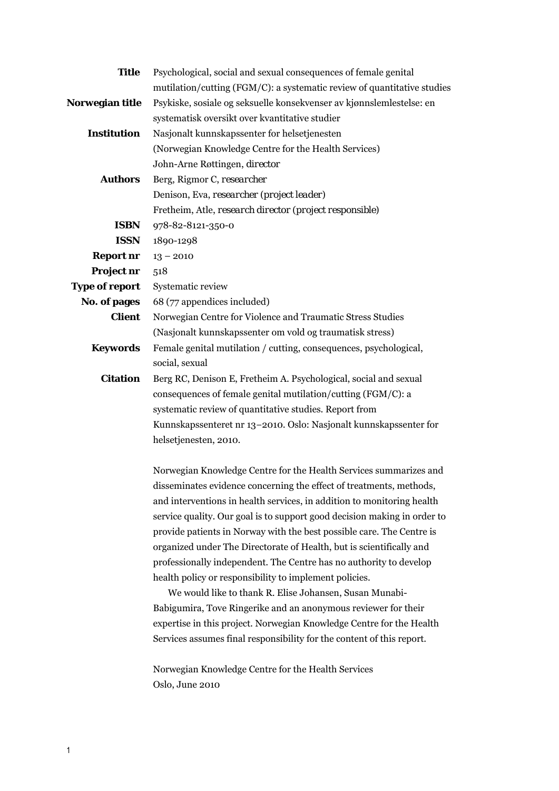| <b>Title</b>          | Psychological, social and sexual consequences of female genital                     |
|-----------------------|-------------------------------------------------------------------------------------|
|                       | mutilation/cutting (FGM/C): a systematic review of quantitative studies             |
| Norwegian title       | Psykiske, sosiale og seksuelle konsekvenser av kjønnslemlestelse: en                |
|                       | systematisk oversikt over kvantitative studier                                      |
| <b>Institution</b>    | Nasjonalt kunnskapssenter for helsetjenesten                                        |
|                       | (Norwegian Knowledge Centre for the Health Services)                                |
|                       | John-Arne Røttingen, director                                                       |
| <b>Authors</b>        | Berg, Rigmor C, researcher                                                          |
|                       | Denison, Eva, researcher (project leader)                                           |
|                       | Fretheim, Atle, research director (project responsible)                             |
| <b>ISBN</b>           | 978-82-8121-350-0                                                                   |
| <b>ISSN</b>           | 1890-1298                                                                           |
| <b>Report nr</b>      | $13 - 2010$                                                                         |
| Project nr            | 518                                                                                 |
| <b>Type of report</b> | Systematic review                                                                   |
| No. of pages          | 68 (77 appendices included)                                                         |
| <b>Client</b>         | Norwegian Centre for Violence and Traumatic Stress Studies                          |
|                       | (Nasjonalt kunnskapssenter om vold og traumatisk stress)                            |
| <b>Keywords</b>       | Female genital mutilation / cutting, consequences, psychological,<br>social, sexual |
| <b>Citation</b>       | Berg RC, Denison E, Fretheim A. Psychological, social and sexual                    |
|                       | consequences of female genital mutilation/cutting (FGM/C): a                        |
|                       | systematic review of quantitative studies. Report from                              |
|                       | Kunnskapssenteret nr 13-2010. Oslo: Nasjonalt kunnskapssenter for                   |
|                       | helsetjenesten, 2010.                                                               |
|                       | Norwegian Knowledge Centre for the Health Services summarizes and                   |
|                       | disseminates evidence concerning the effect of treatments, methods,                 |
|                       | and interventions in health services, in addition to monitoring health              |
|                       | service quality. Our goal is to support good decision making in order to            |
|                       | provide patients in Norway with the best possible care. The Centre is               |
|                       | organized under The Directorate of Health, but is scientifically and                |
|                       | professionally independent. The Centre has no authority to develop                  |
|                       | health policy or responsibility to implement policies.                              |
|                       | We would like to thank R. Elise Johansen, Susan Munabi-                             |
|                       | Babigumira, Tove Ringerike and an anonymous reviewer for their                      |
|                       | expertise in this project. Norwegian Knowledge Centre for the Health                |
|                       | Services assumes final responsibility for the content of this report.               |
|                       | Norwegian Knowledge Centre for the Health Services                                  |
|                       | Oslo, June 2010                                                                     |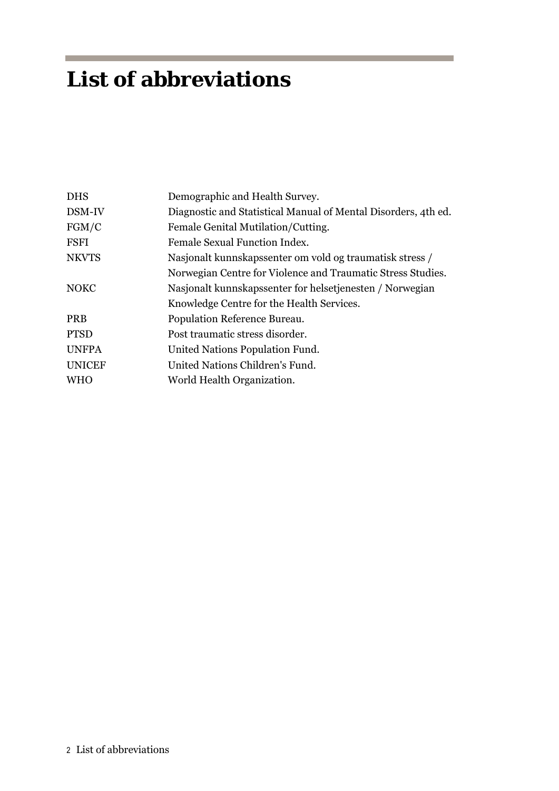# **List of abbreviations**

| <b>DHS</b>    | Demographic and Health Survey.                                 |
|---------------|----------------------------------------------------------------|
| DSM-IV        | Diagnostic and Statistical Manual of Mental Disorders, 4th ed. |
| FGM/C         | Female Genital Mutilation/Cutting.                             |
| <b>FSFI</b>   | Female Sexual Function Index.                                  |
| <b>NKVTS</b>  | Nasjonalt kunnskapssenter om vold og traumatisk stress /       |
|               | Norwegian Centre for Violence and Traumatic Stress Studies.    |
| <b>NOKC</b>   | Nasjonalt kunnskapssenter for helsetjenesten / Norwegian       |
|               | Knowledge Centre for the Health Services.                      |
| <b>PRB</b>    | Population Reference Bureau.                                   |
| <b>PTSD</b>   | Post traumatic stress disorder.                                |
| <b>UNFPA</b>  | United Nations Population Fund.                                |
| <b>UNICEF</b> | United Nations Children's Fund.                                |
| <b>WHO</b>    | World Health Organization.                                     |
|               |                                                                |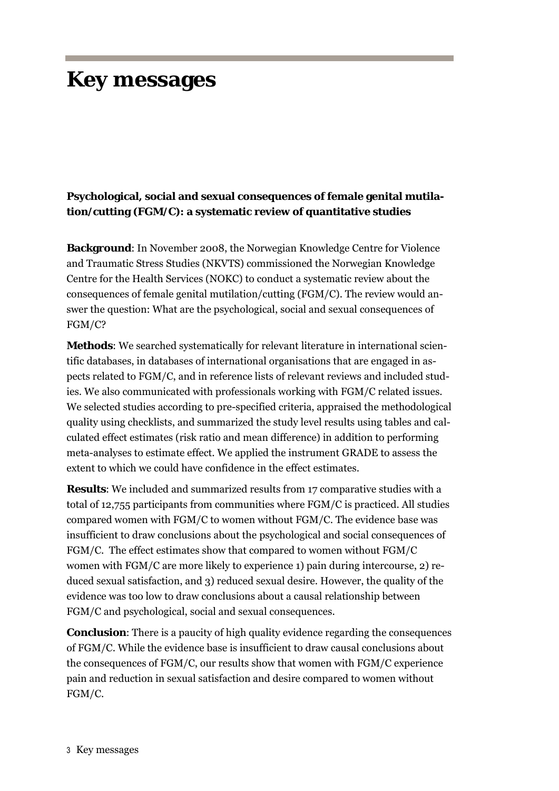### **Key messages**

**Psychological, social and sexual consequences of female genital mutilation/cutting (FGM/C): a systematic review of quantitative studies** 

**Background**: In November 2008, the Norwegian Knowledge Centre for Violence and Traumatic Stress Studies (NKVTS) commissioned the Norwegian Knowledge Centre for the Health Services (NOKC) to conduct a systematic review about the consequences of female genital mutilation/cutting (FGM/C). The review would answer the question: What are the psychological, social and sexual consequences of FGM/C?

**Methods**: We searched systematically for relevant literature in international scientific databases, in databases of international organisations that are engaged in aspects related to FGM/C, and in reference lists of relevant reviews and included studies. We also communicated with professionals working with FGM/C related issues. We selected studies according to pre-specified criteria, appraised the methodological quality using checklists, and summarized the study level results using tables and calculated effect estimates (risk ratio and mean difference) in addition to performing meta-analyses to estimate effect. We applied the instrument GRADE to assess the extent to which we could have confidence in the effect estimates.

**Results**: We included and summarized results from 17 comparative studies with a total of 12,755 participants from communities where FGM/C is practiced. All studies compared women with FGM/C to women without FGM/C. The evidence base was insufficient to draw conclusions about the psychological and social consequences of FGM/C. The effect estimates show that compared to women without FGM/C women with FGM/C are more likely to experience 1) pain during intercourse, 2) reduced sexual satisfaction, and 3) reduced sexual desire. However, the quality of the evidence was too low to draw conclusions about a causal relationship between FGM/C and psychological, social and sexual consequences.

**Conclusion**: There is a paucity of high quality evidence regarding the consequences of FGM/C. While the evidence base is insufficient to draw causal conclusions about the consequences of FGM/C, our results show that women with FGM/C experience pain and reduction in sexual satisfaction and desire compared to women without FGM/C.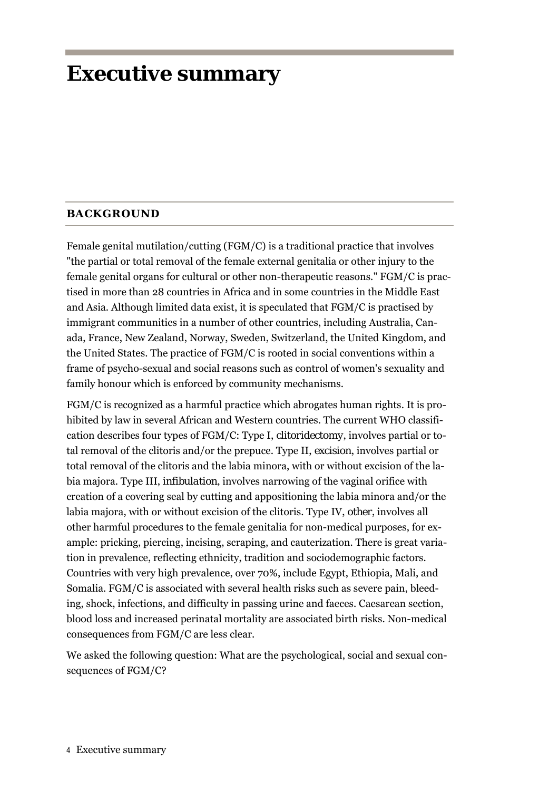### **Executive summary**

#### **BACKGROUND**

Female genital mutilation/cutting (FGM/C) is a traditional practice that involves "the partial or total removal of the female external genitalia or other injury to the female genital organs for cultural or other non-therapeutic reasons." FGM/C is practised in more than 28 countries in Africa and in some countries in the Middle East and Asia. Although limited data exist, it is speculated that FGM/C is practised by immigrant communities in a number of other countries, including Australia, Canada, France, New Zealand, Norway, Sweden, Switzerland, the United Kingdom, and the United States. The practice of FGM/C is rooted in social conventions within a frame of psycho-sexual and social reasons such as control of women's sexuality and family honour which is enforced by community mechanisms.

FGM/C is recognized as a harmful practice which abrogates human rights. It is prohibited by law in several African and Western countries. The current WHO classification describes four types of FGM/C: Type I, *clitoridectomy*, involves partial or total removal of the clitoris and/or the prepuce. Type II, *excision*, involves partial or total removal of the clitoris and the labia minora, with or without excision of the labia majora. Type III, *infibulation*, involves narrowing of the vaginal orifice with creation of a covering seal by cutting and appositioning the labia minora and/or the labia majora, with or without excision of the clitoris. Type IV, *other*, involves all other harmful procedures to the female genitalia for non-medical purposes, for example: pricking, piercing, incising, scraping, and cauterization. There is great variation in prevalence, reflecting ethnicity, tradition and sociodemographic factors. Countries with very high prevalence, over 70%, include Egypt, Ethiopia, Mali, and Somalia. FGM/C is associated with several health risks such as severe pain, bleeding, shock, infections, and difficulty in passing urine and faeces. Caesarean section, blood loss and increased perinatal mortality are associated birth risks. Non-medical consequences from FGM/C are less clear.

We asked the following question: What are the psychological, social and sexual consequences of FGM/C?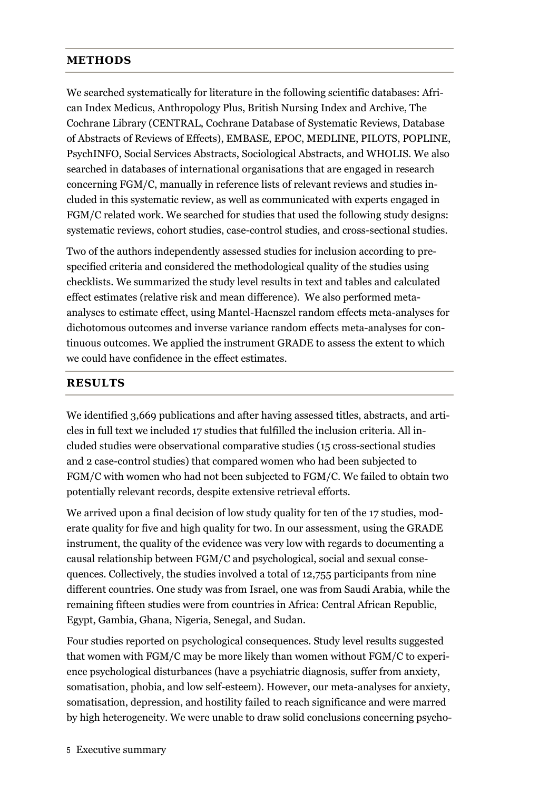#### **METHODS**

We searched systematically for literature in the following scientific databases: African Index Medicus, Anthropology Plus, British Nursing Index and Archive, The Cochrane Library (CENTRAL, Cochrane Database of Systematic Reviews, Database of Abstracts of Reviews of Effects), EMBASE, EPOC, MEDLINE, PILOTS, POPLINE, PsychINFO, Social Services Abstracts, Sociological Abstracts, and WHOLIS. We also searched in databases of international organisations that are engaged in research concerning FGM/C, manually in reference lists of relevant reviews and studies included in this systematic review, as well as communicated with experts engaged in FGM/C related work. We searched for studies that used the following study designs: systematic reviews, cohort studies, case-control studies, and cross-sectional studies.

Two of the authors independently assessed studies for inclusion according to prespecified criteria and considered the methodological quality of the studies using checklists. We summarized the study level results in text and tables and calculated effect estimates (relative risk and mean difference). We also performed metaanalyses to estimate effect, using Mantel-Haenszel random effects meta-analyses for dichotomous outcomes and inverse variance random effects meta-analyses for continuous outcomes. We applied the instrument GRADE to assess the extent to which we could have confidence in the effect estimates.

#### **RESULTS**

We identified 3,669 publications and after having assessed titles, abstracts, and articles in full text we included 17 studies that fulfilled the inclusion criteria. All included studies were observational comparative studies (15 cross-sectional studies and 2 case-control studies) that compared women who had been subjected to FGM/C with women who had not been subjected to FGM/C. We failed to obtain two potentially relevant records, despite extensive retrieval efforts.

We arrived upon a final decision of low study quality for ten of the 17 studies, moderate quality for five and high quality for two. In our assessment, using the GRADE instrument, the quality of the evidence was very low with regards to documenting a causal relationship between FGM/C and psychological, social and sexual consequences. Collectively, the studies involved a total of 12,755 participants from nine different countries. One study was from Israel, one was from Saudi Arabia, while the remaining fifteen studies were from countries in Africa: Central African Republic, Egypt, Gambia, Ghana, Nigeria, Senegal, and Sudan.

Four studies reported on psychological consequences. Study level results suggested that women with FGM/C may be more likely than women without FGM/C to experience psychological disturbances (have a psychiatric diagnosis, suffer from anxiety, somatisation, phobia, and low self-esteem). However, our meta-analyses for anxiety, somatisation, depression, and hostility failed to reach significance and were marred by high heterogeneity. We were unable to draw solid conclusions concerning psycho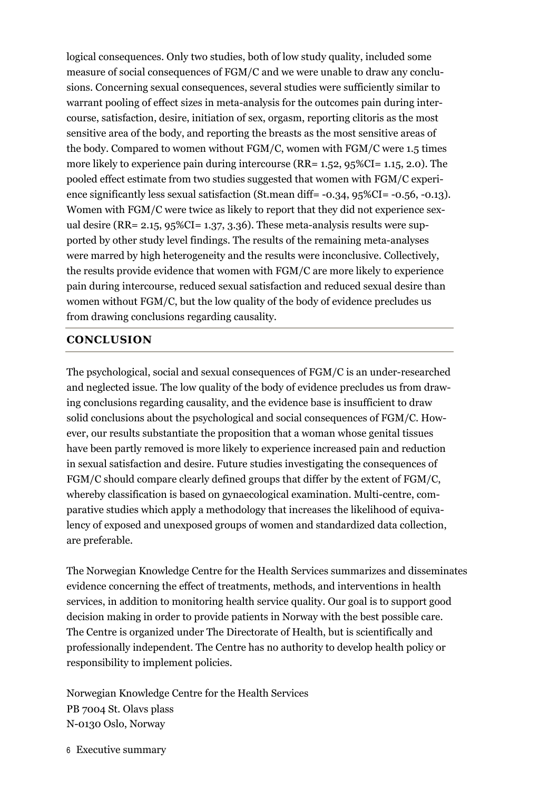logical consequences. Only two studies, both of low study quality, included some measure of social consequences of FGM/C and we were unable to draw any conclusions. Concerning sexual consequences, several studies were sufficiently similar to warrant pooling of effect sizes in meta-analysis for the outcomes pain during intercourse, satisfaction, desire, initiation of sex, orgasm, reporting clitoris as the most sensitive area of the body, and reporting the breasts as the most sensitive areas of the body. Compared to women without FGM/C, women with FGM/C were 1.5 times more likely to experience pain during intercourse (RR= 1.52, 95%CI= 1.15, 2.0). The pooled effect estimate from two studies suggested that women with FGM/C experience significantly less sexual satisfaction (St.mean diff= -0.34, 95%CI= -0.56, -0.13). Women with FGM/C were twice as likely to report that they did not experience sexual desire (RR= 2.15, 95%CI= 1.37, 3.36). These meta-analysis results were supported by other study level findings. The results of the remaining meta-analyses were marred by high heterogeneity and the results were inconclusive. Collectively, the results provide evidence that women with FGM/C are more likely to experience pain during intercourse, reduced sexual satisfaction and reduced sexual desire than women without FGM/C, but the low quality of the body of evidence precludes us from drawing conclusions regarding causality.

#### **CONCLUSION**

The psychological, social and sexual consequences of FGM/C is an under-researched and neglected issue. The low quality of the body of evidence precludes us from drawing conclusions regarding causality, and the evidence base is insufficient to draw solid conclusions about the psychological and social consequences of FGM/C. However, our results substantiate the proposition that a woman whose genital tissues have been partly removed is more likely to experience increased pain and reduction in sexual satisfaction and desire. Future studies investigating the consequences of FGM/C should compare clearly defined groups that differ by the extent of FGM/C, whereby classification is based on gynaecological examination. Multi-centre, comparative studies which apply a methodology that increases the likelihood of equivalency of exposed and unexposed groups of women and standardized data collection, are preferable.

The Norwegian Knowledge Centre for the Health Services summarizes and disseminates evidence concerning the effect of treatments, methods, and interventions in health services, in addition to monitoring health service quality. Our goal is to support good decision making in order to provide patients in Norway with the best possible care. The Centre is organized under The Directorate of Health, but is scientifically and professionally independent. The Centre has no authority to develop health policy or responsibility to implement policies.

Norwegian Knowledge Centre for the Health Services PB 7004 St. Olavs plass N-0130 Oslo, Norway

6 Executive summary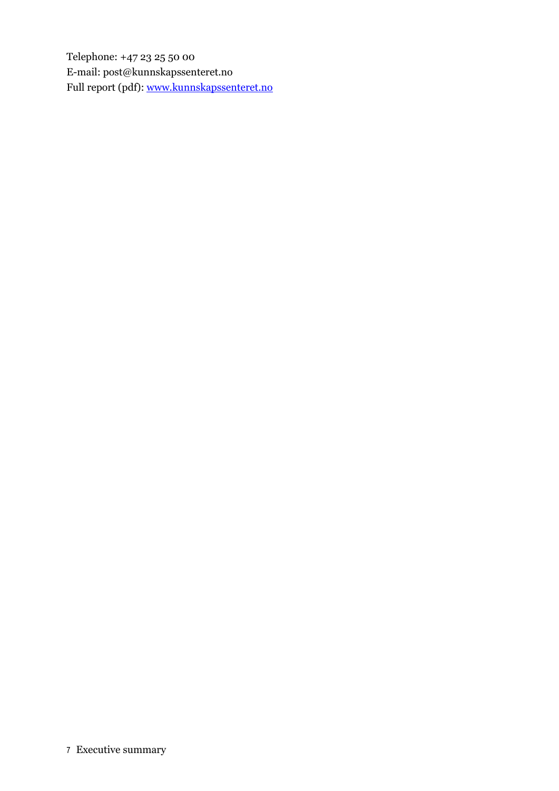Telephone: +47 23 25 50 00 E-mail: post@kunnskapssenteret.no Full report (pdf): www.kunnskapssenteret.no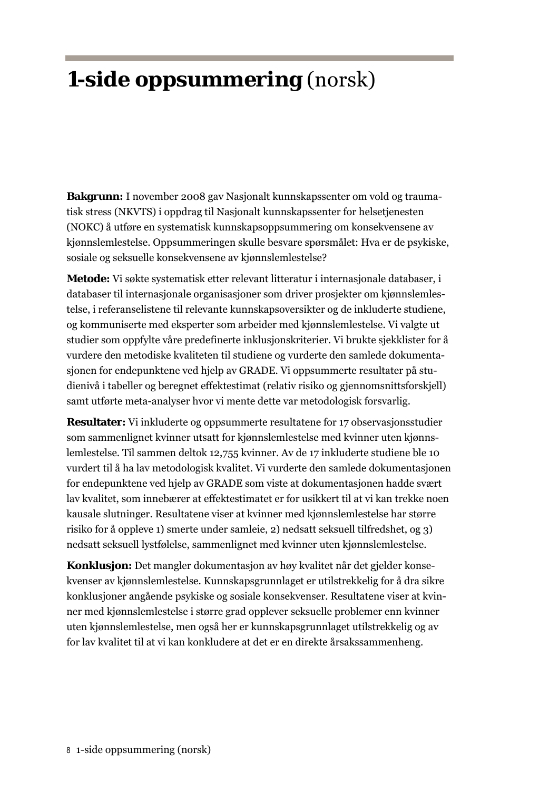# **1-side oppsummering** (norsk)

**Bakgrunn:** I november 2008 gav Nasjonalt kunnskapssenter om vold og traumatisk stress (NKVTS) i oppdrag til Nasjonalt kunnskapssenter for helsetjenesten (NOKC) å utføre en systematisk kunnskapsoppsummering om konsekvensene av kjønnslemlestelse. Oppsummeringen skulle besvare spørsmålet: Hva er de psykiske, sosiale og seksuelle konsekvensene av kjønnslemlestelse?

**Metode:** Vi søkte systematisk etter relevant litteratur i internasjonale databaser, i databaser til internasjonale organisasjoner som driver prosjekter om kjønnslemlestelse, i referanselistene til relevante kunnskapsoversikter og de inkluderte studiene, og kommuniserte med eksperter som arbeider med kjønnslemlestelse. Vi valgte ut studier som oppfylte våre predefinerte inklusjonskriterier. Vi brukte sjekklister for å vurdere den metodiske kvaliteten til studiene og vurderte den samlede dokumentasjonen for endepunktene ved hjelp av GRADE. Vi oppsummerte resultater på studienivå i tabeller og beregnet effektestimat (relativ risiko og gjennomsnittsforskjell) samt utførte meta-analyser hvor vi mente dette var metodologisk forsvarlig.

**Resultater:** Vi inkluderte og oppsummerte resultatene for 17 observasjonsstudier som sammenlignet kvinner utsatt for kjønnslemlestelse med kvinner uten kjønnslemlestelse. Til sammen deltok 12,755 kvinner. Av de 17 inkluderte studiene ble 10 vurdert til å ha lav metodologisk kvalitet. Vi vurderte den samlede dokumentasjonen for endepunktene ved hjelp av GRADE som viste at dokumentasjonen hadde svært lav kvalitet, som innebærer at effektestimatet er for usikkert til at vi kan trekke noen kausale slutninger. Resultatene viser at kvinner med kjønnslemlestelse har større risiko for å oppleve 1) smerte under samleie, 2) nedsatt seksuell tilfredshet, og 3) nedsatt seksuell lystfølelse, sammenlignet med kvinner uten kjønnslemlestelse.

**Konklusjon:** Det mangler dokumentasjon av høy kvalitet når det gjelder konsekvenser av kjønnslemlestelse. Kunnskapsgrunnlaget er utilstrekkelig for å dra sikre konklusjoner angående psykiske og sosiale konsekvenser. Resultatene viser at kvinner med kjønnslemlestelse i større grad opplever seksuelle problemer enn kvinner uten kjønnslemlestelse, men også her er kunnskapsgrunnlaget utilstrekkelig og av for lav kvalitet til at vi kan konkludere at det er en direkte årsakssammenheng.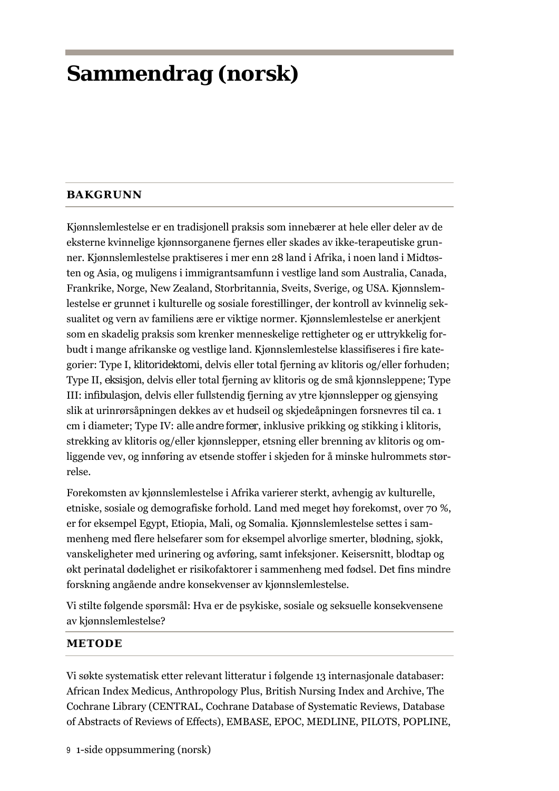## **Sammendrag (norsk)**

#### **BAKGRUNN**

Kjønnslemlestelse er en tradisjonell praksis som innebærer at hele eller deler av de eksterne kvinnelige kjønnsorganene fjernes eller skades av ikke-terapeutiske grunner. Kjønnslemlestelse praktiseres i mer enn 28 land i Afrika, i noen land i Midtøsten og Asia, og muligens i immigrantsamfunn i vestlige land som Australia, Canada, Frankrike, Norge, New Zealand, Storbritannia, Sveits, Sverige, og USA. Kjønnslemlestelse er grunnet i kulturelle og sosiale forestillinger, der kontroll av kvinnelig seksualitet og vern av familiens ære er viktige normer. Kjønnslemlestelse er anerkjent som en skadelig praksis som krenker menneskelige rettigheter og er uttrykkelig forbudt i mange afrikanske og vestlige land. Kjønnslemlestelse klassifiseres i fire kategorier: Type I, *klitoridektomi*, delvis eller total fjerning av klitoris og/eller forhuden; Type II, *eksisjon*, delvis eller total fjerning av klitoris og de små kjønnsleppene; Type III: *infibulasjon*, delvis eller fullstendig fjerning av ytre kjønnslepper og gjensying slik at urinrørsåpningen dekkes av et hudseil og skjedeåpningen forsnevres til ca. 1 cm i diameter; Type IV: *alle andre former*, inklusive prikking og stikking i klitoris, strekking av klitoris og/eller kjønnslepper, etsning eller brenning av klitoris og omliggende vev, og innføring av etsende stoffer i skjeden for å minske hulrommets størrelse.

Forekomsten av kjønnslemlestelse i Afrika varierer sterkt, avhengig av kulturelle, etniske, sosiale og demografiske forhold. Land med meget høy forekomst, over 70 %, er for eksempel Egypt, Etiopia, Mali, og Somalia. Kjønnslemlestelse settes i sammenheng med flere helsefarer som for eksempel alvorlige smerter, blødning, sjokk, vanskeligheter med urinering og avføring, samt infeksjoner. Keisersnitt, blodtap og økt perinatal dødelighet er risikofaktorer i sammenheng med fødsel. Det fins mindre forskning angående andre konsekvenser av kjønnslemlestelse.

Vi stilte følgende spørsmål: Hva er de psykiske, sosiale og seksuelle konsekvensene av kjønnslemlestelse?

#### **METODE**

Vi søkte systematisk etter relevant litteratur i følgende 13 internasjonale databaser: African Index Medicus, Anthropology Plus, British Nursing Index and Archive, The Cochrane Library (CENTRAL, Cochrane Database of Systematic Reviews, Database of Abstracts of Reviews of Effects), EMBASE, EPOC, MEDLINE, PILOTS, POPLINE,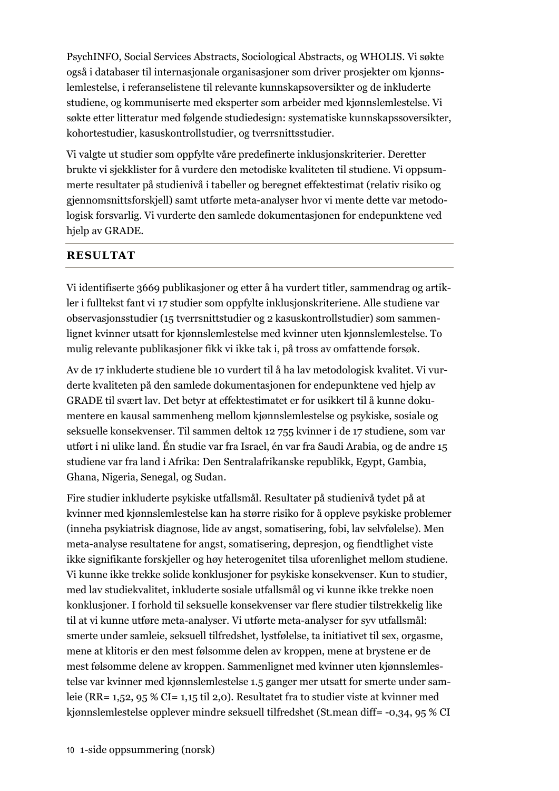PsychINFO, Social Services Abstracts, Sociological Abstracts, og WHOLIS. Vi søkte også i databaser til internasjonale organisasjoner som driver prosjekter om kjønnslemlestelse, i referanselistene til relevante kunnskapsoversikter og de inkluderte studiene, og kommuniserte med eksperter som arbeider med kjønnslemlestelse. Vi søkte etter litteratur med følgende studiedesign: systematiske kunnskapssoversikter, kohortestudier, kasuskontrollstudier, og tverrsnittsstudier.

Vi valgte ut studier som oppfylte våre predefinerte inklusjonskriterier. Deretter brukte vi sjekklister for å vurdere den metodiske kvaliteten til studiene. Vi oppsummerte resultater på studienivå i tabeller og beregnet effektestimat (relativ risiko og gjennomsnittsforskjell) samt utførte meta-analyser hvor vi mente dette var metodologisk forsvarlig. Vi vurderte den samlede dokumentasjonen for endepunktene ved hjelp av GRADE.

#### **RESULTAT**

Vi identifiserte 3669 publikasjoner og etter å ha vurdert titler, sammendrag og artikler i fulltekst fant vi 17 studier som oppfylte inklusjonskriteriene. Alle studiene var observasjonsstudier (15 tverrsnittstudier og 2 kasuskontrollstudier) som sammenlignet kvinner utsatt for kjønnslemlestelse med kvinner uten kjønnslemlestelse. To mulig relevante publikasjoner fikk vi ikke tak i, på tross av omfattende forsøk.

Av de 17 inkluderte studiene ble 10 vurdert til å ha lav metodologisk kvalitet. Vi vurderte kvaliteten på den samlede dokumentasjonen for endepunktene ved hjelp av GRADE til svært lav. Det betyr at effektestimatet er for usikkert til å kunne dokumentere en kausal sammenheng mellom kjønnslemlestelse og psykiske, sosiale og seksuelle konsekvenser. Til sammen deltok 12 755 kvinner i de 17 studiene, som var utført i ni ulike land. Én studie var fra Israel, én var fra Saudi Arabia, og de andre 15 studiene var fra land i Afrika: Den Sentralafrikanske republikk, Egypt, Gambia, Ghana, Nigeria, Senegal, og Sudan.

Fire studier inkluderte psykiske utfallsmål. Resultater på studienivå tydet på at kvinner med kjønnslemlestelse kan ha større risiko for å oppleve psykiske problemer (inneha psykiatrisk diagnose, lide av angst, somatisering, fobi, lav selvfølelse). Men meta-analyse resultatene for angst, somatisering, depresjon, og fiendtlighet viste ikke signifikante forskjeller og høy heterogenitet tilsa uforenlighet mellom studiene. Vi kunne ikke trekke solide konklusjoner for psykiske konsekvenser. Kun to studier, med lav studiekvalitet, inkluderte sosiale utfallsmål og vi kunne ikke trekke noen konklusjoner. I forhold til seksuelle konsekvenser var flere studier tilstrekkelig like til at vi kunne utføre meta-analyser. Vi utførte meta-analyser for syv utfallsmål: smerte under samleie, seksuell tilfredshet, lystfølelse, ta initiativet til sex, orgasme, mene at klitoris er den mest følsomme delen av kroppen, mene at brystene er de mest følsomme delene av kroppen. Sammenlignet med kvinner uten kjønnslemlestelse var kvinner med kjønnslemlestelse 1.5 ganger mer utsatt for smerte under samleie (RR= 1,52, 95 % CI= 1,15 til 2,0). Resultatet fra to studier viste at kvinner med kjønnslemlestelse opplever mindre seksuell tilfredshet (St.mean diff= -0,34, 95 % CI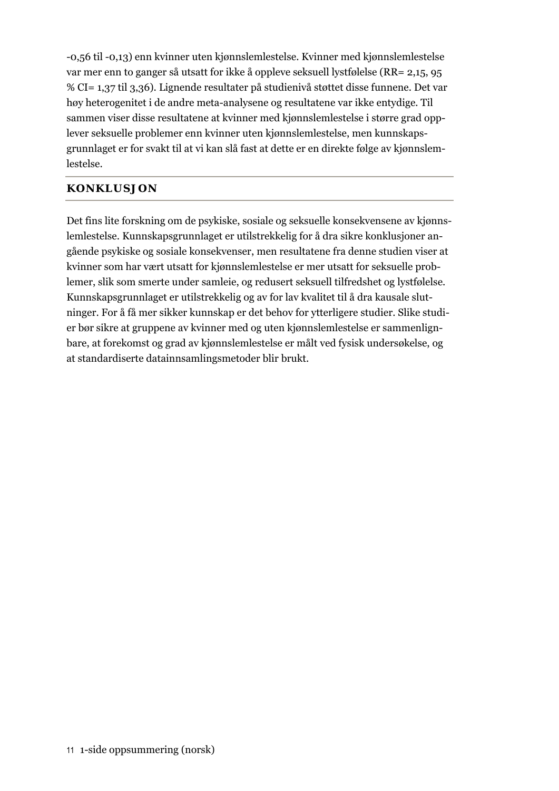-0,56 til -0,13) enn kvinner uten kjønnslemlestelse. Kvinner med kjønnslemlestelse var mer enn to ganger så utsatt for ikke å oppleve seksuell lystfølelse (RR= 2,15, 95 % CI= 1,37 til 3,36). Lignende resultater på studienivå støttet disse funnene. Det var høy heterogenitet i de andre meta-analysene og resultatene var ikke entydige. Til sammen viser disse resultatene at kvinner med kjønnslemlestelse i større grad opplever seksuelle problemer enn kvinner uten kjønnslemlestelse, men kunnskapsgrunnlaget er for svakt til at vi kan slå fast at dette er en direkte følge av kjønnslemlestelse.

#### **KONKLUSJON**

Det fins lite forskning om de psykiske, sosiale og seksuelle konsekvensene av kjønnslemlestelse. Kunnskapsgrunnlaget er utilstrekkelig for å dra sikre konklusjoner angående psykiske og sosiale konsekvenser, men resultatene fra denne studien viser at kvinner som har vært utsatt for kjønnslemlestelse er mer utsatt for seksuelle problemer, slik som smerte under samleie, og redusert seksuell tilfredshet og lystfølelse. Kunnskapsgrunnlaget er utilstrekkelig og av for lav kvalitet til å dra kausale slutninger. For å få mer sikker kunnskap er det behov for ytterligere studier. Slike studier bør sikre at gruppene av kvinner med og uten kjønnslemlestelse er sammenlignbare, at forekomst og grad av kjønnslemlestelse er målt ved fysisk undersøkelse, og at standardiserte datainnsamlingsmetoder blir brukt.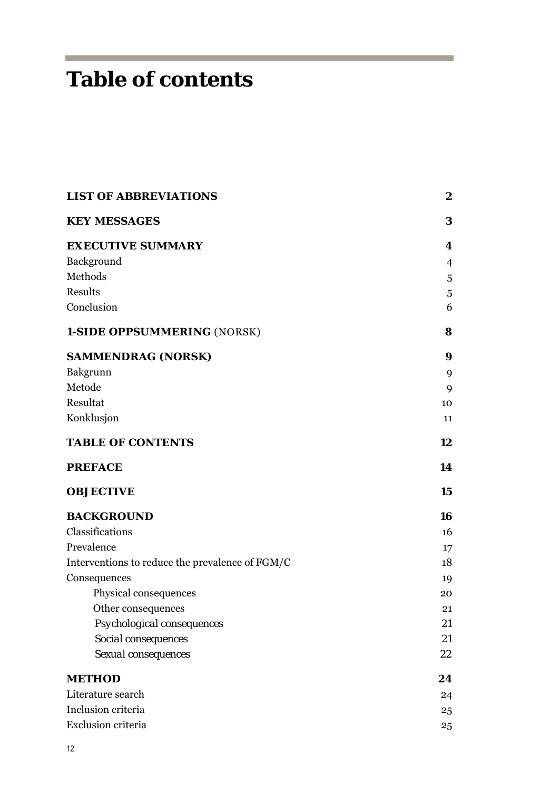# **Table of contents**

| <b>LIST OF ABBREVIATIONS</b>                    | $\boldsymbol{2}$ |
|-------------------------------------------------|------------------|
| <b>KEY MESSAGES</b>                             | 3                |
| <b>EXECUTIVE SUMMARY</b>                        | 4                |
| Background                                      | 4                |
| Methods                                         | 5                |
| Results                                         | 5                |
| Conclusion                                      | 6                |
| <b>1-SIDE OPPSUMMERING (NORSK)</b>              | 8                |
| <b>SAMMENDRAG (NORSK)</b>                       | $\boldsymbol{9}$ |
| Bakgrunn                                        | 9                |
| Metode                                          | 9                |
| Resultat                                        | 10               |
| Konklusjon                                      | 11               |
| <b>TABLE OF CONTENTS</b>                        | 12               |
| <b>PREFACE</b>                                  | 14               |
| <b>OBJECTIVE</b>                                | 15               |
| <b>BACKGROUND</b>                               | 16               |
| Classifications                                 | 16               |
| Prevalence                                      | 17               |
| Interventions to reduce the prevalence of FGM/C | 18               |
| Consequences                                    | 19               |
| Physical consequences                           | 20               |
| Other consequences                              | 21               |
| Psychological consequences                      | 21               |
| Social consequences                             | 21               |
| Sexual consequences                             | 22               |
| <b>METHOD</b>                                   | 24               |
| Literature search                               | 24               |
| Inclusion criteria                              | 25               |
| Exclusion criteria                              | 25               |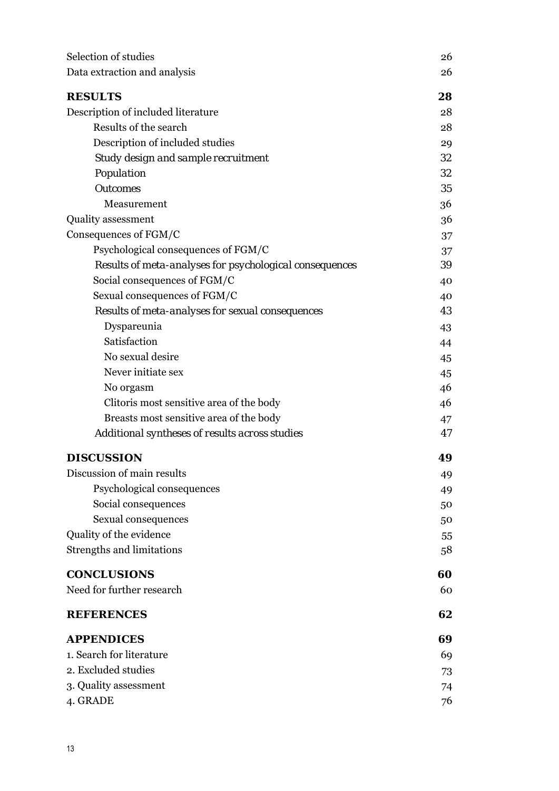| Selection of studies                                    | 26 |
|---------------------------------------------------------|----|
| Data extraction and analysis                            | 26 |
| <b>RESULTS</b>                                          | 28 |
| Description of included literature                      | 28 |
| Results of the search                                   | 28 |
| Description of included studies                         | 29 |
| Study design and sample recruitment                     | 32 |
| Population                                              | 32 |
| <b>Outcomes</b>                                         | 35 |
| Measurement                                             | 36 |
| <b>Quality assessment</b>                               | 36 |
| Consequences of FGM/C                                   | 37 |
| Psychological consequences of FGM/C                     | 37 |
| Results of meta-analyses for psychological consequences | 39 |
| Social consequences of FGM/C                            | 40 |
| Sexual consequences of FGM/C                            | 40 |
| Results of meta-analyses for sexual consequences        | 43 |
| Dyspareunia                                             | 43 |
| Satisfaction                                            | 44 |
| No sexual desire                                        | 45 |
| Never initiate sex                                      | 45 |
| No orgasm                                               | 46 |
| Clitoris most sensitive area of the body                | 46 |
| Breasts most sensitive area of the body                 | 47 |
| Additional syntheses of results across studies          | 47 |
| <b>DISCUSSION</b>                                       | 49 |
| Discussion of main results                              | 49 |
| Psychological consequences                              | 49 |
| Social consequences                                     | 50 |
| Sexual consequences                                     | 50 |
| Quality of the evidence                                 | 55 |
| <b>Strengths and limitations</b>                        | 58 |
| <b>CONCLUSIONS</b>                                      | 60 |
| Need for further research                               | 60 |
| <b>REFERENCES</b>                                       | 62 |
| <b>APPENDICES</b>                                       | 69 |
| 1. Search for literature                                | 69 |
| 2. Excluded studies                                     | 73 |
| 3. Quality assessment                                   | 74 |
| 4. GRADE                                                | 76 |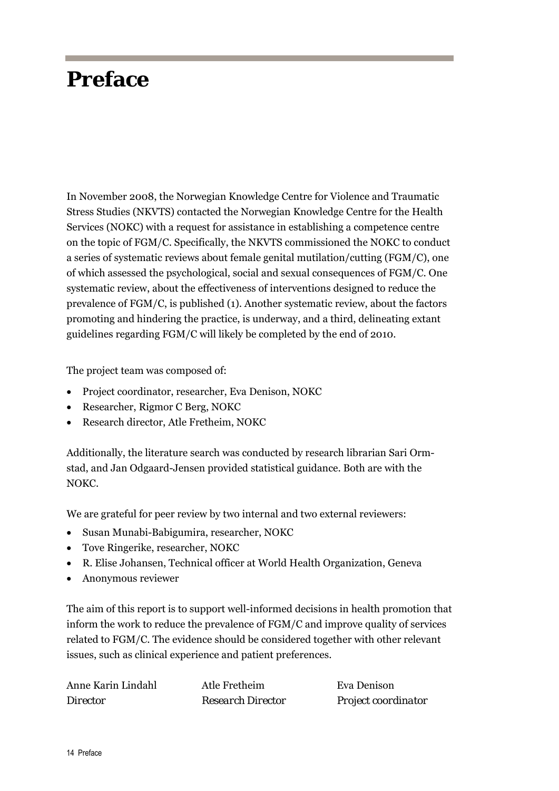### **Preface**

In November 2008, the Norwegian Knowledge Centre for Violence and Traumatic Stress Studies (NKVTS) contacted the Norwegian Knowledge Centre for the Health Services (NOKC) with a request for assistance in establishing a competence centre on the topic of FGM/C. Specifically, the NKVTS commissioned the NOKC to conduct a series of systematic reviews about female genital mutilation/cutting (FGM/C), one of which assessed the psychological, social and sexual consequences of FGM/C. One systematic review, about the effectiveness of interventions designed to reduce the prevalence of FGM/C, is published (1). Another systematic review, about the factors promoting and hindering the practice, is underway, and a third, delineating extant guidelines regarding FGM/C will likely be completed by the end of 2010.

The project team was composed of:

- Project coordinator, researcher, Eva Denison, NOKC
- Researcher, Rigmor C Berg, NOKC
- Research director, Atle Fretheim, NOKC

Additionally, the literature search was conducted by research librarian Sari Ormstad, and Jan Odgaard-Jensen provided statistical guidance. Both are with the NOKC.

We are grateful for peer review by two internal and two external reviewers:

- Susan Munabi-Babigumira, researcher, NOKC
- Tove Ringerike, researcher, NOKC
- R. Elise Johansen, Technical officer at World Health Organization, Geneva
- Anonymous reviewer

The aim of this report is to support well-informed decisions in health promotion that inform the work to reduce the prevalence of FGM/C and improve quality of services related to FGM/C. The evidence should be considered together with other relevant issues, such as clinical experience and patient preferences.

| Anne Karin Lindahl | Atle Fretheim            | Eva Denison         |
|--------------------|--------------------------|---------------------|
| <i>Director</i>    | <b>Research Director</b> | Project coordinator |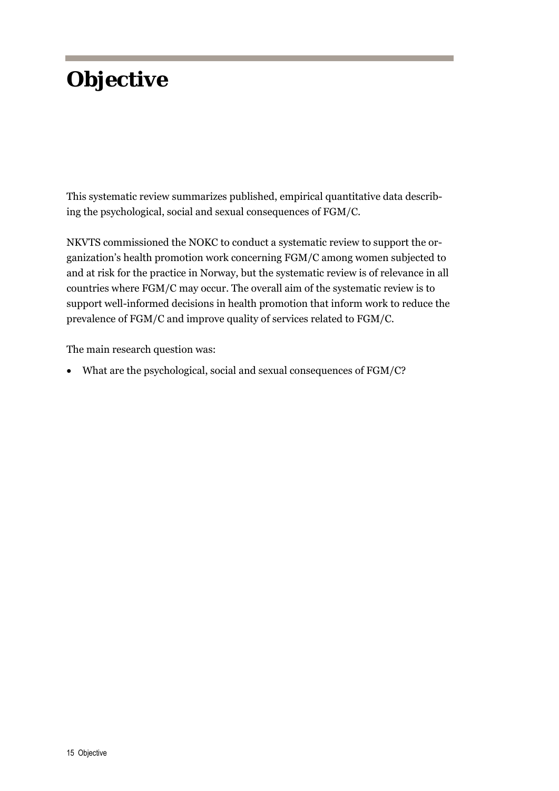# **Objective**

This systematic review summarizes published, empirical quantitative data describing the psychological, social and sexual consequences of FGM/C.

NKVTS commissioned the NOKC to conduct a systematic review to support the organization's health promotion work concerning FGM/C among women subjected to and at risk for the practice in Norway, but the systematic review is of relevance in all countries where FGM/C may occur. The overall aim of the systematic review is to support well-informed decisions in health promotion that inform work to reduce the prevalence of FGM/C and improve quality of services related to FGM/C.

The main research question was:

• What are the psychological, social and sexual consequences of FGM/C?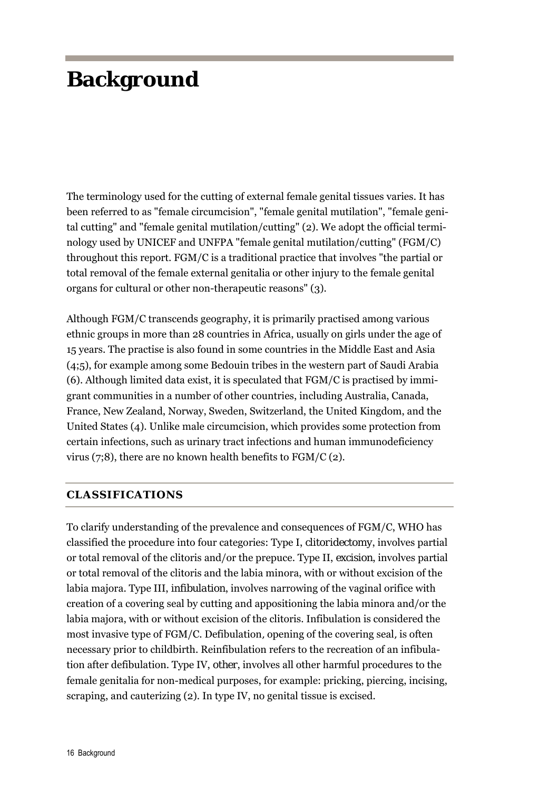### **Background**

The terminology used for the cutting of external female genital tissues varies. It has been referred to as "female circumcision", "female genital mutilation", "female genital cutting" and "female genital mutilation/cutting" (2). We adopt the official terminology used by UNICEF and UNFPA "female genital mutilation/cutting" (FGM/C) throughout this report. FGM/C is a traditional practice that involves "the partial or total removal of the female external genitalia or other injury to the female genital organs for cultural or other non-therapeutic reasons" (3).

Although FGM/C transcends geography, it is primarily practised among various ethnic groups in more than 28 countries in Africa, usually on girls under the age of 15 years. The practise is also found in some countries in the Middle East and Asia (4;5), for example among some Bedouin tribes in the western part of Saudi Arabia (6). Although limited data exist, it is speculated that FGM/C is practised by immigrant communities in a number of other countries, including Australia, Canada, France, New Zealand, Norway, Sweden, Switzerland, the United Kingdom, and the United States (4). Unlike male circumcision, which provides some protection from certain infections, such as urinary tract infections and human immunodeficiency virus (7;8), there are no known health benefits to FGM/C (2).

#### **CLASSIFICATIONS**

To clarify understanding of the prevalence and consequences of FGM/C, WHO has classified the procedure into four categories: Type I, *clitoridectomy*, involves partial or total removal of the clitoris and/or the prepuce. Type II, *excision*, involves partial or total removal of the clitoris and the labia minora, with or without excision of the labia majora. Type III, *infibulation*, involves narrowing of the vaginal orifice with creation of a covering seal by cutting and appositioning the labia minora and/or the labia majora, with or without excision of the clitoris. Infibulation is considered the most invasive type of FGM/C. Defibulation*,* opening of the covering seal*,* is often necessary prior to childbirth. Reinfibulation refers to the recreation of an infibulation after defibulation. Type IV, *other*, involves all other harmful procedures to the female genitalia for non-medical purposes, for example: pricking, piercing, incising, scraping, and cauterizing (2). In type IV, no genital tissue is excised.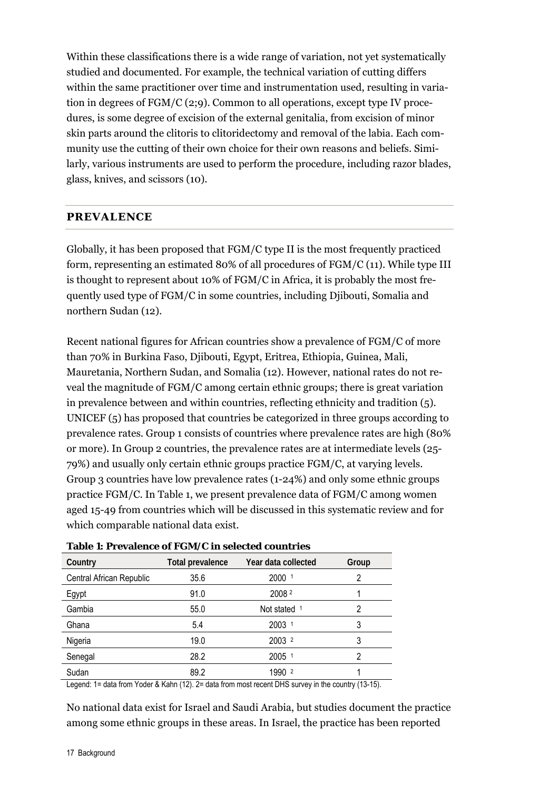Within these classifications there is a wide range of variation, not yet systematically studied and documented. For example, the technical variation of cutting differs within the same practitioner over time and instrumentation used, resulting in variation in degrees of FGM/C (2;9). Common to all operations, except type IV procedures, is some degree of excision of the external genitalia, from excision of minor skin parts around the clitoris to clitoridectomy and removal of the labia. Each community use the cutting of their own choice for their own reasons and beliefs. Similarly, various instruments are used to perform the procedure, including razor blades, glass, knives, and scissors (10).

#### **PREVALENCE**

Globally, it has been proposed that FGM/C type II is the most frequently practiced form, representing an estimated 80% of all procedures of FGM/C (11). While type III is thought to represent about 10% of FGM/C in Africa, it is probably the most frequently used type of FGM/C in some countries, including Djibouti, Somalia and northern Sudan (12).

Recent national figures for African countries show a prevalence of FGM/C of more than 70% in Burkina Faso, Djibouti, Egypt, Eritrea, Ethiopia, Guinea, Mali, Mauretania, Northern Sudan, and Somalia (12). However, national rates do not reveal the magnitude of FGM/C among certain ethnic groups; there is great variation in prevalence between and within countries, reflecting ethnicity and tradition (5). UNICEF (5) has proposed that countries be categorized in three groups according to prevalence rates. Group 1 consists of countries where prevalence rates are high (80% or more). In Group 2 countries, the prevalence rates are at intermediate levels (25- 79%) and usually only certain ethnic groups practice FGM/C, at varying levels. Group 3 countries have low prevalence rates (1-24%) and only some ethnic groups practice FGM/C. In Table 1, we present prevalence data of FGM/C among women aged 15-49 from countries which will be discussed in this systematic review and for which comparable national data exist.

| Country                  | <b>Total prevalence</b> | Year data collected | Group |
|--------------------------|-------------------------|---------------------|-------|
| Central African Republic | 35.6                    | 2000 1              | 2     |
| Egypt                    | 91.0                    | 2008 2              |       |
| Gambia                   | 55.0                    | Not stated $1$      | 2     |
| Ghana                    | 5.4                     | 2003                | 3     |
| Nigeria                  | 19.0                    | 2003 2              | 3     |
| Senegal                  | 28.2                    | 2005                | 2     |
| Sudan                    | 89.2                    | 1990 2              |       |

|  |  | Table 1: Prevalence of FGM/C in selected countries |
|--|--|----------------------------------------------------|
|--|--|----------------------------------------------------|

Legend: 1= data from Yoder & Kahn (12). 2= data from most recent DHS survey in the country (13-15).

No national data exist for Israel and Saudi Arabia, but studies document the practice among some ethnic groups in these areas. In Israel, the practice has been reported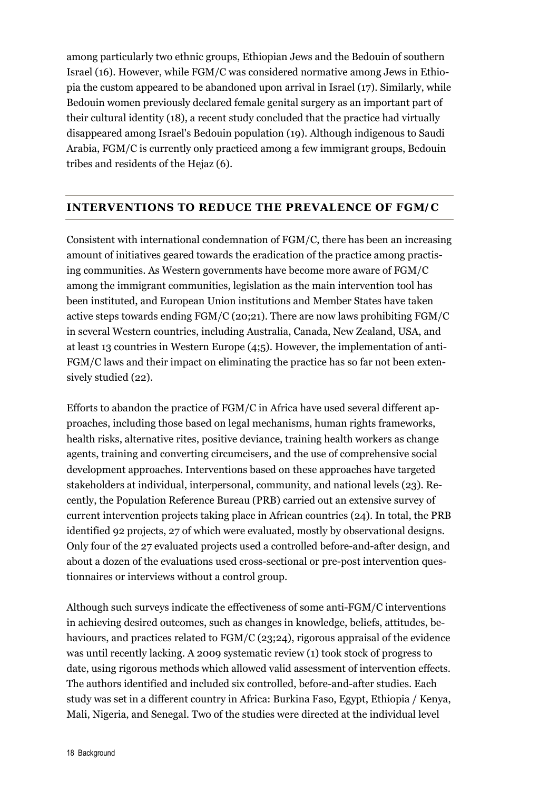among particularly two ethnic groups, Ethiopian Jews and the Bedouin of southern Israel (16). However, while FGM/C was considered normative among Jews in Ethiopia the custom appeared to be abandoned upon arrival in Israel (17). Similarly, while Bedouin women previously declared female genital surgery as an important part of their cultural identity (18), a recent study concluded that the practice had virtually disappeared among Israel's Bedouin population (19). Although indigenous to Saudi Arabia, FGM/C is currently only practiced among a few immigrant groups, Bedouin tribes and residents of the Hejaz (6).

#### **INTERVENTIONS TO REDUCE THE PREVALENCE OF FGM/C**

Consistent with international condemnation of FGM/C, there has been an increasing amount of initiatives geared towards the eradication of the practice among practising communities. As Western governments have become more aware of FGM/C among the immigrant communities, legislation as the main intervention tool has been instituted, and European Union institutions and Member States have taken active steps towards ending FGM/C (20;21). There are now laws prohibiting FGM/C in several Western countries, including Australia, Canada, New Zealand, USA, and at least 13 countries in Western Europe (4;5). However, the implementation of anti-FGM/C laws and their impact on eliminating the practice has so far not been extensively studied (22).

Efforts to abandon the practice of FGM/C in Africa have used several different approaches, including those based on legal mechanisms, human rights frameworks, health risks, alternative rites, positive deviance, training health workers as change agents, training and converting circumcisers, and the use of comprehensive social development approaches. Interventions based on these approaches have targeted stakeholders at individual, interpersonal, community, and national levels (23). Recently, the Population Reference Bureau (PRB) carried out an extensive survey of current intervention projects taking place in African countries (24). In total, the PRB identified 92 projects, 27 of which were evaluated, mostly by observational designs. Only four of the 27 evaluated projects used a controlled before-and-after design, and about a dozen of the evaluations used cross-sectional or pre-post intervention questionnaires or interviews without a control group.

Although such surveys indicate the effectiveness of some anti-FGM/C interventions in achieving desired outcomes, such as changes in knowledge, beliefs, attitudes, behaviours, and practices related to FGM/C (23;24), rigorous appraisal of the evidence was until recently lacking. A 2009 systematic review (1) took stock of progress to date, using rigorous methods which allowed valid assessment of intervention effects. The authors identified and included six controlled, before-and-after studies. Each study was set in a different country in Africa: Burkina Faso, Egypt, Ethiopia / Kenya, Mali, Nigeria, and Senegal. Two of the studies were directed at the individual level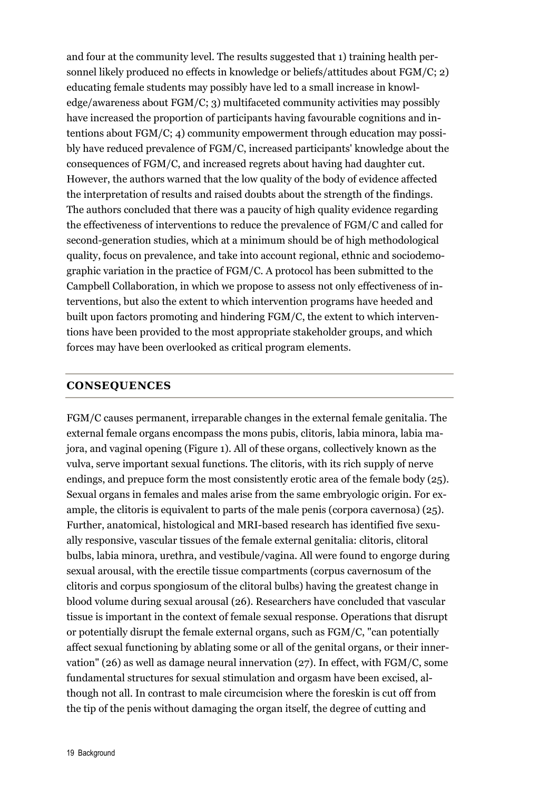and four at the community level. The results suggested that 1) training health personnel likely produced no effects in knowledge or beliefs/attitudes about FGM/C; 2) educating female students may possibly have led to a small increase in knowledge/awareness about FGM/C; 3) multifaceted community activities may possibly have increased the proportion of participants having favourable cognitions and intentions about FGM/C; 4) community empowerment through education may possibly have reduced prevalence of FGM/C, increased participants' knowledge about the consequences of FGM/C, and increased regrets about having had daughter cut. However, the authors warned that the low quality of the body of evidence affected the interpretation of results and raised doubts about the strength of the findings. The authors concluded that there was a paucity of high quality evidence regarding the effectiveness of interventions to reduce the prevalence of FGM/C and called for second-generation studies, which at a minimum should be of high methodological quality, focus on prevalence, and take into account regional, ethnic and sociodemographic variation in the practice of FGM/C. A protocol has been submitted to the Campbell Collaboration, in which we propose to assess not only effectiveness of interventions, but also the extent to which intervention programs have heeded and built upon factors promoting and hindering FGM/C, the extent to which interventions have been provided to the most appropriate stakeholder groups, and which forces may have been overlooked as critical program elements.

#### **CONSEQUENCES**

FGM/C causes permanent, irreparable changes in the external female genitalia. The external female organs encompass the mons pubis, clitoris, labia minora, labia majora, and vaginal opening (Figure 1). All of these organs, collectively known as the vulva, serve important sexual functions. The clitoris, with its rich supply of nerve endings, and prepuce form the most consistently erotic area of the female body (25). Sexual organs in females and males arise from the same embryologic origin. For example, the clitoris is equivalent to parts of the male penis (corpora cavernosa) (25). Further, anatomical, histological and MRI-based research has identified five sexually responsive, vascular tissues of the female external genitalia: clitoris, clitoral bulbs, labia minora, urethra, and vestibule/vagina. All were found to engorge during sexual arousal, with the erectile tissue compartments (corpus cavernosum of the clitoris and corpus spongiosum of the clitoral bulbs) having the greatest change in blood volume during sexual arousal (26). Researchers have concluded that vascular tissue is important in the context of female sexual response. Operations that disrupt or potentially disrupt the female external organs, such as FGM/C, "can potentially affect sexual functioning by ablating some or all of the genital organs, or their innervation" (26) as well as damage neural innervation (27). In effect, with FGM/C, some fundamental structures for sexual stimulation and orgasm have been excised, although not all. In contrast to male circumcision where the foreskin is cut off from the tip of the penis without damaging the organ itself, the degree of cutting and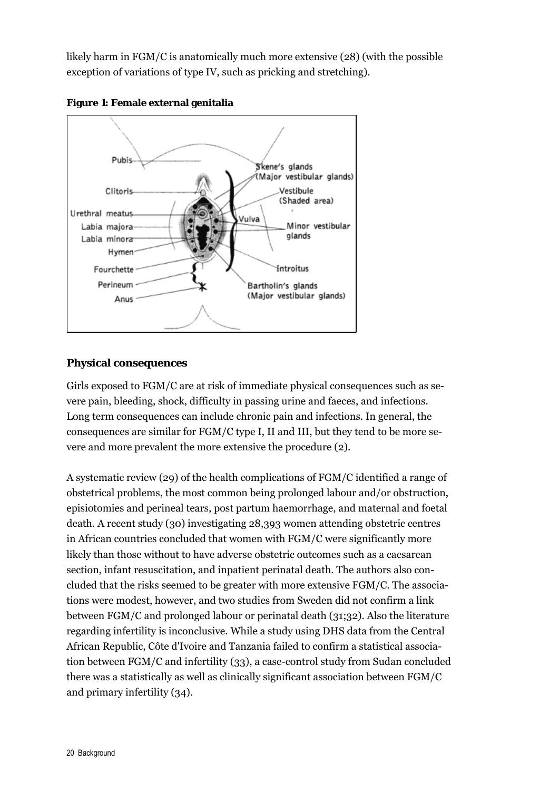likely harm in FGM/C is anatomically much more extensive (28) (with the possible exception of variations of type IV, such as pricking and stretching).





#### **Physical consequences**

Girls exposed to FGM/C are at risk of immediate physical consequences such as severe pain, bleeding, shock, difficulty in passing urine and faeces, and infections. Long term consequences can include chronic pain and infections. In general, the consequences are similar for FGM/C type I, II and III, but they tend to be more severe and more prevalent the more extensive the procedure (2).

A systematic review (29) of the health complications of FGM/C identified a range of obstetrical problems, the most common being prolonged labour and/or obstruction, episiotomies and perineal tears, post partum haemorrhage, and maternal and foetal death. A recent study (30) investigating 28,393 women attending obstetric centres in African countries concluded that women with FGM/C were significantly more likely than those without to have adverse obstetric outcomes such as a caesarean section, infant resuscitation, and inpatient perinatal death. The authors also concluded that the risks seemed to be greater with more extensive FGM/C. The associations were modest, however, and two studies from Sweden did not confirm a link between FGM/C and prolonged labour or perinatal death (31;32). Also the literature regarding infertility is inconclusive. While a study using DHS data from the Central African Republic, Côte d'Ivoire and Tanzania failed to confirm a statistical association between FGM/C and infertility (33), a case-control study from Sudan concluded there was a statistically as well as clinically significant association between FGM/C and primary infertility (34).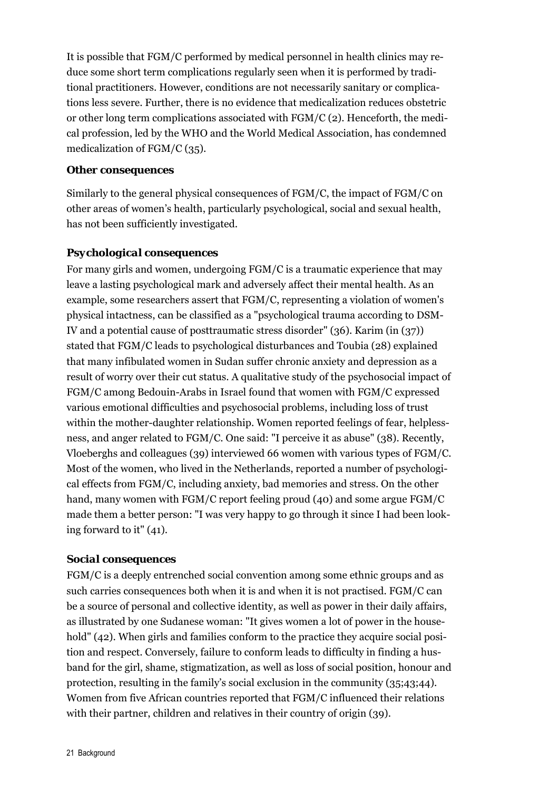It is possible that FGM/C performed by medical personnel in health clinics may reduce some short term complications regularly seen when it is performed by traditional practitioners. However, conditions are not necessarily sanitary or complications less severe. Further, there is no evidence that medicalization reduces obstetric or other long term complications associated with FGM/C (2). Henceforth, the medical profession, led by the WHO and the World Medical Association, has condemned medicalization of FGM/C (35).

#### **Other consequences**

Similarly to the general physical consequences of FGM/C, the impact of FGM/C on other areas of women's health, particularly psychological, social and sexual health, has not been sufficiently investigated.

#### *Psychological consequences*

For many girls and women, undergoing FGM/C is a traumatic experience that may leave a lasting psychological mark and adversely affect their mental health. As an example, some researchers assert that FGM/C, representing a violation of women's physical intactness, can be classified as a "psychological trauma according to DSM-IV and a potential cause of posttraumatic stress disorder" (36). Karim (in (37)) stated that FGM/C leads to psychological disturbances and Toubia (28) explained that many infibulated women in Sudan suffer chronic anxiety and depression as a result of worry over their cut status. A qualitative study of the psychosocial impact of FGM/C among Bedouin-Arabs in Israel found that women with FGM/C expressed various emotional difficulties and psychosocial problems, including loss of trust within the mother-daughter relationship. Women reported feelings of fear, helplessness, and anger related to FGM/C. One said: "I perceive it as abuse" (38). Recently, Vloeberghs and colleagues (39) interviewed 66 women with various types of FGM/C. Most of the women, who lived in the Netherlands, reported a number of psychological effects from FGM/C, including anxiety, bad memories and stress. On the other hand, many women with FGM/C report feeling proud (40) and some argue FGM/C made them a better person: "I was very happy to go through it since I had been looking forward to it" (41).

#### *Social consequences*

FGM/C is a deeply entrenched social convention among some ethnic groups and as such carries consequences both when it is and when it is not practised. FGM/C can be a source of personal and collective identity, as well as power in their daily affairs, as illustrated by one Sudanese woman: "It gives women a lot of power in the household" (42). When girls and families conform to the practice they acquire social position and respect. Conversely, failure to conform leads to difficulty in finding a husband for the girl, shame, stigmatization, as well as loss of social position, honour and protection, resulting in the family's social exclusion in the community (35;43;44). Women from five African countries reported that FGM/C influenced their relations with their partner, children and relatives in their country of origin (39).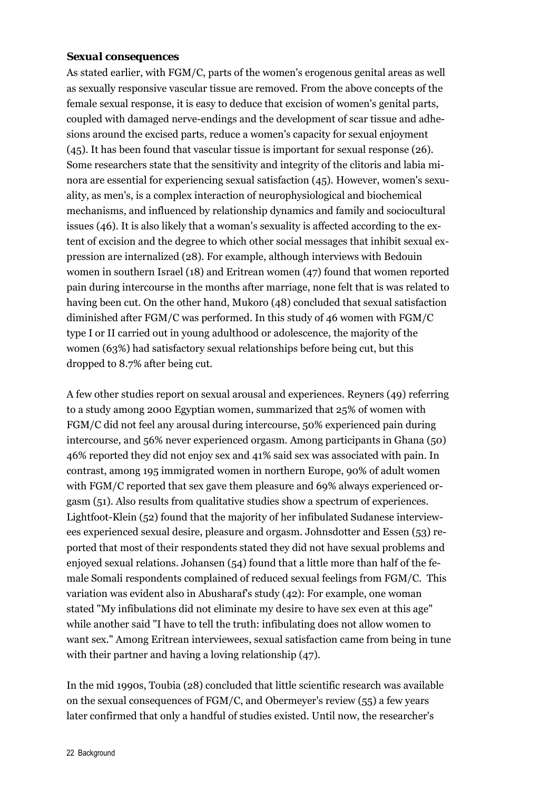#### *Sexual consequences*

As stated earlier, with FGM/C, parts of the women's erogenous genital areas as well as sexually responsive vascular tissue are removed. From the above concepts of the female sexual response, it is easy to deduce that excision of women's genital parts, coupled with damaged nerve-endings and the development of scar tissue and adhesions around the excised parts, reduce a women's capacity for sexual enjoyment (45). It has been found that vascular tissue is important for sexual response (26). Some researchers state that the sensitivity and integrity of the clitoris and labia minora are essential for experiencing sexual satisfaction (45). However, women's sexuality, as men's, is a complex interaction of neurophysiological and biochemical mechanisms, and influenced by relationship dynamics and family and sociocultural issues (46). It is also likely that a woman's sexuality is affected according to the extent of excision and the degree to which other social messages that inhibit sexual expression are internalized (28). For example, although interviews with Bedouin women in southern Israel (18) and Eritrean women (47) found that women reported pain during intercourse in the months after marriage, none felt that is was related to having been cut. On the other hand, Mukoro (48) concluded that sexual satisfaction diminished after FGM/C was performed. In this study of 46 women with FGM/C type I or II carried out in young adulthood or adolescence, the majority of the women (63%) had satisfactory sexual relationships before being cut, but this dropped to 8.7% after being cut.

A few other studies report on sexual arousal and experiences. Reyners (49) referring to a study among 2000 Egyptian women, summarized that 25% of women with FGM/C did not feel any arousal during intercourse, 50% experienced pain during intercourse, and 56% never experienced orgasm. Among participants in Ghana (50) 46% reported they did not enjoy sex and 41% said sex was associated with pain. In contrast, among 195 immigrated women in northern Europe, 90% of adult women with FGM/C reported that sex gave them pleasure and 69% always experienced orgasm (51). Also results from qualitative studies show a spectrum of experiences. Lightfoot-Klein (52) found that the majority of her infibulated Sudanese interviewees experienced sexual desire, pleasure and orgasm. Johnsdotter and Essen (53) reported that most of their respondents stated they did not have sexual problems and enjoyed sexual relations. Johansen (54) found that a little more than half of the female Somali respondents complained of reduced sexual feelings from FGM/C. This variation was evident also in Abusharaf's study (42): For example, one woman stated "My infibulations did not eliminate my desire to have sex even at this age" while another said "I have to tell the truth: infibulating does not allow women to want sex." Among Eritrean interviewees, sexual satisfaction came from being in tune with their partner and having a loving relationship (47).

In the mid 1990s, Toubia (28) concluded that little scientific research was available on the sexual consequences of FGM/C, and Obermeyer's review (55) a few years later confirmed that only a handful of studies existed. Until now, the researcher's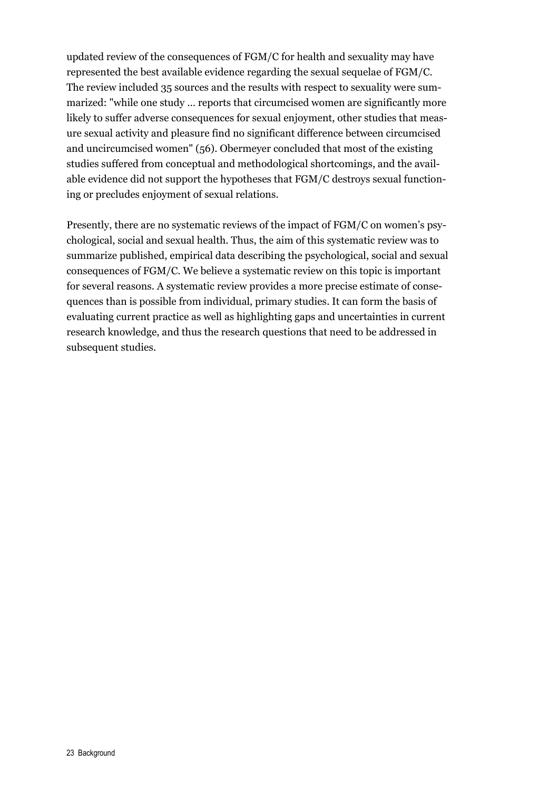updated review of the consequences of FGM/C for health and sexuality may have represented the best available evidence regarding the sexual sequelae of FGM/C. The review included 35 sources and the results with respect to sexuality were summarized: "while one study … reports that circumcised women are significantly more likely to suffer adverse consequences for sexual enjoyment, other studies that measure sexual activity and pleasure find no significant difference between circumcised and uncircumcised women" (56). Obermeyer concluded that most of the existing studies suffered from conceptual and methodological shortcomings, and the available evidence did not support the hypotheses that FGM/C destroys sexual functioning or precludes enjoyment of sexual relations.

Presently, there are no systematic reviews of the impact of FGM/C on women's psychological, social and sexual health. Thus, the aim of this systematic review was to summarize published, empirical data describing the psychological, social and sexual consequences of FGM/C. We believe a systematic review on this topic is important for several reasons. A systematic review provides a more precise estimate of consequences than is possible from individual, primary studies. It can form the basis of evaluating current practice as well as highlighting gaps and uncertainties in current research knowledge, and thus the research questions that need to be addressed in subsequent studies.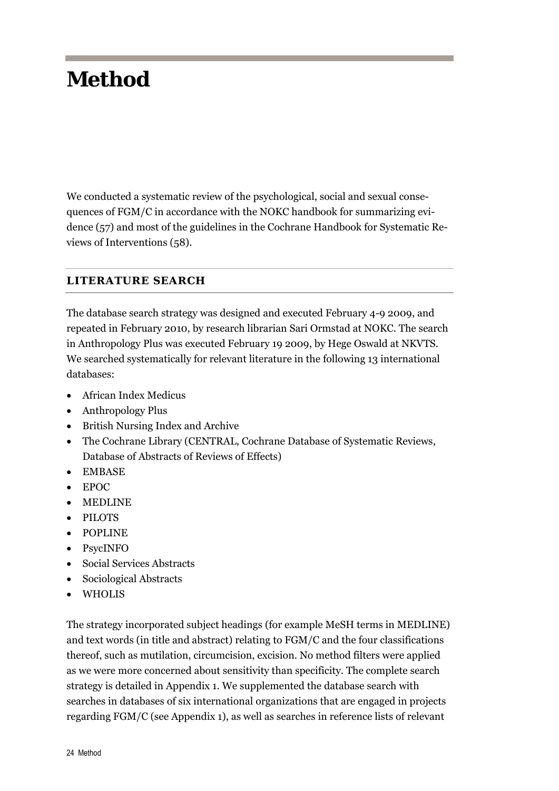### **Method**

We conducted a systematic review of the psychological, social and sexual consequences of FGM/C in accordance with the NOKC handbook for summarizing evidence (57) and most of the guidelines in the Cochrane Handbook for Systematic Reviews of Interventions (58).

#### **LITERATURE SEARCH**

The database search strategy was designed and executed February 4-9 2009, and repeated in February 2010, by research librarian Sari Ormstad at NOKC. The search in Anthropology Plus was executed February 19 2009, by Hege Oswald at NKVTS. We searched systematically for relevant literature in the following 13 international databases:

- African Index Medicus
- Anthropology Plus
- British Nursing Index and Archive
- The Cochrane Library (CENTRAL, Cochrane Database of Systematic Reviews, Database of Abstracts of Reviews of Effects)
- EMBASE
- EPOC
- MEDLINE
- PILOTS
- POPLINE
- PsycINFO
- Social Services Abstracts
- Sociological Abstracts
- WHOLIS

The strategy incorporated subject headings (for example MeSH terms in MEDLINE) and text words (in title and abstract) relating to FGM/C and the four classifications thereof, such as mutilation, circumcision, excision. No method filters were applied as we were more concerned about sensitivity than specificity. The complete search strategy is detailed in Appendix 1. We supplemented the database search with searches in databases of six international organizations that are engaged in projects regarding FGM/C (see Appendix 1), as well as searches in reference lists of relevant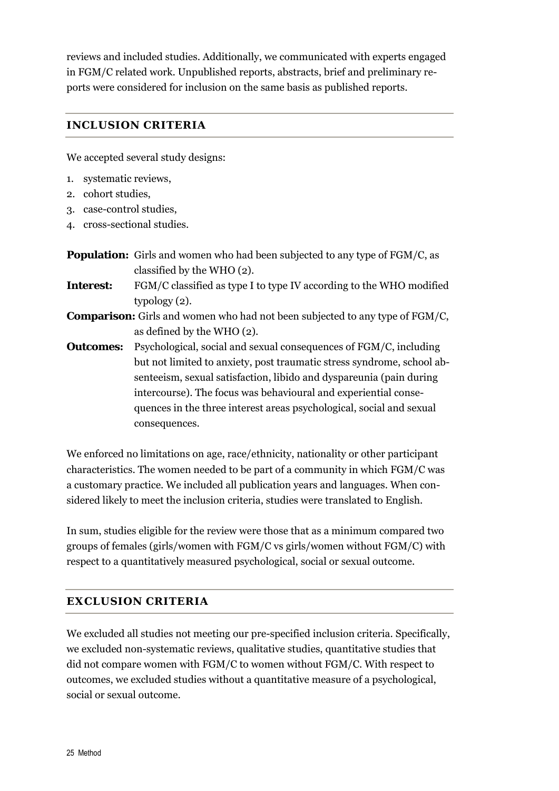reviews and included studies. Additionally, we communicated with experts engaged in FGM/C related work. Unpublished reports, abstracts, brief and preliminary reports were considered for inclusion on the same basis as published reports.

#### **INCLUSION CRITERIA**

We accepted several study designs:

- 1. systematic reviews,
- 2. cohort studies,
- 3. case-control studies,
- 4. cross-sectional studies.
- **Population:** Girls and women who had been subjected to any type of FGM/C, as classified by the WHO (2).
- **Interest:** FGM/C classified as type I to type IV according to the WHO modified typology (2).
- **Comparison:** Girls and women who had not been subjected to any type of FGM/C, as defined by the WHO (2).
- **Outcomes:** Psychological, social and sexual consequences of FGM/C, including but not limited to anxiety, post traumatic stress syndrome, school absenteeism, sexual satisfaction, libido and dyspareunia (pain during intercourse). The focus was behavioural and experiential consequences in the three interest areas psychological, social and sexual consequences.

We enforced no limitations on age, race/ethnicity, nationality or other participant characteristics. The women needed to be part of a community in which FGM/C was a customary practice. We included all publication years and languages. When considered likely to meet the inclusion criteria, studies were translated to English.

In sum, studies eligible for the review were those that as a minimum compared two groups of females (girls/women with FGM/C vs girls/women without FGM/C) with respect to a quantitatively measured psychological, social or sexual outcome.

#### **EXCLUSION CRITERIA**

We excluded all studies not meeting our pre-specified inclusion criteria. Specifically, we excluded non-systematic reviews, qualitative studies, quantitative studies that did not compare women with FGM/C to women without FGM/C. With respect to outcomes, we excluded studies without a quantitative measure of a psychological, social or sexual outcome.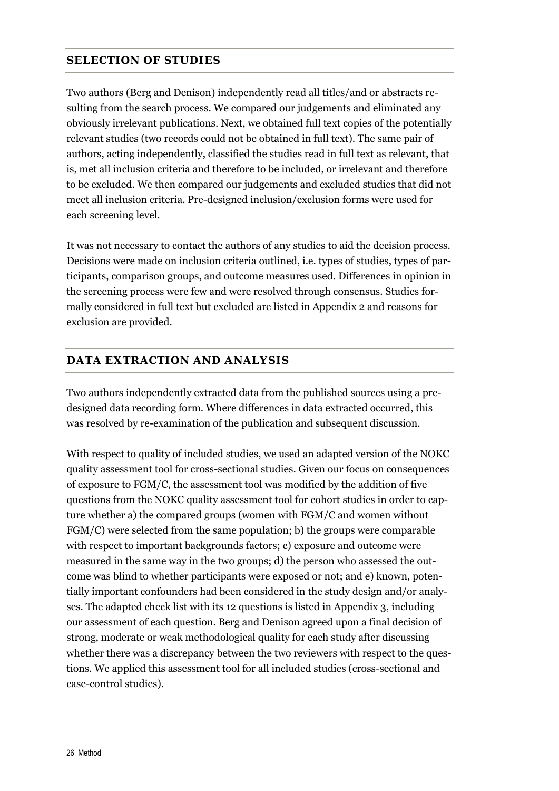#### **SELECTION OF STUDIES**

Two authors (Berg and Denison) independently read all titles/and or abstracts resulting from the search process. We compared our judgements and eliminated any obviously irrelevant publications. Next, we obtained full text copies of the potentially relevant studies (two records could not be obtained in full text). The same pair of authors, acting independently, classified the studies read in full text as relevant, that is, met all inclusion criteria and therefore to be included, or irrelevant and therefore to be excluded. We then compared our judgements and excluded studies that did not meet all inclusion criteria. Pre-designed inclusion/exclusion forms were used for each screening level.

It was not necessary to contact the authors of any studies to aid the decision process. Decisions were made on inclusion criteria outlined, i.e. types of studies, types of participants, comparison groups, and outcome measures used. Differences in opinion in the screening process were few and were resolved through consensus. Studies formally considered in full text but excluded are listed in Appendix 2 and reasons for exclusion are provided.

#### **DATA EXTRACTION AND ANALYSIS**

Two authors independently extracted data from the published sources using a predesigned data recording form. Where differences in data extracted occurred, this was resolved by re-examination of the publication and subsequent discussion.

With respect to quality of included studies, we used an adapted version of the NOKC quality assessment tool for cross-sectional studies. Given our focus on consequences of exposure to FGM/C, the assessment tool was modified by the addition of five questions from the NOKC quality assessment tool for cohort studies in order to capture whether a) the compared groups (women with FGM/C and women without FGM/C) were selected from the same population; b) the groups were comparable with respect to important backgrounds factors; c) exposure and outcome were measured in the same way in the two groups; d) the person who assessed the outcome was blind to whether participants were exposed or not; and e) known, potentially important confounders had been considered in the study design and/or analyses. The adapted check list with its 12 questions is listed in Appendix 3, including our assessment of each question. Berg and Denison agreed upon a final decision of strong, moderate or weak methodological quality for each study after discussing whether there was a discrepancy between the two reviewers with respect to the questions. We applied this assessment tool for all included studies (cross-sectional and case-control studies).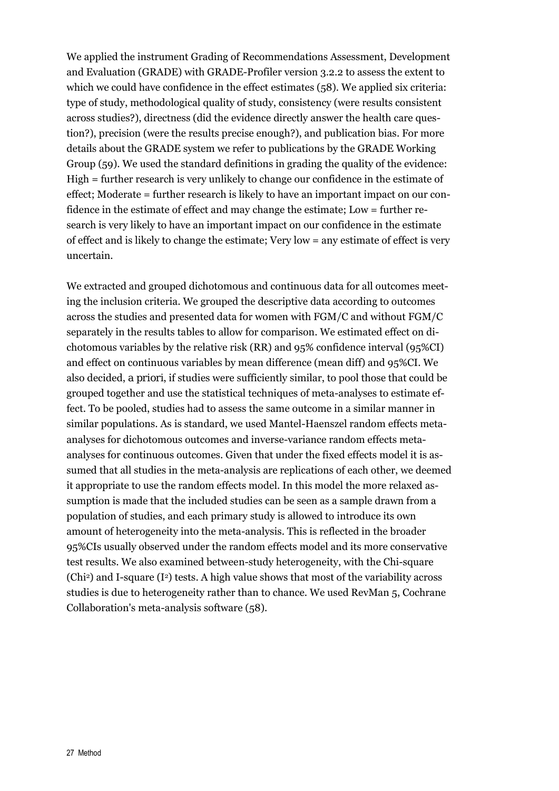We applied the instrument Grading of Recommendations Assessment, Development and Evaluation (GRADE) with GRADE-Profiler version 3.2.2 to assess the extent to which we could have confidence in the effect estimates (58). We applied six criteria: type of study, methodological quality of study, consistency (were results consistent across studies?), directness (did the evidence directly answer the health care question?), precision (were the results precise enough?), and publication bias. For more details about the GRADE system we refer to publications by the GRADE Working Group (59). We used the standard definitions in grading the quality of the evidence: High = further research is very unlikely to change our confidence in the estimate of effect; Moderate = further research is likely to have an important impact on our confidence in the estimate of effect and may change the estimate; Low = further research is very likely to have an important impact on our confidence in the estimate of effect and is likely to change the estimate; Very low = any estimate of effect is very uncertain.

We extracted and grouped dichotomous and continuous data for all outcomes meeting the inclusion criteria. We grouped the descriptive data according to outcomes across the studies and presented data for women with FGM/C and without FGM/C separately in the results tables to allow for comparison. We estimated effect on dichotomous variables by the relative risk (RR) and 95% confidence interval (95%CI) and effect on continuous variables by mean difference (mean diff) and 95%CI. We also decided, *a priori*, if studies were sufficiently similar, to pool those that could be grouped together and use the statistical techniques of meta-analyses to estimate effect. To be pooled, studies had to assess the same outcome in a similar manner in similar populations. As is standard, we used Mantel-Haenszel random effects metaanalyses for dichotomous outcomes and inverse-variance random effects metaanalyses for continuous outcomes. Given that under the fixed effects model it is assumed that all studies in the meta-analysis are replications of each other, we deemed it appropriate to use the random effects model. In this model the more relaxed assumption is made that the included studies can be seen as a sample drawn from a population of studies, and each primary study is allowed to introduce its own amount of heterogeneity into the meta-analysis. This is reflected in the broader 95%CIs usually observed under the random effects model and its more conservative test results. We also examined between-study heterogeneity, with the Chi-square (Chi2) and I-square (I2) tests. A high value shows that most of the variability across studies is due to heterogeneity rather than to chance. We used RevMan 5, Cochrane Collaboration's meta-analysis software (58).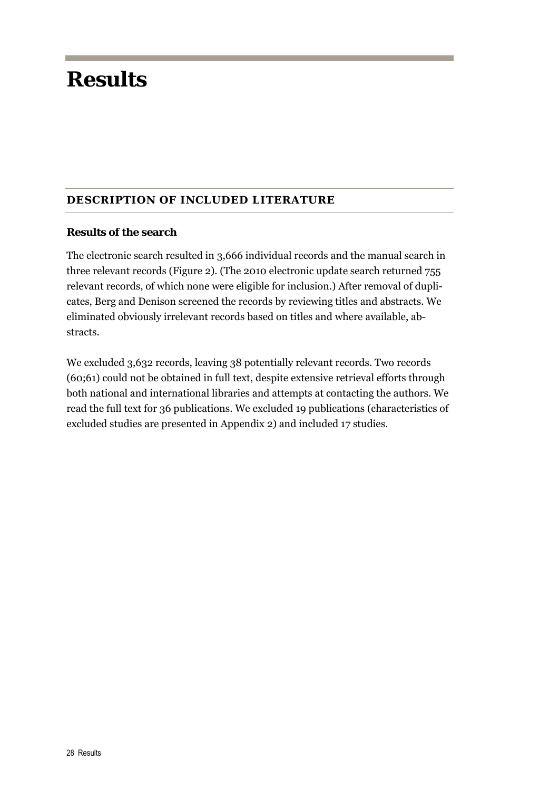### **Results**

#### **DESCRIPTION OF INCLUDED LITERATURE**

#### **Results of the search**

The electronic search resulted in 3,666 individual records and the manual search in three relevant records (Figure 2). (The 2010 electronic update search returned 755 relevant records, of which none were eligible for inclusion.) After removal of duplicates, Berg and Denison screened the records by reviewing titles and abstracts. We eliminated obviously irrelevant records based on titles and where available, abstracts.

We excluded 3,632 records, leaving 38 potentially relevant records. Two records (60;61) could not be obtained in full text, despite extensive retrieval efforts through both national and international libraries and attempts at contacting the authors. We read the full text for 36 publications. We excluded 19 publications (characteristics of excluded studies are presented in Appendix 2) and included 17 studies.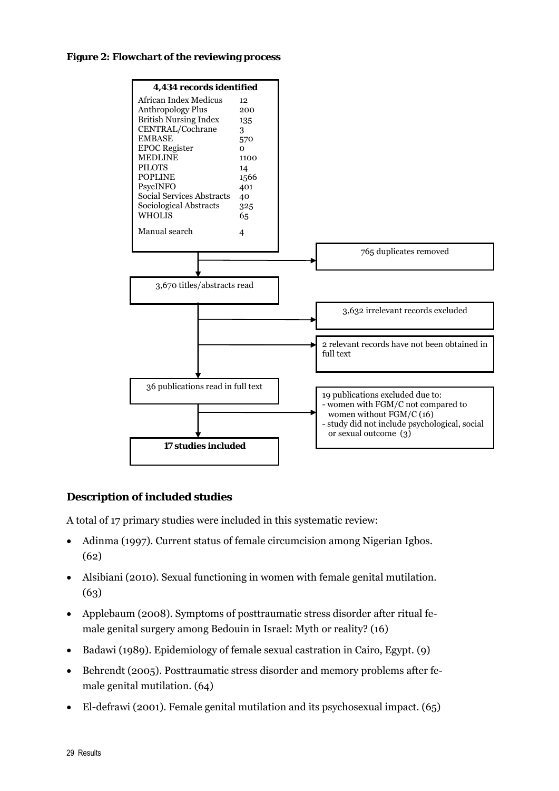#### **Figure 2: Flowchart of the reviewing process**



#### **Description of included studies**

A total of 17 primary studies were included in this systematic review:

- Adinma (1997). Current status of female circumcision among Nigerian Igbos. (62)
- Alsibiani (2010). Sexual functioning in women with female genital mutilation.  $(63)$
- Applebaum (2008). Symptoms of posttraumatic stress disorder after ritual female genital surgery among Bedouin in Israel: Myth or reality? (16)
- Badawi (1989). Epidemiology of female sexual castration in Cairo, Egypt. (9)
- Behrendt (2005). Posttraumatic stress disorder and memory problems after female genital mutilation. (64)
- El-defrawi (2001). Female genital mutilation and its psychosexual impact. (65)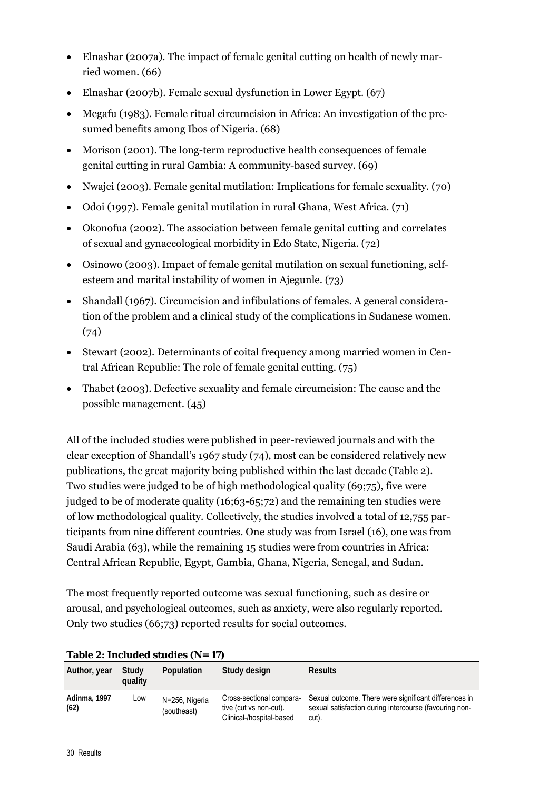- Elnashar (2007a). The impact of female genital cutting on health of newly married women. (66)
- Elnashar (2007b). Female sexual dysfunction in Lower Egypt. (67)
- Megafu (1983). Female ritual circumcision in Africa: An investigation of the presumed benefits among Ibos of Nigeria. (68)
- Morison (2001). The long-term reproductive health consequences of female genital cutting in rural Gambia: A community-based survey. (69)
- Nwajei (2003). Female genital mutilation: Implications for female sexuality. (70)
- Odoi (1997). Female genital mutilation in rural Ghana, West Africa. (71)
- Okonofua (2002). The association between female genital cutting and correlates of sexual and gynaecological morbidity in Edo State, Nigeria. (72)
- Osinowo (2003). Impact of female genital mutilation on sexual functioning, selfesteem and marital instability of women in Ajegunle. (73)
- Shandall (1967). Circumcision and infibulations of females. A general consideration of the problem and a clinical study of the complications in Sudanese women. (74)
- Stewart (2002). Determinants of coital frequency among married women in Central African Republic: The role of female genital cutting. (75)
- Thabet (2003). Defective sexuality and female circumcision: The cause and the possible management. (45)

All of the included studies were published in peer-reviewed journals and with the clear exception of Shandall's 1967 study (74), most can be considered relatively new publications, the great majority being published within the last decade (Table 2). Two studies were judged to be of high methodological quality (69;75), five were judged to be of moderate quality (16;63-65;72) and the remaining ten studies were of low methodological quality. Collectively, the studies involved a total of 12,755 participants from nine different countries. One study was from Israel (16), one was from Saudi Arabia (63), while the remaining 15 studies were from countries in Africa: Central African Republic, Egypt, Gambia, Ghana, Nigeria, Senegal, and Sudan.

The most frequently reported outcome was sexual functioning, such as desire or arousal, and psychological outcomes, such as anxiety, were also regularly reported. Only two studies (66;73) reported results for social outcomes.

| Author, year         | Study<br>quality | Population                    | Study design                                                                   | <b>Results</b>                                                                                                           |
|----------------------|------------------|-------------------------------|--------------------------------------------------------------------------------|--------------------------------------------------------------------------------------------------------------------------|
| Adinma, 1997<br>(62) | Low              | N=256, Nigeria<br>(southeast) | Cross-sectional compara-<br>tive (cut vs non-cut).<br>Clinical-/hospital-based | Sexual outcome. There were significant differences in<br>sexual satisfaction during intercourse (favouring non-<br>cut). |

#### **Table 2: Included studies (N= 17)**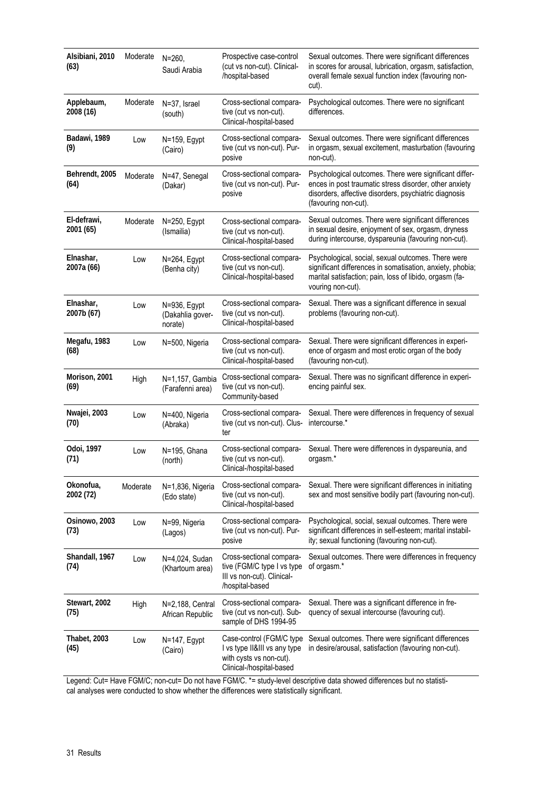| Alsibiani, 2010<br>(63)  | Moderate | $N = 260,$<br>Saudi Arabia                  | Prospective case-control<br>(cut vs non-cut). Clinical-<br>/hospital-based                                      | Sexual outcomes. There were significant differences<br>in scores for arousal, lubrication, orgasm, satisfaction,<br>overall female sexual function index (favouring non-<br>cut).                 |
|--------------------------|----------|---------------------------------------------|-----------------------------------------------------------------------------------------------------------------|---------------------------------------------------------------------------------------------------------------------------------------------------------------------------------------------------|
| Applebaum,<br>2008 (16)  | Moderate | N=37, Israel<br>(south)                     | Cross-sectional compara-<br>tive (cut vs non-cut).<br>Clinical-/hospital-based                                  | Psychological outcomes. There were no significant<br>differences.                                                                                                                                 |
| Badawi, 1989<br>(9)      | Low      | N=159, Egypt<br>(Cairo)                     | Cross-sectional compara-<br>tive (cut vs non-cut). Pur-<br>posive                                               | Sexual outcomes. There were significant differences<br>in orgasm, sexual excitement, masturbation (favouring<br>non-cut).                                                                         |
| Behrendt, 2005<br>(64)   | Moderate | N=47, Senegal<br>(Dakar)                    | Cross-sectional compara-<br>tive (cut vs non-cut). Pur-<br>posive                                               | Psychological outcomes. There were significant differ-<br>ences in post traumatic stress disorder, other anxiety<br>disorders, affective disorders, psychiatric diagnosis<br>(favouring non-cut). |
| El-defrawi,<br>2001 (65) | Moderate | $N = 250$ , Egypt<br>(Ismailia)             | Cross-sectional compara-<br>tive (cut vs non-cut).<br>Clinical-/hospital-based                                  | Sexual outcomes. There were significant differences<br>in sexual desire, enjoyment of sex, orgasm, dryness<br>during intercourse, dyspareunia (favouring non-cut).                                |
| Elnashar,<br>2007a (66)  | Low      | N=264, Egypt<br>(Benha city)                | Cross-sectional compara-<br>tive (cut vs non-cut).<br>Clinical-/hospital-based                                  | Psychological, social, sexual outcomes. There were<br>significant differences in somatisation, anxiety, phobia;<br>marital satisfaction; pain, loss of libido, orgasm (fa-<br>vouring non-cut).   |
| Elnashar,<br>2007b (67)  | Low      | N=936, Egypt<br>(Dakahlia gover-<br>norate) | Cross-sectional compara-<br>tive (cut vs non-cut).<br>Clinical-/hospital-based                                  | Sexual. There was a significant difference in sexual<br>problems (favouring non-cut).                                                                                                             |
| Megafu, 1983<br>(68)     | Low      | N=500, Nigeria                              | Cross-sectional compara-<br>tive (cut vs non-cut).<br>Clinical-/hospital-based                                  | Sexual. There were significant differences in experi-<br>ence of orgasm and most erotic organ of the body<br>(favouring non-cut).                                                                 |
| Morison, 2001<br>(69)    | High     | N=1,157, Gambia<br>(Farafenni area)         | Cross-sectional compara-<br>tive (cut vs non-cut).<br>Community-based                                           | Sexual. There was no significant difference in experi-<br>encing painful sex.                                                                                                                     |
| Nwajei, 2003<br>(70)     | Low      | N=400, Nigeria<br>(Abraka)                  | Cross-sectional compara-<br>tive (cut vs non-cut). Clus-<br>ter                                                 | Sexual. There were differences in frequency of sexual<br>intercourse.*                                                                                                                            |
| Odoi, 1997<br>(71)       | Low      | N=195, Ghana<br>(north)                     | Cross-sectional compara-<br>tive (cut vs non-cut).<br>Clinical-/hospital-based                                  | Sexual. There were differences in dyspareunia, and<br>orgasm.*                                                                                                                                    |
| Okonofua,<br>2002 (72)   | Moderate | N=1,836, Nigeria<br>(Edo state)             | Cross-sectional compara-<br>tive (cut vs non-cut).<br>Clinical-/hospital-based                                  | Sexual. There were significant differences in initiating<br>sex and most sensitive bodily part (favouring non-cut).                                                                               |
| Osinowo, 2003<br>(73)    | Low      | N=99, Nigeria<br>(Lagos)                    | Cross-sectional compara-<br>tive (cut vs non-cut). Pur-<br>posive                                               | Psychological, social, sexual outcomes. There were<br>significant differences in self-esteem; marital instabil-<br>ity; sexual functioning (favouring non-cut).                                   |
| Shandall, 1967<br>(74)   | Low      | N=4,024, Sudan<br>(Khartoum area)           | Cross-sectional compara-<br>tive (FGM/C type I vs type<br>III vs non-cut). Clinical-<br>/hospital-based         | Sexual outcomes. There were differences in frequency<br>of orgasm.*                                                                                                                               |
| Stewart, 2002<br>(75)    | High     | N=2,188, Central<br>African Republic        | Cross-sectional compara-<br>tive (cut vs non-cut). Sub-<br>sample of DHS 1994-95                                | Sexual. There was a significant difference in fre-<br>quency of sexual intercourse (favouring cut).                                                                                               |
| Thabet, 2003<br>(45)     | Low      | N=147, Egypt<br>(Cairo)                     | Case-control (FGM/C type<br>I vs type II&III vs any type<br>with cysts vs non-cut).<br>Clinical-/hospital-based | Sexual outcomes. There were significant differences<br>in desire/arousal, satisfaction (favouring non-cut).                                                                                       |

Legend: Cut= Have FGM/C; non-cut= Do not have FGM/C. \*= study-level descriptive data showed differences but no statistical analyses were conducted to show whether the differences were statistically significant.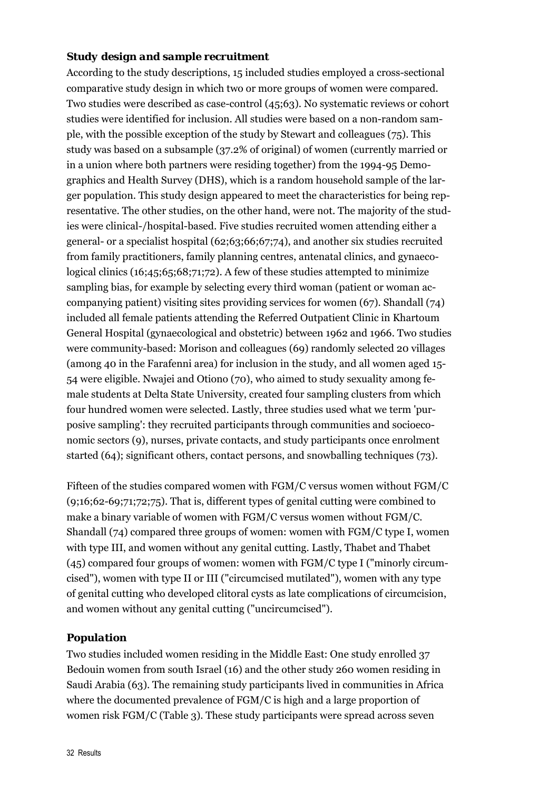#### *Study design and sample recruitment*

According to the study descriptions, 15 included studies employed a cross-sectional comparative study design in which two or more groups of women were compared. Two studies were described as case-control (45;63). No systematic reviews or cohort studies were identified for inclusion. All studies were based on a non-random sample, with the possible exception of the study by Stewart and colleagues (75). This study was based on a subsample (37.2% of original) of women (currently married or in a union where both partners were residing together) from the 1994-95 Demographics and Health Survey (DHS), which is a random household sample of the larger population. This study design appeared to meet the characteristics for being representative. The other studies, on the other hand, were not. The majority of the studies were clinical-/hospital-based. Five studies recruited women attending either a general- or a specialist hospital (62;63;66;67;74), and another six studies recruited from family practitioners, family planning centres, antenatal clinics, and gynaecological clinics (16;45;65;68;71;72). A few of these studies attempted to minimize sampling bias, for example by selecting every third woman (patient or woman accompanying patient) visiting sites providing services for women (67). Shandall (74) included all female patients attending the Referred Outpatient Clinic in Khartoum General Hospital (gynaecological and obstetric) between 1962 and 1966. Two studies were community-based: Morison and colleagues (69) randomly selected 20 villages (among 40 in the Farafenni area) for inclusion in the study, and all women aged 15- 54 were eligible. Nwajei and Otiono (70), who aimed to study sexuality among female students at Delta State University, created four sampling clusters from which four hundred women were selected. Lastly, three studies used what we term 'purposive sampling': they recruited participants through communities and socioeconomic sectors (9), nurses, private contacts, and study participants once enrolment started (64); significant others, contact persons, and snowballing techniques (73).

Fifteen of the studies compared women with FGM/C versus women without FGM/C (9;16;62-69;71;72;75). That is, different types of genital cutting were combined to make a binary variable of women with FGM/C versus women without FGM/C. Shandall (74) compared three groups of women: women with FGM/C type I, women with type III, and women without any genital cutting. Lastly, Thabet and Thabet (45) compared four groups of women: women with FGM/C type I ("minorly circumcised"), women with type II or III ("circumcised mutilated"), women with any type of genital cutting who developed clitoral cysts as late complications of circumcision, and women without any genital cutting ("uncircumcised").

#### *Population*

Two studies included women residing in the Middle East: One study enrolled 37 Bedouin women from south Israel (16) and the other study 260 women residing in Saudi Arabia (63). The remaining study participants lived in communities in Africa where the documented prevalence of FGM/C is high and a large proportion of women risk FGM/C (Table 3). These study participants were spread across seven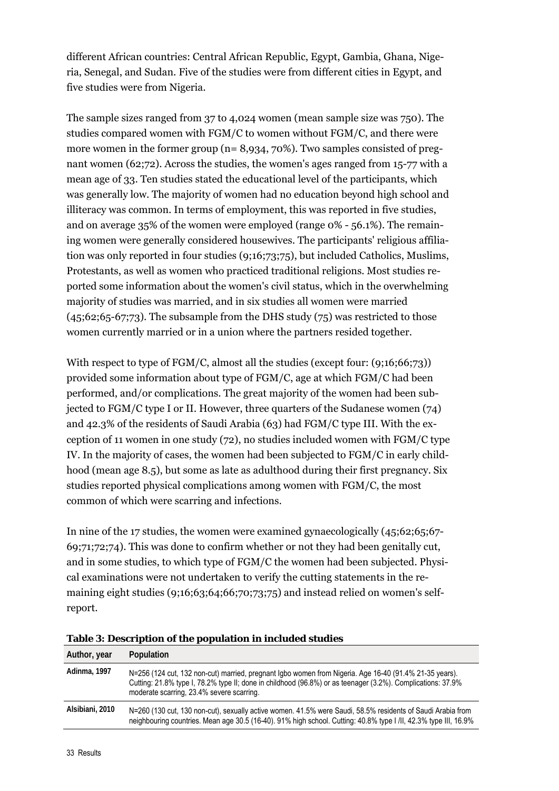different African countries: Central African Republic, Egypt, Gambia, Ghana, Nigeria, Senegal, and Sudan. Five of the studies were from different cities in Egypt, and five studies were from Nigeria.

The sample sizes ranged from 37 to 4,024 women (mean sample size was 750). The studies compared women with FGM/C to women without FGM/C, and there were more women in the former group (n= 8,934, 70%). Two samples consisted of pregnant women (62;72). Across the studies, the women's ages ranged from 15-77 with a mean age of 33. Ten studies stated the educational level of the participants, which was generally low. The majority of women had no education beyond high school and illiteracy was common. In terms of employment, this was reported in five studies, and on average 35% of the women were employed (range 0% - 56.1%). The remaining women were generally considered housewives. The participants' religious affiliation was only reported in four studies (9;16;73;75), but included Catholics, Muslims, Protestants, as well as women who practiced traditional religions. Most studies reported some information about the women's civil status, which in the overwhelming majority of studies was married, and in six studies all women were married  $(45,62,65-67,73)$ . The subsample from the DHS study  $(75)$  was restricted to those women currently married or in a union where the partners resided together.

With respect to type of FGM/C, almost all the studies (except four:  $(9;16;66;73)$ ) provided some information about type of FGM/C, age at which FGM/C had been performed, and/or complications. The great majority of the women had been subjected to FGM/C type I or II. However, three quarters of the Sudanese women (74) and 42.3% of the residents of Saudi Arabia (63) had FGM/C type III. With the exception of 11 women in one study (72), no studies included women with FGM/C type IV. In the majority of cases, the women had been subjected to FGM/C in early childhood (mean age 8.5), but some as late as adulthood during their first pregnancy. Six studies reported physical complications among women with FGM/C, the most common of which were scarring and infections.

In nine of the 17 studies, the women were examined gynaecologically (45;62;65;67- 69;71;72;74). This was done to confirm whether or not they had been genitally cut, and in some studies, to which type of FGM/C the women had been subjected. Physical examinations were not undertaken to verify the cutting statements in the remaining eight studies (9;16;63;64;66;70;73;75) and instead relied on women's selfreport.

| Author, year    | Population                                                                                                                                                                                                                                                         |
|-----------------|--------------------------------------------------------------------------------------------------------------------------------------------------------------------------------------------------------------------------------------------------------------------|
| Adinma, 1997    | N=256 (124 cut, 132 non-cut) married, pregnant Igbo women from Nigeria. Age 16-40 (91.4% 21-35 years).<br>Cutting: 21.8% type I, 78.2% type II; done in childhood (96.8%) or as teenager (3.2%). Complications: 37.9%<br>moderate scarring, 23.4% severe scarring. |
| Alsibiani, 2010 | N=260 (130 cut, 130 non-cut), sexually active women. 41.5% were Saudi, 58.5% residents of Saudi Arabia from<br>neighbouring countries. Mean age 30.5 (16-40). 91% high school. Cutting: 40.8% type I/II, 42.3% type III, 16.9%                                     |

**Table 3: Description of the population in included studies**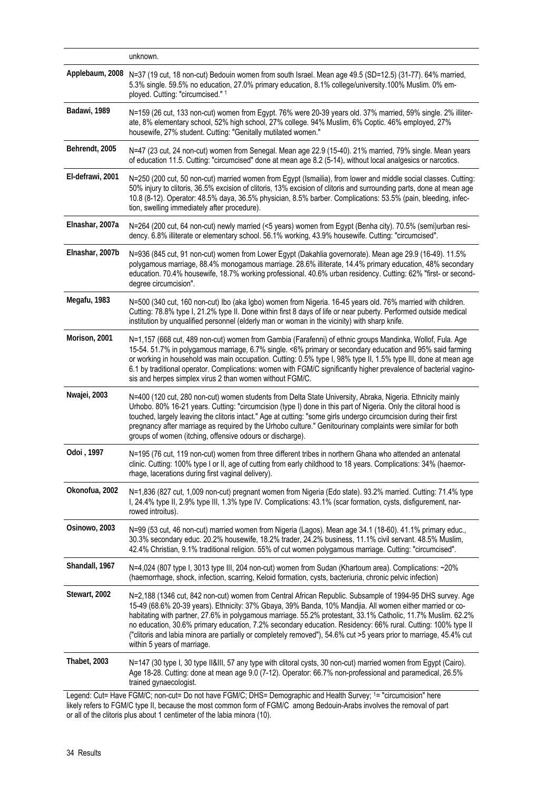|                  | unknown.                                                                                                                                                                                                                                                                                                                                                                                                                                                                                                                                                                                                   |
|------------------|------------------------------------------------------------------------------------------------------------------------------------------------------------------------------------------------------------------------------------------------------------------------------------------------------------------------------------------------------------------------------------------------------------------------------------------------------------------------------------------------------------------------------------------------------------------------------------------------------------|
| Applebaum, 2008  | N=37 (19 cut, 18 non-cut) Bedouin women from south Israel. Mean age 49.5 (SD=12.5) (31-77). 64% married,<br>5.3% single. 59.5% no education, 27.0% primary education, 8.1% college/university.100% Muslim. 0% em-<br>ployed. Cutting: "circumcised." 1                                                                                                                                                                                                                                                                                                                                                     |
| Badawi, 1989     | N=159 (26 cut, 133 non-cut) women from Egypt. 76% were 20-39 years old. 37% married, 59% single. 2% illiter-<br>ate, 8% elementary school, 52% high school, 27% college. 94% Muslim, 6% Coptic. 46% employed, 27%<br>housewife, 27% student. Cutting: "Genitally mutilated women."                                                                                                                                                                                                                                                                                                                         |
| Behrendt, 2005   | N=47 (23 cut, 24 non-cut) women from Senegal. Mean age 22.9 (15-40). 21% married, 79% single. Mean years<br>of education 11.5. Cutting: "circumcised" done at mean age 8.2 (5-14), without local analgesics or narcotics.                                                                                                                                                                                                                                                                                                                                                                                  |
| El-defrawi, 2001 | N=250 (200 cut, 50 non-cut) married women from Egypt (Ismailia), from lower and middle social classes. Cutting:<br>50% injury to clitoris, 36.5% excision of clitoris, 13% excision of clitoris and surrounding parts, done at mean age<br>10.8 (8-12). Operator: 48.5% daya, 36.5% physician, 8.5% barber. Complications: 53.5% (pain, bleeding, infec-<br>tion, swelling immediately after procedure).                                                                                                                                                                                                   |
| Elnashar, 2007a  | N=264 (200 cut, 64 non-cut) newly married (<5 years) women from Egypt (Benha city). 70.5% (semi)urban resi-<br>dency. 6.8% illiterate or elementary school. 56.1% working, 43.9% housewife. Cutting: "circumcised".                                                                                                                                                                                                                                                                                                                                                                                        |
| Elnashar, 2007b  | N=936 (845 cut, 91 non-cut) women from Lower Egypt (Dakahlia governorate). Mean age 29.9 (16-49). 11.5%<br>polygamous marriage, 88.4% monogamous marriage. 28.6% illiterate, 14.4% primary education, 48% secondary<br>education. 70.4% housewife, 18.7% working professional. 40.6% urban residency. Cutting: 62% "first- or second-<br>degree circumcision".                                                                                                                                                                                                                                             |
| Megafu, 1983     | N=500 (340 cut, 160 non-cut) Ibo (aka Igbo) women from Nigeria. 16-45 years old. 76% married with children.<br>Cutting: 78.8% type I, 21.2% type II. Done within first 8 days of life or near puberty. Performed outside medical<br>institution by unqualified personnel (elderly man or woman in the vicinity) with sharp knife.                                                                                                                                                                                                                                                                          |
| Morison, 2001    | N=1,157 (668 cut, 489 non-cut) women from Gambia (Farafenni) of ethnic groups Mandinka, Wollof, Fula. Age<br>15-54. 51.7% in polygamous marriage, 6.7% single. <6% primary or secondary education and 95% said farming<br>or working in household was main occupation. Cutting: 0.5% type I, 98% type II, 1.5% type III, done at mean age<br>6.1 by traditional operator. Complications: women with FGM/C significantly higher prevalence of bacterial vagino-<br>sis and herpes simplex virus 2 than women without FGM/C.                                                                                 |
| Nwajei, 2003     | N=400 (120 cut, 280 non-cut) women students from Delta State University, Abraka, Nigeria. Ethnicity mainly<br>Urhobo. 80% 16-21 years. Cutting: "circumcision (type I) done in this part of Nigeria. Only the clitoral hood is<br>touched, largely leaving the clitoris intact." Age at cutting: "some girls undergo circumcision during their first<br>pregnancy after marriage as required by the Urhobo culture." Genitourinary complaints were similar for both<br>groups of women (itching, offensive odours or discharge).                                                                           |
| Odoi, 1997       | N=195 (76 cut, 119 non-cut) women from three different tribes in northern Ghana who attended an antenatal<br>clinic. Cutting: 100% type I or II, age of cutting from early childhood to 18 years. Complications: 34% (haemor-<br>rhage, lacerations during first vaginal delivery).                                                                                                                                                                                                                                                                                                                        |
| Okonofua, 2002   | N=1,836 (827 cut, 1,009 non-cut) pregnant women from Nigeria (Edo state). 93.2% married. Cutting: 71.4% type<br>I, 24.4% type II, 2.9% type III, 1.3% type IV. Complications: 43.1% (scar formation, cysts, disfigurement, nar-<br>rowed introitus).                                                                                                                                                                                                                                                                                                                                                       |
| Osinowo, 2003    | N=99 (53 cut, 46 non-cut) married women from Nigeria (Lagos). Mean age 34.1 (18-60). 41.1% primary educ.,<br>30.3% secondary educ. 20.2% housewife, 18.2% trader, 24.2% business, 11.1% civil servant. 48.5% Muslim,<br>42.4% Christian, 9.1% traditional religion. 55% of cut women polygamous marriage. Cutting: "circumcised".                                                                                                                                                                                                                                                                          |
| Shandall, 1967   | N=4,024 (807 type I, 3013 type III, 204 non-cut) women from Sudan (Khartoum area). Complications: ~20%<br>(haemorrhage, shock, infection, scarring, Keloid formation, cysts, bacteriuria, chronic pelvic infection)                                                                                                                                                                                                                                                                                                                                                                                        |
| Stewart, 2002    | N=2,188 (1346 cut, 842 non-cut) women from Central African Republic. Subsample of 1994-95 DHS survey. Age<br>15-49 (68.6% 20-39 years). Ethnicity: 37% Gbaya, 39% Banda, 10% Mandjia. All women either married or co-<br>habitating with partner, 27.6% in polygamous marriage. 55.2% protestant, 33.1% Catholic, 11.7% Muslim. 62.2%<br>no education, 30.6% primary education, 7.2% secondary education. Residency: 66% rural. Cutting: 100% type II<br>("clitoris and labia minora are partially or completely removed"), 54.6% cut >5 years prior to marriage, 45.4% cut<br>within 5 years of marriage. |
| Thabet, 2003     | N=147 (30 type I, 30 type II&III, 57 any type with clitoral cysts, 30 non-cut) married women from Egypt (Cairo).<br>Age 18-28. Cutting: done at mean age 9.0 (7-12). Operator: 66.7% non-professional and paramedical, 26.5%<br>trained gynaecologist.                                                                                                                                                                                                                                                                                                                                                     |
|                  |                                                                                                                                                                                                                                                                                                                                                                                                                                                                                                                                                                                                            |

Legend: Cut= Have FGM/C; non-cut= Do not have FGM/C; DHS= Demographic and Health Survey; <sup>1</sup>= "circumcision" here likely refers to FGM/C type II, because the most common form of FGM/C among Bedouin-Arabs involves the removal of part or all of the clitoris plus about 1 centimeter of the labia minora (10).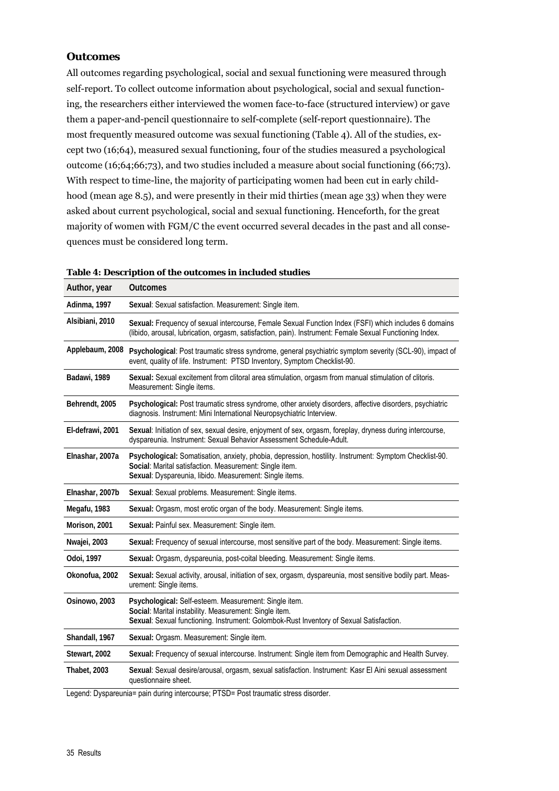## *Outcomes*

All outcomes regarding psychological, social and sexual functioning were measured through self-report. To collect outcome information about psychological, social and sexual functioning, the researchers either interviewed the women face-to-face (structured interview) or gave them a paper-and-pencil questionnaire to self-complete (self-report questionnaire). The most frequently measured outcome was sexual functioning (Table 4). All of the studies, except two (16;64), measured sexual functioning, four of the studies measured a psychological outcome (16;64;66;73), and two studies included a measure about social functioning (66;73). With respect to time-line, the majority of participating women had been cut in early childhood (mean age 8.5), and were presently in their mid thirties (mean age 33) when they were asked about current psychological, social and sexual functioning. Henceforth, for the great majority of women with FGM/C the event occurred several decades in the past and all consequences must be considered long term.

| Author, year     | <b>Outcomes</b>                                                                                                                                                                                                              |
|------------------|------------------------------------------------------------------------------------------------------------------------------------------------------------------------------------------------------------------------------|
| Adinma, 1997     | Sexual: Sexual satisfaction. Measurement: Single item.                                                                                                                                                                       |
| Alsibiani, 2010  | Sexual: Frequency of sexual intercourse, Female Sexual Function Index (FSFI) which includes 6 domains<br>(libido, arousal, lubrication, orgasm, satisfaction, pain). Instrument: Female Sexual Functioning Index.            |
| Applebaum, 2008  | Psychological: Post traumatic stress syndrome, general psychiatric symptom severity (SCL-90), impact of<br>event, quality of life. Instrument: PTSD Inventory, Symptom Checklist-90.                                         |
| Badawi, 1989     | Sexual: Sexual excitement from clitoral area stimulation, orgasm from manual stimulation of clitoris.<br>Measurement: Single items.                                                                                          |
| Behrendt, 2005   | Psychological: Post traumatic stress syndrome, other anxiety disorders, affective disorders, psychiatric<br>diagnosis. Instrument: Mini International Neuropsychiatric Interview.                                            |
| El-defrawi, 2001 | Sexual: Initiation of sex, sexual desire, enjoyment of sex, orgasm, foreplay, dryness during intercourse,<br>dyspareunia. Instrument: Sexual Behavior Assessment Schedule-Adult.                                             |
| Elnashar, 2007a  | Psychological: Somatisation, anxiety, phobia, depression, hostility. Instrument: Symptom Checklist-90.<br>Social: Marital satisfaction. Measurement: Single item.<br>Sexual: Dyspareunia, libido. Measurement: Single items. |
| Elnashar, 2007b  | Sexual: Sexual problems. Measurement: Single items.                                                                                                                                                                          |
| Megafu, 1983     | Sexual: Orgasm, most erotic organ of the body. Measurement: Single items.                                                                                                                                                    |
| Morison, 2001    | Sexual: Painful sex. Measurement: Single item.                                                                                                                                                                               |
| Nwajei, 2003     | Sexual: Frequency of sexual intercourse, most sensitive part of the body. Measurement: Single items.                                                                                                                         |
| Odoi, 1997       | Sexual: Orgasm, dyspareunia, post-coital bleeding. Measurement: Single items.                                                                                                                                                |
| Okonofua, 2002   | Sexual: Sexual activity, arousal, initiation of sex, orgasm, dyspareunia, most sensitive bodily part. Meas-<br>urement: Single items.                                                                                        |
| Osinowo, 2003    | Psychological: Self-esteem. Measurement: Single item.<br>Social: Marital instability. Measurement: Single item.<br>Sexual: Sexual functioning. Instrument: Golombok-Rust Inventory of Sexual Satisfaction.                   |
| Shandall, 1967   | Sexual: Orgasm. Measurement: Single item.                                                                                                                                                                                    |
| Stewart, 2002    | Sexual: Frequency of sexual intercourse. Instrument: Single item from Demographic and Health Survey.                                                                                                                         |
| Thabet, 2003     | Sexual: Sexual desire/arousal, orgasm, sexual satisfaction. Instrument: Kasr El Aini sexual assessment<br>questionnaire sheet.                                                                                               |

#### **Table 4: Description of the outcomes in included studies**

Legend: Dyspareunia= pain during intercourse; PTSD= Post traumatic stress disorder.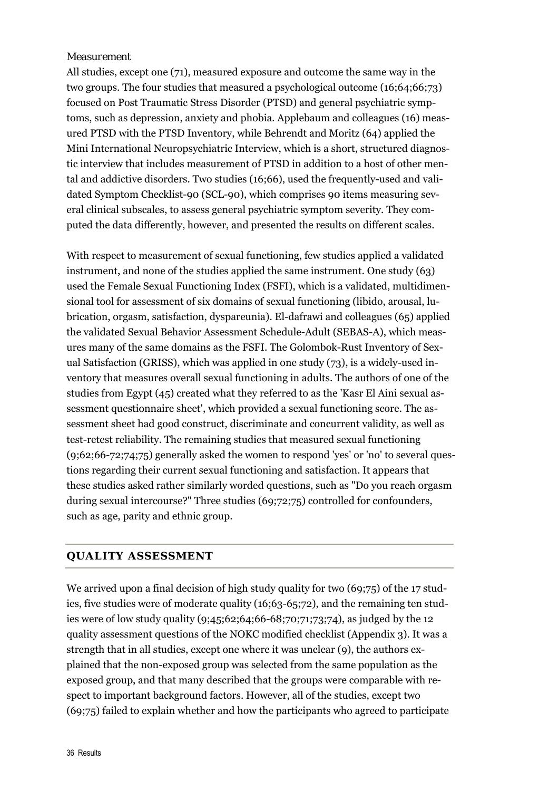## *Measurement*

All studies, except one (71), measured exposure and outcome the same way in the two groups. The four studies that measured a psychological outcome (16;64;66;73) focused on Post Traumatic Stress Disorder (PTSD) and general psychiatric symptoms, such as depression, anxiety and phobia. Applebaum and colleagues (16) measured PTSD with the PTSD Inventory, while Behrendt and Moritz (64) applied the Mini International Neuropsychiatric Interview, which is a short, structured diagnostic interview that includes measurement of PTSD in addition to a host of other mental and addictive disorders. Two studies (16;66), used the frequently-used and validated Symptom Checklist-90 (SCL-90), which comprises 90 items measuring several clinical subscales, to assess general psychiatric symptom severity. They computed the data differently, however, and presented the results on different scales.

With respect to measurement of sexual functioning, few studies applied a validated instrument, and none of the studies applied the same instrument. One study (63) used the Female Sexual Functioning Index (FSFI), which is a validated, multidimensional tool for assessment of six domains of sexual functioning (libido, arousal, lubrication, orgasm, satisfaction, dyspareunia). El-dafrawi and colleagues (65) applied the validated Sexual Behavior Assessment Schedule-Adult (SEBAS-A), which measures many of the same domains as the FSFI. The Golombok-Rust Inventory of Sexual Satisfaction (GRISS), which was applied in one study (73), is a widely-used inventory that measures overall sexual functioning in adults. The authors of one of the studies from Egypt (45) created what they referred to as the 'Kasr El Aini sexual assessment questionnaire sheet', which provided a sexual functioning score. The assessment sheet had good construct, discriminate and concurrent validity, as well as test-retest reliability. The remaining studies that measured sexual functioning (9;62;66-72;74;75) generally asked the women to respond 'yes' or 'no' to several questions regarding their current sexual functioning and satisfaction. It appears that these studies asked rather similarly worded questions, such as "Do you reach orgasm during sexual intercourse?" Three studies (69;72;75) controlled for confounders, such as age, parity and ethnic group.

## **QUALITY ASSESSMENT**

We arrived upon a final decision of high study quality for two  $(69,75)$  of the 17 studies, five studies were of moderate quality (16;63-65;72), and the remaining ten studies were of low study quality (9;45;62;64;66-68;70;71;73;74), as judged by the 12 quality assessment questions of the NOKC modified checklist (Appendix 3). It was a strength that in all studies, except one where it was unclear (9), the authors explained that the non-exposed group was selected from the same population as the exposed group, and that many described that the groups were comparable with respect to important background factors. However, all of the studies, except two (69;75) failed to explain whether and how the participants who agreed to participate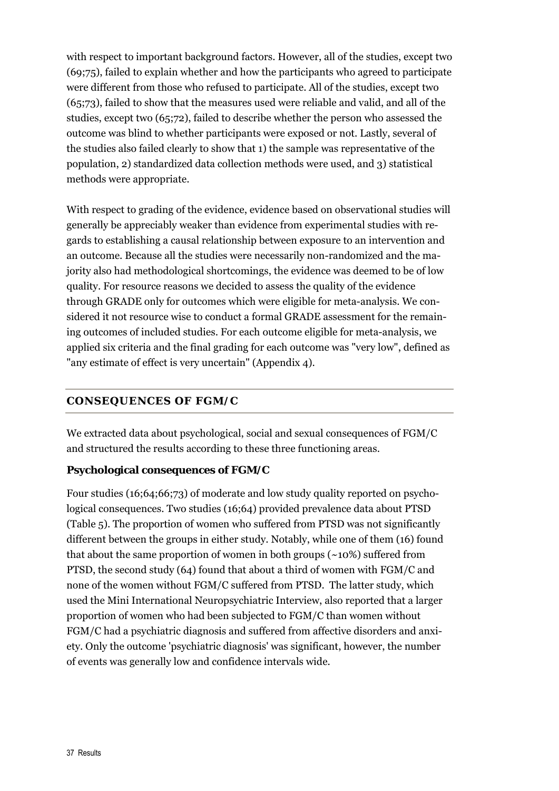with respect to important background factors. However, all of the studies, except two (69;75), failed to explain whether and how the participants who agreed to participate were different from those who refused to participate. All of the studies, except two (65;73), failed to show that the measures used were reliable and valid, and all of the studies, except two (65;72), failed to describe whether the person who assessed the outcome was blind to whether participants were exposed or not. Lastly, several of the studies also failed clearly to show that 1) the sample was representative of the population, 2) standardized data collection methods were used, and 3) statistical methods were appropriate.

With respect to grading of the evidence, evidence based on observational studies will generally be appreciably weaker than evidence from experimental studies with regards to establishing a causal relationship between exposure to an intervention and an outcome. Because all the studies were necessarily non-randomized and the majority also had methodological shortcomings, the evidence was deemed to be of low quality. For resource reasons we decided to assess the quality of the evidence through GRADE only for outcomes which were eligible for meta-analysis. We considered it not resource wise to conduct a formal GRADE assessment for the remaining outcomes of included studies. For each outcome eligible for meta-analysis, we applied six criteria and the final grading for each outcome was "very low", defined as "any estimate of effect is very uncertain" (Appendix 4).

## **CONSEQUENCES OF FGM/C**

We extracted data about psychological, social and sexual consequences of FGM/C and structured the results according to these three functioning areas.

## **Psychological consequences of FGM/C**

Four studies (16;64;66;73) of moderate and low study quality reported on psychological consequences. Two studies (16;64) provided prevalence data about PTSD (Table 5). The proportion of women who suffered from PTSD was not significantly different between the groups in either study. Notably, while one of them (16) found that about the same proportion of women in both groups  $($   $\sim$  10%) suffered from PTSD, the second study (64) found that about a third of women with FGM/C and none of the women without FGM/C suffered from PTSD. The latter study, which used the Mini International Neuropsychiatric Interview, also reported that a larger proportion of women who had been subjected to FGM/C than women without FGM/C had a psychiatric diagnosis and suffered from affective disorders and anxiety. Only the outcome 'psychiatric diagnosis' was significant, however, the number of events was generally low and confidence intervals wide.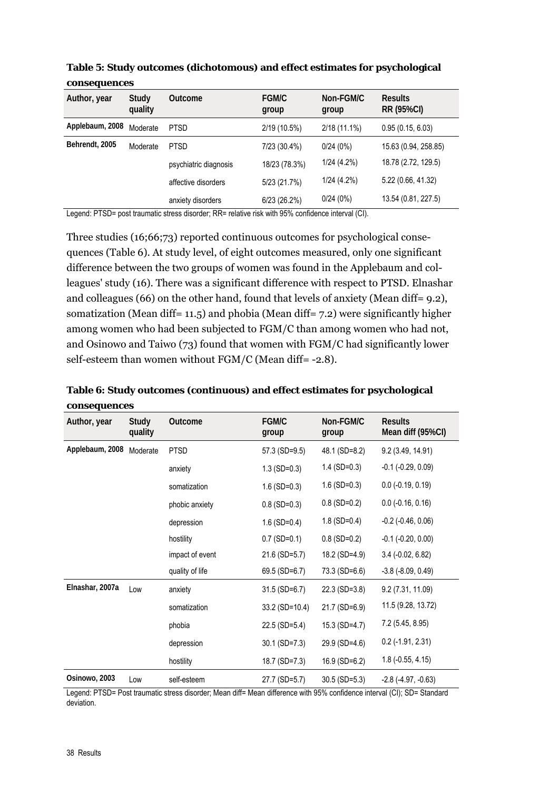| Author, year    | Study<br>quality | Outcome               | <b>FGM/C</b><br>group | Non-FGM/C<br>group | <b>Results</b><br><b>RR (95%CI)</b> |
|-----------------|------------------|-----------------------|-----------------------|--------------------|-------------------------------------|
| Applebaum, 2008 | Moderate         | <b>PTSD</b>           | 2/19 (10.5%)          | $2/18(11.1\%)$     | 0.95(0.15, 6.03)                    |
| Behrendt, 2005  | Moderate         | <b>PTSD</b>           | 7/23 (30.4%)          | 0/24(0%)           | 15.63 (0.94, 258.85)                |
|                 |                  | psychiatric diagnosis | 18/23 (78.3%)         | 1/24(4.2%)         | 18.78 (2.72, 129.5)                 |
|                 |                  | affective disorders   | 5/23 (21.7%)          | 1/24(4.2%)         | 5.22 (0.66, 41.32)                  |
|                 |                  | anxiety disorders     | 6/23(26.2%)           | 0/24(0%)           | 13.54 (0.81, 227.5)                 |

**Table 5: Study outcomes (dichotomous) and effect estimates for psychological consequences** 

Legend: PTSD= post traumatic stress disorder; RR= relative risk with 95% confidence interval (CI).

Three studies (16;66;73) reported continuous outcomes for psychological consequences (Table 6). At study level, of eight outcomes measured, only one significant difference between the two groups of women was found in the Applebaum and colleagues' study (16). There was a significant difference with respect to PTSD. Elnashar and colleagues (66) on the other hand, found that levels of anxiety (Mean diff= 9.2), somatization (Mean diff= 11.5) and phobia (Mean diff= 7.2) were significantly higher among women who had been subjected to FGM/C than among women who had not, and Osinowo and Taiwo (73) found that women with FGM/C had significantly lower self-esteem than women without FGM/C (Mean diff= -2.8).

## **Table 6: Study outcomes (continuous) and effect estimates for psychological consequences**

| Author, year    | Study<br>quality | Outcome         | <b>FGM/C</b><br>group | Non-FGM/C<br>group | <b>Results</b><br>Mean diff (95%CI) |
|-----------------|------------------|-----------------|-----------------------|--------------------|-------------------------------------|
| Applebaum, 2008 | Moderate         | <b>PTSD</b>     | 57.3 (SD=9.5)         | 48.1 (SD=8.2)      | 9.2(3.49, 14.91)                    |
|                 |                  | anxiety         | $1.3$ (SD=0.3)        | $1.4$ (SD=0.3)     | $-0.1$ $(-0.29, 0.09)$              |
|                 |                  | somatization    | $1.6$ (SD=0.3)        | $1.6$ (SD=0.3)     | $0.0$ (-0.19, 0.19)                 |
|                 |                  | phobic anxiety  | $0.8$ (SD= $0.3$ )    | $0.8$ (SD= $0.2$ ) | $0.0$ (-0.16, 0.16)                 |
|                 |                  | depression      | $1.6$ (SD=0.4)        | $1.8$ (SD=0.4)     | $-0.2$ ( $-0.46$ , $0.06$ )         |
|                 |                  | hostility       | $0.7$ (SD= $0.1$ )    | $0.8$ (SD=0.2)     | $-0.1$ $(-0.20, 0.00)$              |
|                 |                  | impact of event | 21.6 (SD=5.7)         | 18.2 (SD=4.9)      | $3.4$ (-0.02, 6.82)                 |
|                 |                  | quality of life | 69.5 (SD=6.7)         | 73.3 (SD=6.6)      | $-3.8$ ( $-8.09$ , $0.49$ )         |
| Elnashar, 2007a | Low              | anxiety         | 31.5 (SD=6.7)         | 22.3 (SD=3.8)      | 9.2(7.31, 11.09)                    |
|                 |                  | somatization    | 33.2 (SD=10.4)        | $21.7$ (SD=6.9)    | 11.5 (9.28, 13.72)                  |
|                 |                  | phobia          | 22.5 (SD=5.4)         | 15.3 (SD=4.7)      | 7.2 (5.45, 8.95)                    |
|                 |                  | depression      | $30.1$ (SD=7.3)       | 29.9 (SD=4.6)      | $0.2$ (-1.91, 2.31)                 |
|                 |                  | hostility       | 18.7 (SD=7.3)         | 16.9 (SD=6.2)      | $1.8(-0.55, 4.15)$                  |
| Osinowo, 2003   | Low              | self-esteem     | 27.7 (SD=5.7)         | $30.5$ (SD=5.3)    | $-2.8$ ( $-4.97$ , $-0.63$ )        |

Legend: PTSD= Post traumatic stress disorder; Mean diff= Mean difference with 95% confidence interval (CI); SD= Standard deviation.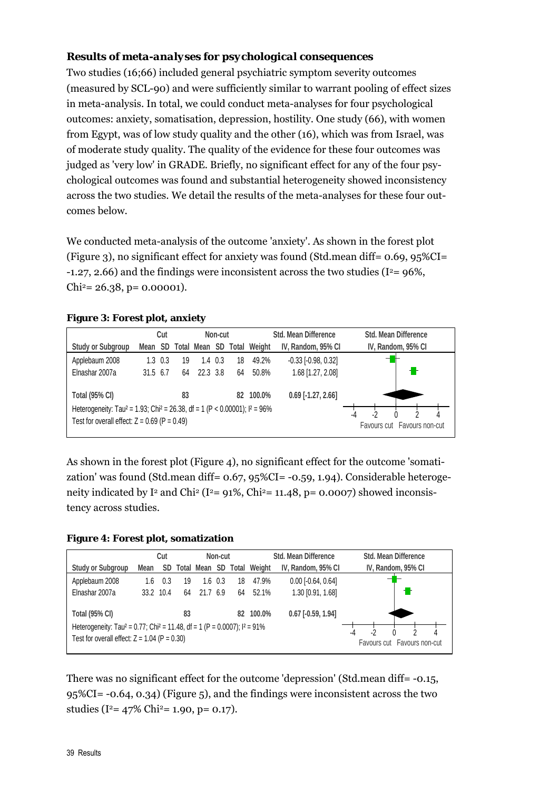## *Results of meta-analyses for psychological consequences*

Two studies (16;66) included general psychiatric symptom severity outcomes (measured by SCL-90) and were sufficiently similar to warrant pooling of effect sizes in meta-analysis. In total, we could conduct meta-analyses for four psychological outcomes: anxiety, somatisation, depression, hostility. One study (66), with women from Egypt, was of low study quality and the other (16), which was from Israel, was of moderate study quality. The quality of the evidence for these four outcomes was judged as 'very low' in GRADE. Briefly, no significant effect for any of the four psychological outcomes was found and substantial heterogeneity showed inconsistency across the two studies. We detail the results of the meta-analyses for these four outcomes below.

We conducted meta-analysis of the outcome 'anxiety'. As shown in the forest plot (Figure 3), no significant effect for anxiety was found (Std.mean diff= 0.69, 95%CI= -1.27, 2.66) and the findings were inconsistent across the two studies ( $I^2$ = 96%,  $Chi^2 = 26.38$ , p= 0.00001).

#### **Figure 3: Forest plot, anxiety**

|                                                                                                                                                       | Non-cut<br>Cut |             |    | <b>Std. Mean Difference</b> |             | <b>Std. Mean Difference</b>            |                            |                         |                    |
|-------------------------------------------------------------------------------------------------------------------------------------------------------|----------------|-------------|----|-----------------------------|-------------|----------------------------------------|----------------------------|-------------------------|--------------------|
| <b>Study or Subgroup</b>                                                                                                                              | Mean SD        |             |    |                             |             |                                        | Total Mean SD Total Weight | IV, Random, 95% CI      | IV, Random, 95% CI |
| Applebaum 2008                                                                                                                                        |                | $1.3 \t0.3$ | 19 |                             | $1.4 \t0.3$ | 18                                     | 49.2%                      | $-0.33$ $[-0.98, 0.32]$ |                    |
| Elnashar 2007a                                                                                                                                        | 31.5 6.7       |             | 64 | 22.3 3.8                    |             | 64                                     | 50.8%                      | 1.68 [1.27, 2.08]       |                    |
| <b>Total (95% CI)</b>                                                                                                                                 |                |             | 83 |                             |             |                                        | 82 100.0%                  | $0.69$ [-1.27, 2.66]    |                    |
| Heterogeneity: Tau <sup>2</sup> = 1.93; Chi <sup>2</sup> = 26.38, df = 1 (P < 0.00001); $I^2$ = 96%<br>Test for overall effect: $Z = 0.69$ (P = 0.49) |                |             |    |                             |             | $\cdot$<br>Favours cut Favours non-cut |                            |                         |                    |

As shown in the forest plot (Figure 4), no significant effect for the outcome 'somatization' was found (Std.mean diff= 0.67, 95%CI= -0.59, 1.94). Considerable heterogeneity indicated by I<sup>2</sup> and Chi<sup>2</sup> (I<sup>2</sup>= 91%, Chi<sup>2</sup>= 11.48, p= 0.0007) showed inconsistency across studies.

#### **Figure 4: Forest plot, somatization**

|                                                                                                                                                       | Non-cut<br>Cut |           | <b>Std. Mean Difference</b> |          | <b>Std. Mean Difference</b> |    |                            |                             |                                                  |
|-------------------------------------------------------------------------------------------------------------------------------------------------------|----------------|-----------|-----------------------------|----------|-----------------------------|----|----------------------------|-----------------------------|--------------------------------------------------|
| <b>Study or Subgroup</b>                                                                                                                              | Mean           | <b>SD</b> |                             |          |                             |    | Total Mean SD Total Weight | IV, Random, 95% CI          | IV, Random, 95% CI                               |
| Applebaum 2008                                                                                                                                        | 1.6            | 0.3       | 19                          |          | $1.6 \t0.3$                 | 18 | 47.9%                      | $0.00$ [ $-0.64$ , $0.64$ ] |                                                  |
| Elnashar 2007a                                                                                                                                        |                | 33.2 10.4 | 64                          | 21.7 6.9 |                             | 64 | 52.1%                      | 1.30 [0.91, 1.68]           | . .                                              |
| <b>Total (95% CI)</b>                                                                                                                                 |                |           | 83                          |          |                             | 82 | 100.0%                     | $0.67$ [-0.59, 1.94]        |                                                  |
| Heterogeneity: Tau <sup>2</sup> = 0.77; Chi <sup>2</sup> = 11.48, df = 1 (P = 0.0007); $I^2 = 91\%$<br>Test for overall effect: $Z = 1.04$ (P = 0.30) |                |           |                             |          |                             |    |                            |                             | $\cdot$<br>∩<br>4<br>Favours cut Favours non-cut |

There was no significant effect for the outcome 'depression' (Std.mean diff= -0.15, 95%CI= -0.64, 0.34) (Figure 5), and the findings were inconsistent across the two studies (I<sup>2</sup>= 47% Chi<sup>2</sup>= 1.90, p= 0.17).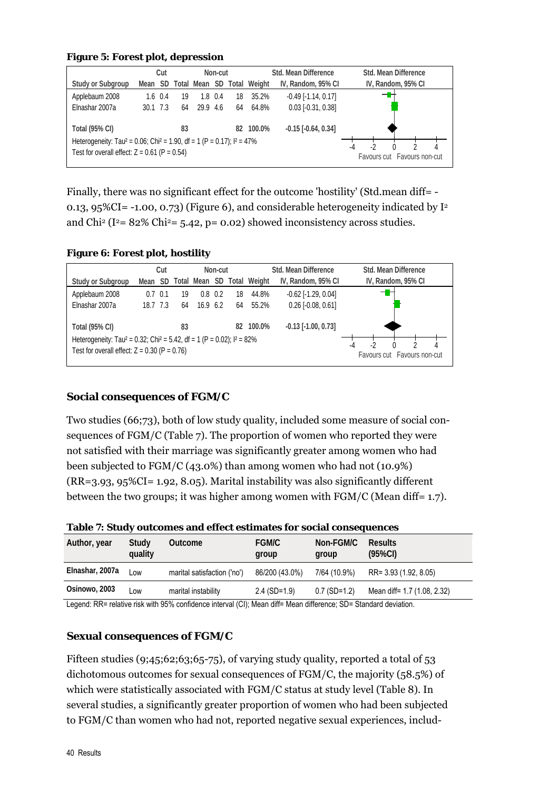#### **Figure 5: Forest plot, depression**

|                                                                                                 | Non-cut<br>Cut |                 | <b>Std. Mean Difference</b> |          | <b>Std. Mean Difference</b> |    |                            |                              |                             |
|-------------------------------------------------------------------------------------------------|----------------|-----------------|-----------------------------|----------|-----------------------------|----|----------------------------|------------------------------|-----------------------------|
| <b>Study or Subgroup</b>                                                                        | Mean SD        |                 |                             |          |                             |    | Total Mean SD Total Weight | IV, Random, 95% CI           | IV, Random, 95% CI          |
| Applebaum 2008                                                                                  |                | $1.6 \quad 0.4$ | 19                          |          | $1.8 \quad 0.4$             | 18 | 35.2%                      | $-0.49$ [ $-1.14$ , $0.17$ ] | ╼╊                          |
| Elnashar 2007a                                                                                  | $30.1$ 7.3     |                 | 64                          | 29.9 4.6 |                             | 64 | 64.8%                      | $0.03$ [ $-0.31$ , $0.38$ ]  |                             |
| <b>Total (95% CI)</b>                                                                           |                |                 | 83                          |          |                             | 82 | 100.0%                     | $-0.15$ $[-0.64, 0.34]$      |                             |
| Heterogeneity: Tau <sup>2</sup> = 0.06; Chi <sup>2</sup> = 1.90, df = 1 (P = 0.17); $1^2$ = 47% |                |                 |                             |          |                             |    |                            | $-2$<br>າ<br>4               |                             |
| Test for overall effect: $Z = 0.61$ (P = 0.54)                                                  |                |                 |                             |          |                             |    |                            |                              | Favours cut Favours non-cut |

Finally, there was no significant effect for the outcome 'hostility' (Std.mean diff= - 0.13,  $95\%CI = -1.00$ , 0.73) (Figure 6), and considerable heterogeneity indicated by  $I^2$ and Chi<sup>2</sup> (I<sup>2</sup> = 82% Chi<sup>2</sup> = 5.42, p= 0.02) showed inconsistency across studies.

#### **Figure 6: Forest plot, hostility**

|                                                                                                                                                   |          | Non-cut<br>Cut |    |          | <b>Std. Mean Difference</b> | <b>Std. Mean Difference</b> |                            |                              |                                              |
|---------------------------------------------------------------------------------------------------------------------------------------------------|----------|----------------|----|----------|-----------------------------|-----------------------------|----------------------------|------------------------------|----------------------------------------------|
| <b>Study or Subgroup</b>                                                                                                                          | Mean SD  |                |    |          |                             |                             | Total Mean SD Total Weight | IV, Random, 95% CI           | IV, Random, 95% CI                           |
| Applebaum 2008                                                                                                                                    | 0.7      | 0.1            | 19 | 0.8      | 0.2                         | 18                          | 44.8%                      | $-0.62$ [ $-1.29$ , $0.04$ ] |                                              |
| Elnashar 2007a                                                                                                                                    | 18.7 7.3 |                | 64 | 16.9 6.2 |                             | 64                          | 55.2%                      | $0.26$ [ $-0.08$ , $0.61$ ]  |                                              |
| <b>Total (95% CI)</b>                                                                                                                             |          |                | 83 |          |                             |                             | 82 100.0%                  | $-0.13$ $[-1.00, 0.73]$      |                                              |
| Heterogeneity: Tau <sup>2</sup> = 0.32; Chi <sup>2</sup> = 5.42, df = 1 (P = 0.02); $1^2$ = 82%<br>Test for overall effect: $Z = 0.30$ (P = 0.76) |          |                |    |          |                             |                             |                            |                              | $\cdot$<br>-4<br>Favours cut Favours non-cut |

## **Social consequences of FGM/C**

Two studies (66;73), both of low study quality, included some measure of social consequences of FGM/C (Table 7). The proportion of women who reported they were not satisfied with their marriage was significantly greater among women who had been subjected to FGM/C (43.0%) than among women who had not (10.9%) (RR=3.93, 95%CI= 1.92, 8.05). Marital instability was also significantly different between the two groups; it was higher among women with FGM/C (Mean diff= 1.7).

| Author, year    | Study<br>quality | Outcome                                                                                                                   | <b>FGM/C</b><br>group | Non-FGM/C<br>group | <b>Results</b><br>$(95\%CI)$ |  |  |  |  |  |  |
|-----------------|------------------|---------------------------------------------------------------------------------------------------------------------------|-----------------------|--------------------|------------------------------|--|--|--|--|--|--|
| Elnashar, 2007a | Low              | marital satisfaction ('no')                                                                                               | 86/200 (43.0%)        | 7/64 (10.9%)       | RR= 3.93 (1.92, 8.05)        |  |  |  |  |  |  |
| Osinowo, 2003   | Low              | marital instability                                                                                                       | $2.4$ (SD=1.9)        | $0.7$ (SD=1.2)     | Mean diff= 1.7 (1.08, 2.32)  |  |  |  |  |  |  |
|                 |                  | Logand: $DD-$ relative right with $0.50$ confidence intensal $(C1)$ ; Mean diff-Mean difference; $CD-$ Ctanderd deviation |                       |                    |                              |  |  |  |  |  |  |

| Table 7: Study outcomes and effect estimates for social consequences |  |  |
|----------------------------------------------------------------------|--|--|
|----------------------------------------------------------------------|--|--|

Legend: RR= relative risk with 95% confidence interval (CI); Mean diff= Mean difference; SD= Standard deviation.

#### **Sexual consequences of FGM/C**

Fifteen studies (9;45;62;63;65-75), of varying study quality, reported a total of 53 dichotomous outcomes for sexual consequences of FGM/C, the majority (58.5%) of which were statistically associated with FGM/C status at study level (Table 8). In several studies, a significantly greater proportion of women who had been subjected to FGM/C than women who had not, reported negative sexual experiences, includ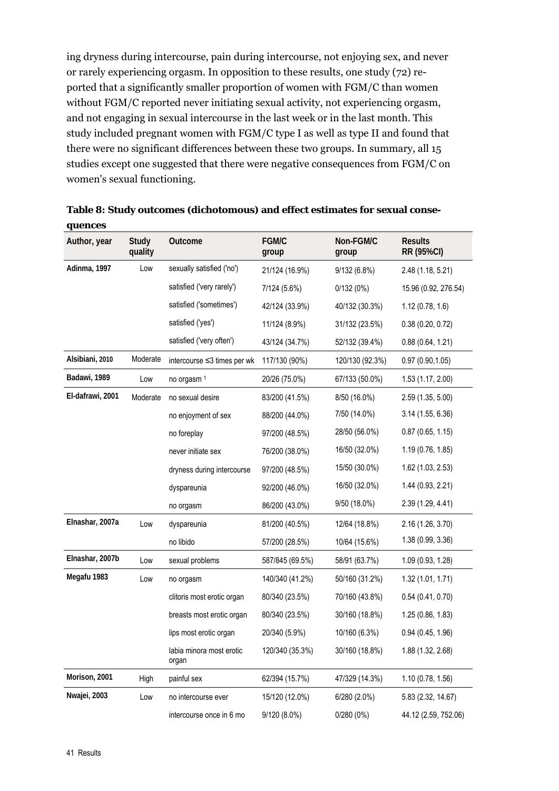ing dryness during intercourse, pain during intercourse, not enjoying sex, and never or rarely experiencing orgasm. In opposition to these results, one study (72) reported that a significantly smaller proportion of women with FGM/C than women without FGM/C reported never initiating sexual activity, not experiencing orgasm, and not engaging in sexual intercourse in the last week or in the last month. This study included pregnant women with FGM/C type I as well as type II and found that there were no significant differences between these two groups. In summary, all 15 studies except one suggested that there were negative consequences from FGM/C on women's sexual functioning.

| Author, year     | Study<br>quality | Outcome                           | FGM/C<br>group  | Non-FGM/C<br>group | <b>Results</b><br><b>RR (95%CI)</b> |
|------------------|------------------|-----------------------------------|-----------------|--------------------|-------------------------------------|
| Adinma, 1997     | Low              | sexually satisfied ('no')         | 21/124 (16.9%)  | 9/132 (6.8%)       | 2.48 (1.18, 5.21)                   |
|                  |                  | satisfied ('very rarely')         | 7/124 (5.6%)    | 0/132(0%)          | 15.96 (0.92, 276.54)                |
|                  |                  | satisfied ('sometimes')           | 42/124 (33.9%)  | 40/132 (30.3%)     | 1.12(0.78, 1.6)                     |
|                  |                  | satisfied ('yes')                 | 11/124 (8.9%)   | 31/132 (23.5%)     | 0.38(0.20, 0.72)                    |
|                  |                  | satisfied ('very often')          | 43/124 (34.7%)  | 52/132 (39.4%)     | 0.88(0.64, 1.21)                    |
| Alsibiani, 2010  | Moderate         | intercourse $\leq$ 3 times per wk | 117/130 (90%)   | 120/130 (92.3%)    | 0.97(0.90, 1.05)                    |
| Badawi, 1989     | Low              | no orgasm <sup>1</sup>            | 20/26 (75.0%)   | 67/133 (50.0%)     | 1.53 (1.17, 2.00)                   |
| El-dafrawi, 2001 | Moderate         | no sexual desire                  | 83/200 (41.5%)  | 8/50 (16.0%)       | 2.59 (1.35, 5.00)                   |
|                  |                  | no enjoyment of sex               | 88/200 (44.0%)  | 7/50 (14.0%)       | 3.14(1.55, 6.36)                    |
|                  |                  | no foreplay                       | 97/200 (48.5%)  | 28/50 (56.0%)      | 0.87(0.65, 1.15)                    |
|                  |                  | never initiate sex                | 76/200 (38.0%)  | 16/50 (32.0%)      | 1.19 (0.76, 1.85)                   |
|                  |                  | dryness during intercourse        | 97/200 (48.5%)  | 15/50 (30.0%)      | 1.62 (1.03, 2.53)                   |
|                  |                  | dyspareunia                       | 92/200 (46.0%)  | 16/50 (32.0%)      | 1.44 (0.93, 2.21)                   |
|                  |                  | no orgasm                         | 86/200 (43.0%)  | 9/50 (18.0%)       | 2.39 (1.29, 4.41)                   |
| Elnashar, 2007a  | Low              | dyspareunia                       | 81/200 (40.5%)  | 12/64 (18.8%)      | 2.16 (1.26, 3.70)                   |
|                  |                  | no libido                         | 57/200 (28.5%)  | 10/64 (15.6%)      | 1.38 (0.99, 3.36)                   |
| Elnashar, 2007b  | Low              | sexual problems                   | 587/845 (69.5%) | 58/91 (63.7%)      | 1.09 (0.93, 1.28)                   |
| Megafu 1983      | Low              | no orgasm                         | 140/340 (41.2%) | 50/160 (31.2%)     | 1.32(1.01, 1.71)                    |
|                  |                  | clitoris most erotic organ        | 80/340 (23.5%)  | 70/160 (43.8%)     | 0.54(0.41, 0.70)                    |
|                  |                  | breasts most erotic organ         | 80/340 (23.5%)  | 30/160 (18.8%)     | 1.25 (0.86, 1.83)                   |
|                  |                  | lips most erotic organ            | 20/340 (5.9%)   | 10/160 (6.3%)      | 0.94(0.45, 1.96)                    |
|                  |                  | labia minora most erotic<br>organ | 120/340 (35.3%) | 30/160 (18.8%)     | 1.88 (1.32, 2.68)                   |
| Morison, 2001    | High             | painful sex                       | 62/394 (15.7%)  | 47/329 (14.3%)     | 1.10(0.78, 1.56)                    |
| Nwajei, 2003     | Low              | no intercourse ever               | 15/120 (12.0%)  | $6/280(2.0\%)$     | 5.83 (2.32, 14.67)                  |
|                  |                  | intercourse once in 6 mo          | 9/120 (8.0%)    | 0/280(0%)          | 44.12 (2.59, 752.06)                |

**Table 8: Study outcomes (dichotomous) and effect estimates for sexual consequences**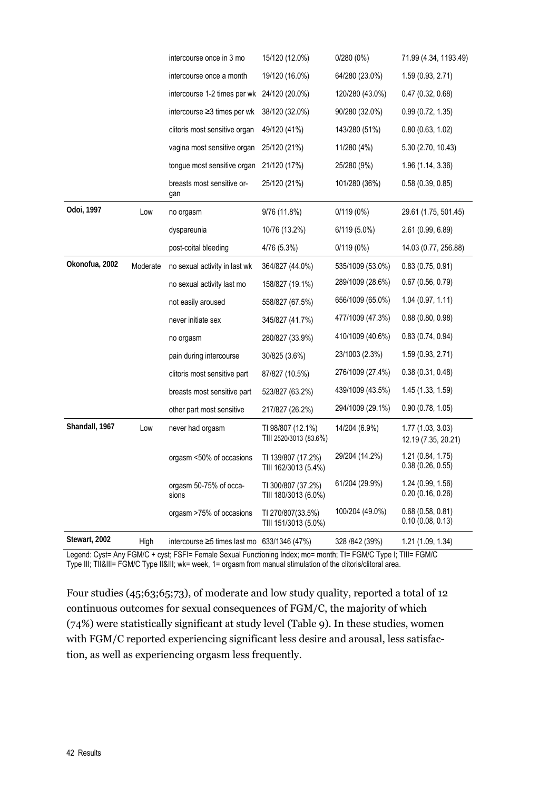|                |          | intercourse once in 3 mo                          | 15/120 (12.0%)                              | 0/280(0%)        | 71.99 (4.34, 1193.49)                    |
|----------------|----------|---------------------------------------------------|---------------------------------------------|------------------|------------------------------------------|
|                |          | intercourse once a month                          | 19/120 (16.0%)                              | 64/280 (23.0%)   | 1.59 (0.93, 2.71)                        |
|                |          | intercourse 1-2 times per wk 24/120 (20.0%)       |                                             | 120/280 (43.0%)  | 0.47(0.32, 0.68)                         |
|                |          | intercourse $\geq$ 3 times per wk                 | 38/120 (32.0%)                              | 90/280 (32.0%)   | 0.99(0.72, 1.35)                         |
|                |          | clitoris most sensitive organ                     | 49/120 (41%)                                | 143/280 (51%)    | 0.80(0.63, 1.02)                         |
|                |          | vagina most sensitive organ                       | 25/120 (21%)                                | 11/280 (4%)      | 5.30 (2.70, 10.43)                       |
|                |          | tongue most sensitive organ                       | 21/120 (17%)                                | 25/280 (9%)      | 1.96 (1.14, 3.36)                        |
|                |          | breasts most sensitive or-<br>gan                 | 25/120 (21%)                                | 101/280 (36%)    | 0.58(0.39, 0.85)                         |
| Odoi, 1997     | Low      | no orgasm                                         | 9/76 (11.8%)                                | $0/119(0\%)$     | 29.61 (1.75, 501.45)                     |
|                |          | dyspareunia                                       | 10/76 (13.2%)                               | $6/119(5.0\%)$   | 2.61 (0.99, 6.89)                        |
|                |          | post-coital bleeding                              | 4/76 (5.3%)                                 | $0/119(0\%)$     | 14.03 (0.77, 256.88)                     |
| Okonofua, 2002 | Moderate | no sexual activity in last wk                     | 364/827 (44.0%)                             | 535/1009 (53.0%) | 0.83(0.75, 0.91)                         |
|                |          | no sexual activity last mo                        | 158/827 (19.1%)                             | 289/1009 (28.6%) | $0.67$ (0.56, 0.79)                      |
|                |          | not easily aroused                                | 558/827 (67.5%)                             | 656/1009 (65.0%) | 1.04(0.97, 1.11)                         |
|                |          | never initiate sex                                | 345/827 (41.7%)                             | 477/1009 (47.3%) | 0.88(0.80, 0.98)                         |
|                |          | no orgasm                                         | 280/827 (33.9%)                             | 410/1009 (40.6%) | 0.83(0.74, 0.94)                         |
|                |          | pain during intercourse                           | 30/825 (3.6%)                               | 23/1003 (2.3%)   | 1.59 (0.93, 2.71)                        |
|                |          | clitoris most sensitive part                      | 87/827 (10.5%)                              | 276/1009 (27.4%) | 0.38(0.31, 0.48)                         |
|                |          | breasts most sensitive part                       | 523/827 (63.2%)                             | 439/1009 (43.5%) | 1.45 (1.33, 1.59)                        |
|                |          | other part most sensitive                         | 217/827 (26.2%)                             | 294/1009 (29.1%) | 0.90(0.78, 1.05)                         |
| Shandall, 1967 | Low      | never had orgasm                                  | TI 98/807 (12.1%)<br>TIII 2520/3013 (83.6%) | 14/204 (6.9%)    | 1.77 (1.03, 3.03)<br>12.19 (7.35, 20.21) |
|                |          | orgasm <50% of occasions                          | TI 139/807 (17.2%)<br>TIII 162/3013 (5.4%)  | 29/204 (14.2%)   | 1.21 (0.84, 1.75)<br>0.38(0.26, 0.55)    |
|                |          | orgasm 50-75% of occa-<br>sions                   | TI 300/807 (37.2%)<br>TIII 180/3013 (6.0%)  | 61/204 (29.9%)   | 1.24(0.99, 1.56)<br>0.20(0.16, 0.26)     |
|                |          | orgasm >75% of occasions                          | TI 270/807(33.5%)<br>TIII 151/3013 (5.0%)   | 100/204 (49.0%)  | 0.68(0.58, 0.81)<br>0.10(0.08, 0.13)     |
| Stewart, 2002  | High     | intercourse $\geq$ 5 times last mo 633/1346 (47%) |                                             | 328 / 842 (39%)  | 1.21 (1.09, 1.34)                        |

Legend: Cyst= Any FGM/C + cyst; FSFI= Female Sexual Functioning Index; mo= month; TI= FGM/C Type I; TIII= FGM/C Type III; TII&III= FGM/C Type II&III; wk= week, 1= orgasm from manual stimulation of the clitoris/clitoral area.

Four studies (45;63;65;73), of moderate and low study quality, reported a total of 12 continuous outcomes for sexual consequences of FGM/C, the majority of which (74%) were statistically significant at study level (Table 9). In these studies, women with FGM/C reported experiencing significant less desire and arousal, less satisfaction, as well as experiencing orgasm less frequently.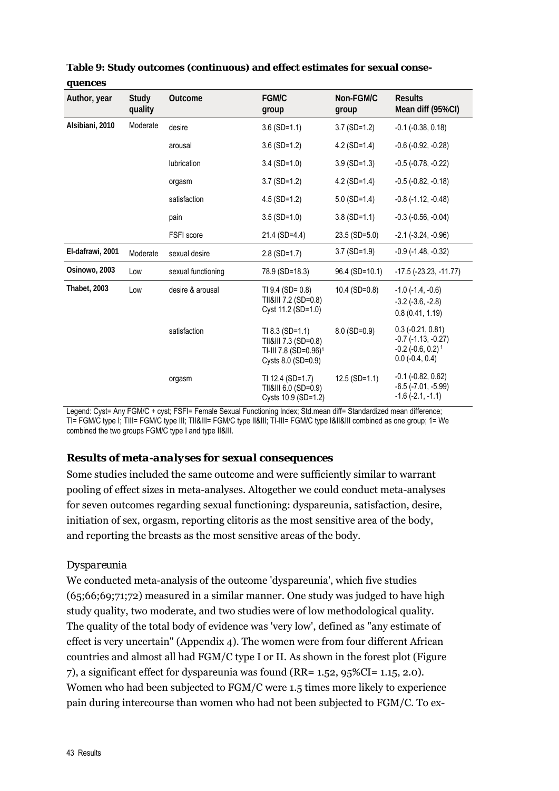| Author, year     | Study<br>quality | Outcome            | <b>FGM/C</b><br>group                                                                              | Non-FGM/C<br>group | <b>Results</b><br>Mean diff (95%CI)                                                                                |
|------------------|------------------|--------------------|----------------------------------------------------------------------------------------------------|--------------------|--------------------------------------------------------------------------------------------------------------------|
| Alsibiani, 2010  | Moderate         | desire             | $3.6$ (SD=1.1)                                                                                     | $3.7 (SD=1.2)$     | $-0.1$ $(-0.38, 0.18)$                                                                                             |
|                  |                  | arousal            | $3.6$ (SD=1.2)                                                                                     | 4.2 (SD=1.4)       | $-0.6$ ( $-0.92$ , $-0.28$ )                                                                                       |
|                  |                  | lubrication        | $3.4$ (SD=1.0)                                                                                     | $3.9$ (SD=1.3)     | $-0.5$ ( $-0.78$ , $-0.22$ )                                                                                       |
|                  |                  | orgasm             | $3.7$ (SD=1.2)                                                                                     | $4.2$ (SD=1.4)     | $-0.5$ ( $-0.82$ , $-0.18$ )                                                                                       |
|                  |                  | satisfaction       | $4.5$ (SD=1.2)                                                                                     | $5.0$ (SD=1.4)     | $-0.8$ ( $-1.12$ , $-0.48$ )                                                                                       |
|                  |                  | pain               | $3.5$ (SD=1.0)                                                                                     | $3.8$ (SD=1.1)     | $-0.3$ ( $-0.56$ , $-0.04$ )                                                                                       |
|                  |                  | FSFI score         | 21.4 (SD=4.4)                                                                                      | $23.5$ (SD=5.0)    | $-2.1$ $(-3.24, -0.96)$                                                                                            |
| El-dafrawi, 2001 | Moderate         | sexual desire      | $2.8$ (SD=1.7)                                                                                     | $3.7$ (SD=1.9)     | $-0.9$ ( $-1.48$ , $-0.32$ )                                                                                       |
| Osinowo, 2003    | Low              | sexual functioning | 78.9 (SD=18.3)                                                                                     | 96.4 (SD=10.1)     | $-17.5$ ( $-23.23$ , $-11.77$ )                                                                                    |
| Thabet, 2003     | Low              | desire & arousal   | TI $9.4$ (SD= 0.8)<br>TII&III 7.2 (SD=0.8)<br>Cyst 11.2 (SD=1.0)                                   | $10.4$ (SD=0.8)    | $-1.0$ ( $-1.4$ , $-0.6$ )<br>$-3.2$ ( $-3.6$ , $-2.8$ )<br>0.8(0.41, 1.19)                                        |
|                  |                  | satisfaction       | TI 8.3 (SD=1.1)<br>TII&III 7.3 (SD=0.8)<br>TI-III 7.8 (SD=0.96) <sup>1</sup><br>Cysts 8.0 (SD=0.9) | $8.0$ (SD=0.9)     | $0.3$ (-0.21, 0.81)<br>$-0.7$ ( $-1.13$ , $-0.27$ )<br>$-0.2$ ( $-0.6$ , $0.2$ ) <sup>1</sup><br>$0.0$ (-0.4, 0.4) |
|                  |                  | orgasm             | TI 12.4 (SD=1.7)<br>TII&III 6.0 (SD=0.9)<br>Cysts 10.9 (SD=1.2)                                    | $12.5$ (SD=1.1)    | $-0.1$ ( $-0.82, 0.62$ )<br>$-6.5$ ( $-7.01$ , $-5.99$ )<br>$-1.6$ ( $-2.1, -1.1$ )                                |

#### **Table 9: Study outcomes (continuous) and effect estimates for sexual consequences**

Legend: Cyst= Any FGM/C + cyst; FSFI= Female Sexual Functioning Index; Std.mean diff= Standardized mean difference; TI= FGM/C type I; TIII= FGM/C type III; TII&III= FGM/C type II&III; TI-III= FGM/C type I&II&III combined as one group; 1= We combined the two groups FGM/C type I and type II&III.

## *Results of meta-analyses for sexual consequences*

Some studies included the same outcome and were sufficiently similar to warrant pooling of effect sizes in meta-analyses. Altogether we could conduct meta-analyses for seven outcomes regarding sexual functioning: dyspareunia, satisfaction, desire, initiation of sex, orgasm, reporting clitoris as the most sensitive area of the body, and reporting the breasts as the most sensitive areas of the body.

## *Dyspareunia*

We conducted meta-analysis of the outcome 'dyspareunia', which five studies (65;66;69;71;72) measured in a similar manner. One study was judged to have high study quality, two moderate, and two studies were of low methodological quality. The quality of the total body of evidence was 'very low', defined as "any estimate of effect is very uncertain" (Appendix 4). The women were from four different African countries and almost all had FGM/C type I or II. As shown in the forest plot (Figure 7), a significant effect for dyspareunia was found (RR= 1.52, 95%CI= 1.15, 2.0). Women who had been subjected to FGM/C were 1.5 times more likely to experience pain during intercourse than women who had not been subjected to FGM/C. To ex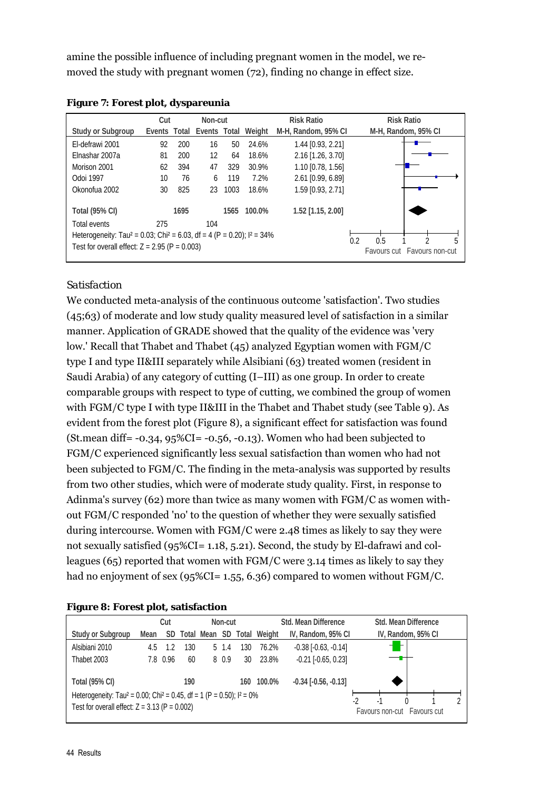amine the possible influence of including pregnant women in the model, we removed the study with pregnant women (72), finding no change in effect size.

|                                                                                                  | Cut          |      | Non-cut      |      |        | <b>Risk Ratio</b>   | <b>Risk Ratio</b>                                   |  |  |
|--------------------------------------------------------------------------------------------------|--------------|------|--------------|------|--------|---------------------|-----------------------------------------------------|--|--|
| <b>Study or Subgroup</b>                                                                         | Events Total |      | Events Total |      | Weight | M-H, Random, 95% CI | M-H, Random, 95% CI                                 |  |  |
| El-defrawi 2001                                                                                  | 92           | 200  | 16           | 50   | 24.6%  | 1.44 [0.93, 2.21]   |                                                     |  |  |
| Elnashar 2007a                                                                                   | 81           | 200  | 12           | 64   | 18.6%  | 2.16 [1.26, 3.70]   |                                                     |  |  |
| Morison 2001                                                                                     | 62           | 394  | 47           | 329  | 30.9%  | 1.10 [0.78, 1.56]   |                                                     |  |  |
| Odoi 1997                                                                                        | 10           | 76   | 6            | 119  | 7.2%   | 2.61 [0.99, 6.89]   |                                                     |  |  |
| Okonofua 2002                                                                                    | 30           | 825  | 23           | 1003 | 18.6%  | 1.59 [0.93, 2.71]   |                                                     |  |  |
| <b>Total (95% CI)</b>                                                                            |              | 1695 |              | 1565 | 100.0% | 1.52 [1.15, 2.00]   |                                                     |  |  |
| Total events                                                                                     | 275          |      | 104          |      |        |                     |                                                     |  |  |
| Heterogeneity: Tau <sup>2</sup> = 0.03; Chi <sup>2</sup> = 6.03, df = 4 (P = 0.20); $I^2 = 34\%$ |              |      |              |      |        |                     |                                                     |  |  |
| Test for overall effect: $Z = 2.95$ (P = 0.003)                                                  |              |      |              |      |        |                     | 2<br>0.2<br>0.5<br>5<br>Favours cut Favours non-cut |  |  |

|  |  |  |  | Figure 7: Forest plot, dyspareunia |  |
|--|--|--|--|------------------------------------|--|
|--|--|--|--|------------------------------------|--|

## *Satisfaction*

We conducted meta-analysis of the continuous outcome 'satisfaction'. Two studies (45;63) of moderate and low study quality measured level of satisfaction in a similar manner. Application of GRADE showed that the quality of the evidence was 'very low.' Recall that Thabet and Thabet (45) analyzed Egyptian women with FGM/C type I and type II&III separately while Alsibiani (63) treated women (resident in Saudi Arabia) of any category of cutting (I–III) as one group. In order to create comparable groups with respect to type of cutting, we combined the group of women with FGM/C type I with type II&III in the Thabet and Thabet study (see Table 9). As evident from the forest plot (Figure 8), a significant effect for satisfaction was found (St.mean diff=  $-0.34$ ,  $95\%CI = -0.56$ ,  $-0.13$ ). Women who had been subjected to FGM/C experienced significantly less sexual satisfaction than women who had not been subjected to FGM/C. The finding in the meta-analysis was supported by results from two other studies, which were of moderate study quality. First, in response to Adinma's survey (62) more than twice as many women with FGM/C as women without FGM/C responded 'no' to the question of whether they were sexually satisfied during intercourse. Women with FGM/C were 2.48 times as likely to say they were not sexually satisfied (95%CI= 1.18, 5.21). Second, the study by El-dafrawi and colleagues (65) reported that women with FGM/C were 3.14 times as likely to say they had no enjoyment of sex (95%CI= 1.55, 6.36) compared to women without FGM/C.

#### **Figure 8: Forest plot, satisfaction**

|                                                                                                | Non-cut<br>Cut |          |     |  |       |     | <b>Std. Mean Difference</b>   | <b>Std. Mean Difference</b> |                             |  |
|------------------------------------------------------------------------------------------------|----------------|----------|-----|--|-------|-----|-------------------------------|-----------------------------|-----------------------------|--|
| <b>Study or Subgroup</b>                                                                       | Mean           |          |     |  |       |     | SD Total Mean SD Total Weight | IV, Random, 95% CI          | IV, Random, 95% CI          |  |
| Alsibiani 2010                                                                                 | 4.5            | 1.2      | 130 |  | 5 1.4 | 130 | 76.2%                         | $-0.38$ $[-0.63, -0.14]$    |                             |  |
| Thabet 2003                                                                                    |                | 7.8 0.96 | 60  |  | 8 0.9 | 30  | 23.8%                         | $-0.21$ $[-0.65, 0.23]$     |                             |  |
| <b>Total (95% CI)</b>                                                                          |                |          | 190 |  |       | 160 | 100.0%                        | $-0.34$ $[-0.56, -0.13]$    |                             |  |
| Heterogeneity: Tau <sup>2</sup> = 0.00; Chi <sup>2</sup> = 0.45, df = 1 (P = 0.50); $1^2$ = 0% |                |          |     |  |       |     |                               |                             |                             |  |
| Test for overall effect: $Z = 3.13$ (P = 0.002)                                                |                |          |     |  |       |     |                               |                             | Favours non-cut Favours cut |  |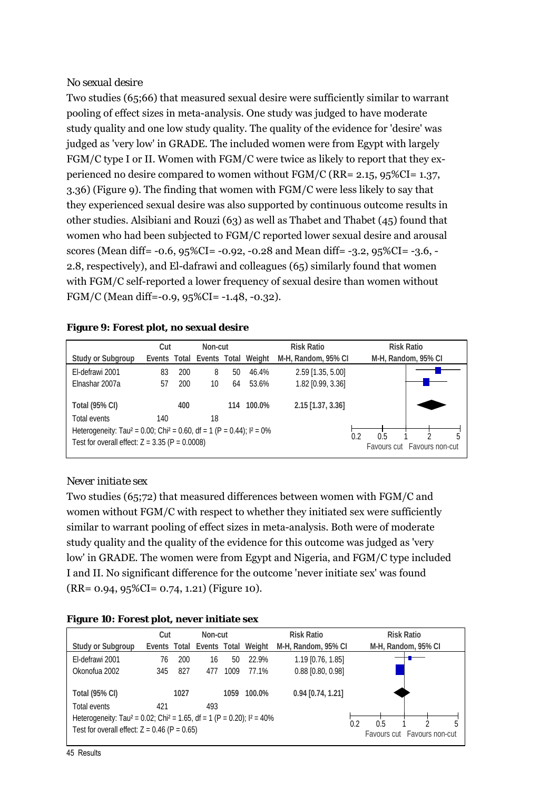## *No sexual desire*

Two studies (65;66) that measured sexual desire were sufficiently similar to warrant pooling of effect sizes in meta-analysis. One study was judged to have moderate study quality and one low study quality. The quality of the evidence for 'desire' was judged as 'very low' in GRADE. The included women were from Egypt with largely FGM/C type I or II. Women with FGM/C were twice as likely to report that they experienced no desire compared to women without FGM/C (RR= 2.15, 95%CI= 1.37, 3.36) (Figure 9). The finding that women with FGM/C were less likely to say that they experienced sexual desire was also supported by continuous outcome results in other studies. Alsibiani and Rouzi (63) as well as Thabet and Thabet (45) found that women who had been subjected to FGM/C reported lower sexual desire and arousal scores (Mean diff= -0.6, 95%CI= -0.92, -0.28 and Mean diff= -3.2, 95%CI= -3.6, - 2.8, respectively), and El-dafrawi and colleagues (65) similarly found that women with FGM/C self-reported a lower frequency of sexual desire than women without FGM/C (Mean diff=-0.9, 95%CI= -1.48, -0.32).

#### **Figure 9: Forest plot, no sexual desire**

|                                                                                                                                                     | Cut |     | Non-cut                          |                                  |        | <b>Risk Ratio</b>   |  | <b>Risk Ratio</b>   |  |
|-----------------------------------------------------------------------------------------------------------------------------------------------------|-----|-----|----------------------------------|----------------------------------|--------|---------------------|--|---------------------|--|
| <b>Study or Subgroup</b>                                                                                                                            |     |     | Events Total Events Total Weight |                                  |        | M-H, Random, 95% CI |  | M-H, Random, 95% CI |  |
| El-defrawi 2001                                                                                                                                     | 83  | 200 | 8                                | 50                               | 46.4%  | 2.59 [1.35, 5.00]   |  |                     |  |
| Elnashar 2007a                                                                                                                                      | 57  | 200 | 10                               | 64                               | 53.6%  | 1.82 [0.99, 3.36]   |  |                     |  |
| <b>Total (95% CI)</b>                                                                                                                               |     | 400 |                                  | 114                              | 100.0% | 2.15 [1.37, 3.36]   |  |                     |  |
| Total events                                                                                                                                        | 140 |     | 18                               |                                  |        |                     |  |                     |  |
| Heterogeneity: Tau <sup>2</sup> = 0.00; Chi <sup>2</sup> = 0.60, df = 1 (P = 0.44); $1^2 = 0\%$<br>Test for overall effect: $Z = 3.35$ (P = 0.0008) |     |     | 0.5<br>0.2                       | າ<br>Favours cut Favours non-cut | 5      |                     |  |                     |  |

#### *Never initiate sex*

Two studies (65;72) that measured differences between women with FGM/C and women without FGM/C with respect to whether they initiated sex were sufficiently similar to warrant pooling of effect sizes in meta-analysis. Both were of moderate study quality and the quality of the evidence for this outcome was judged as 'very low' in GRADE. The women were from Egypt and Nigeria, and FGM/C type included I and II. No significant difference for the outcome 'never initiate sex' was found (RR= 0.94, 95%CI= 0.74, 1.21) (Figure 10).

#### **Figure 10: Forest plot, never initiate sex**

|                                                                                                 | Cut |                                           | Non-cut |      |                                  | <b>Risk Ratio</b>   | <b>Risk Ratio</b>   |
|-------------------------------------------------------------------------------------------------|-----|-------------------------------------------|---------|------|----------------------------------|---------------------|---------------------|
| <b>Study or Subgroup</b>                                                                        |     |                                           |         |      | Events Total Events Total Weight | M-H, Random, 95% CI | M-H, Random, 95% CI |
| El-defrawi 2001                                                                                 | 76  | 200                                       | 16      | 50   | 22.9%                            | 1.19 [0.76, 1.85]   |                     |
| Okonofua 2002                                                                                   | 345 | 827                                       | 477     | 1009 | 77.1%                            | $0.88$ [0.80, 0.98] |                     |
|                                                                                                 |     |                                           |         |      |                                  |                     |                     |
| <b>Total (95% CI)</b>                                                                           |     | 1027                                      |         | 1059 | 100.0%                           | $0.94$ [0.74, 1.21] |                     |
| Total events                                                                                    | 421 |                                           | 493     |      |                                  |                     |                     |
| Heterogeneity: Tau <sup>2</sup> = 0.02; Chi <sup>2</sup> = 1.65, df = 1 (P = 0.20); $1^2$ = 40% |     | ◠                                         |         |      |                                  |                     |                     |
| Test for overall effect: $Z = 0.46$ (P = 0.65)                                                  |     | 0.2<br>0.5<br>Favours cut Favours non-cut |         |      |                                  |                     |                     |
|                                                                                                 |     |                                           |         |      |                                  |                     |                     |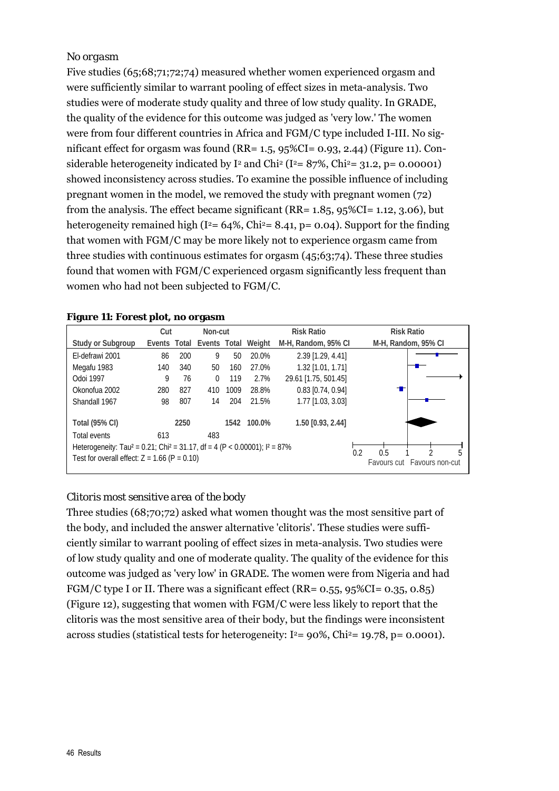## *No orgasm*

Five studies (65;68;71;72;74) measured whether women experienced orgasm and were sufficiently similar to warrant pooling of effect sizes in meta-analysis. Two studies were of moderate study quality and three of low study quality. In GRADE, the quality of the evidence for this outcome was judged as 'very low.' The women were from four different countries in Africa and FGM/C type included I-III. No significant effect for orgasm was found (RR= 1.5, 95%CI= 0.93, 2.44) (Figure 11). Considerable heterogeneity indicated by I<sup>2</sup> and Chi<sup>2</sup> (I<sup>2</sup>= 87%, Chi<sup>2</sup>= 31.2, p= 0.00001) showed inconsistency across studies. To examine the possible influence of including pregnant women in the model, we removed the study with pregnant women (72) from the analysis. The effect became significant (RR= 1.85, 95%CI= 1.12, 3.06), but heterogeneity remained high ( $I^2$ = 64%, Chi<sup>2</sup>= 8.41, p= 0.04). Support for the finding that women with FGM/C may be more likely not to experience orgasm came from three studies with continuous estimates for orgasm (45;63;74). These three studies found that women with FGM/C experienced orgasm significantly less frequent than women who had not been subjected to FGM/C.

#### **Figure 11: Forest plot, no orgasm**

|                                                                                                      | Cut                  | Non-cut                          |        | <b>Risk Ratio</b>    | <b>Risk Ratio</b>           |
|------------------------------------------------------------------------------------------------------|----------------------|----------------------------------|--------|----------------------|-----------------------------|
| <b>Study or Subgroup</b>                                                                             |                      | Events Total Events Total Weight |        | M-H, Random, 95% CI  | M-H, Random, 95% CI         |
| El-defrawi 2001                                                                                      | 200<br>86            | 50<br>9                          | 20.0%  | 2.39 [1.29, 4.41]    |                             |
| Megafu 1983                                                                                          | 140<br>340           | 50<br>160                        | 27.0%  | 1.32 [1.01, 1.71]    | a series de la propie       |
| Odoi 1997                                                                                            | 76<br>9              | 119<br>$\mathbf{0}$              | 2.7%   | 29.61 [1.75, 501.45] |                             |
| Okonofua 2002                                                                                        | 827<br>280           | 1009<br>410                      | 28.8%  | $0.83$ [0.74, 0.94]  | ┱                           |
| Shandall 1967                                                                                        | 807<br>98            | 14<br>204                        | 21.5%  | 1.77 [1.03, 3.03]    |                             |
| Total (95% CI)                                                                                       | 2250                 | 1542                             | 100.0% | 1.50 [0.93, 2.44]    |                             |
| Total events                                                                                         | 613                  | 483                              |        |                      |                             |
| Heterogeneity: Tau <sup>2</sup> = 0.21; Chi <sup>2</sup> = 31.17, df = 4 (P < 0.00001); $I^2 = 87\%$ | 0.2<br>0.5<br>っ<br>5 |                                  |        |                      |                             |
| Test for overall effect: $Z = 1.66$ (P = 0.10)                                                       |                      |                                  |        |                      | Favours cut Favours non-cut |

## *Clitoris most sensitive area of the body*

Three studies (68;70;72) asked what women thought was the most sensitive part of the body, and included the answer alternative 'clitoris'. These studies were sufficiently similar to warrant pooling of effect sizes in meta-analysis. Two studies were of low study quality and one of moderate quality. The quality of the evidence for this outcome was judged as 'very low' in GRADE. The women were from Nigeria and had FGM/C type I or II. There was a significant effect (RR=  $0.55$ ,  $95\%$ CI=  $0.35$ ,  $0.85$ ) (Figure 12), suggesting that women with FGM/C were less likely to report that the clitoris was the most sensitive area of their body, but the findings were inconsistent across studies (statistical tests for heterogeneity:  $I^2 = 90\%$ , Chi<sup>2</sup>= 19.78, p= 0.0001).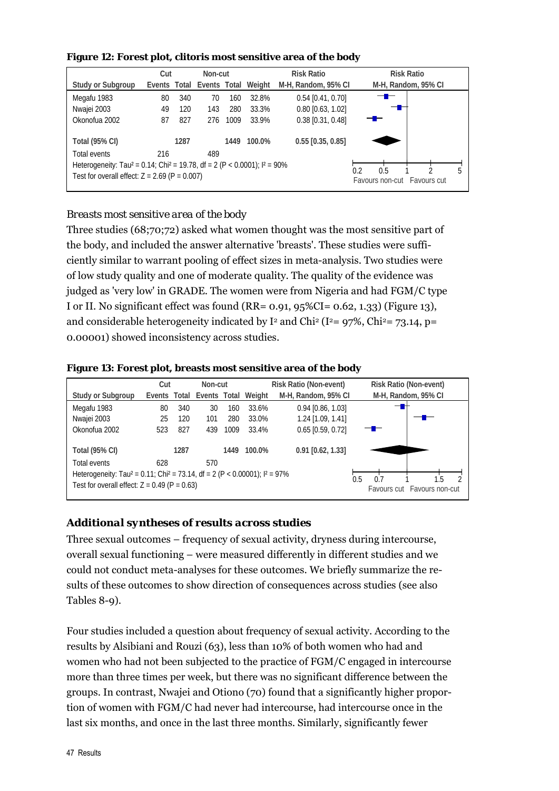#### **Figure 12: Forest plot, clitoris most sensitive area of the body**

|                                                                                                    | Cut                       | Non-cut |                      |        | <b>Risk Ratio</b>   | <b>Risk Ratio</b>           |  |
|----------------------------------------------------------------------------------------------------|---------------------------|---------|----------------------|--------|---------------------|-----------------------------|--|
| <b>Study or Subgroup</b>                                                                           | Events Total Events Total |         |                      | Weight | M-H, Random, 95% CI | M-H, Random, 95% CI         |  |
| Megafu 1983                                                                                        | 340<br>80                 | 70      | 160                  | 32.8%  | $0.54$ [0.41, 0.70] | $-$                         |  |
| Nwajei 2003                                                                                        | 120<br>49                 | 143     | 280                  | 33.3%  | $0.80$ [0.63, 1.02] |                             |  |
| Okonofua 2002                                                                                      | 827<br>87                 | 276     | 1009                 | 33.9%  | $0.38$ [0.31, 0.48] |                             |  |
| <b>Total (95% CI)</b>                                                                              | 1287                      |         | 1449                 | 100.0% | $0.55$ [0.35, 0.85] |                             |  |
| Total events                                                                                       | 216                       | 489     |                      |        |                     |                             |  |
| Heterogeneity: Tau <sup>2</sup> = 0.14; Chi <sup>2</sup> = 19.78, df = 2 (P < 0.0001); $I^2$ = 90% |                           |         | າ<br>0.2<br>5<br>0.5 |        |                     |                             |  |
| Test for overall effect: $Z = 2.69$ (P = 0.007)                                                    |                           |         |                      |        |                     | Favours non-cut Favours cut |  |

## *Breasts most sensitive area of the body*

Three studies (68;70;72) asked what women thought was the most sensitive part of the body, and included the answer alternative 'breasts'. These studies were sufficiently similar to warrant pooling of effect sizes in meta-analysis. Two studies were of low study quality and one of moderate quality. The quality of the evidence was judged as 'very low' in GRADE. The women were from Nigeria and had FGM/C type I or II. No significant effect was found (RR= 0.91, 95%CI= 0.62, 1.33) (Figure 13), and considerable heterogeneity indicated by I<sup>2</sup> and Chi<sup>2</sup> (I<sup>2</sup>= 97%, Chi<sup>2</sup>= 73.14, p= 0.00001) showed inconsistency across studies.

#### **Figure 13: Forest plot, breasts most sensitive area of the body**

|                                                                                                      | Cut                              |      | Non-cut           |      |        | <b>Risk Ratio (Non-event)</b> | <b>Risk Ratio (Non-event)</b> |
|------------------------------------------------------------------------------------------------------|----------------------------------|------|-------------------|------|--------|-------------------------------|-------------------------------|
| <b>Study or Subgroup</b>                                                                             | Events Total Events Total Weight |      |                   |      |        | M-H, Random, 95% CI           | M-H, Random, 95% CI           |
| Megafu 1983                                                                                          | 80                               | 340  | 30                | 160  | 33.6%  | $0.94$ [0.86, 1.03]           |                               |
| Nwajei 2003                                                                                          | 25                               | 120  | 101               | 280  | 33.0%  | 1.24 [1.09, 1.41]             |                               |
| Okonofua 2002                                                                                        | 523                              | 827  | 439               | 1009 | 33.4%  | $0.65$ [0.59, 0.72]           | — —                           |
| Total (95% CI)                                                                                       |                                  | 1287 |                   | 1449 | 100.0% | $0.91$ [0.62, 1.33]           |                               |
| Total events                                                                                         | 628                              |      | 570               |      |        |                               |                               |
| Heterogeneity: Tau <sup>2</sup> = 0.11; Chi <sup>2</sup> = 73.14, df = 2 (P < 0.00001); $I^2 = 97\%$ |                                  |      | 0.7<br>0.5<br>1.5 |      |        |                               |                               |
| Test for overall effect: $Z = 0.49$ (P = 0.63)                                                       |                                  |      |                   |      |        |                               | Favours cut Favours non-cut   |

## *Additional syntheses of results across studies*

Three sexual outcomes – frequency of sexual activity, dryness during intercourse, overall sexual functioning – were measured differently in different studies and we could not conduct meta-analyses for these outcomes. We briefly summarize the results of these outcomes to show direction of consequences across studies (see also Tables 8-9).

Four studies included a question about frequency of sexual activity. According to the results by Alsibiani and Rouzi (63), less than 10% of both women who had and women who had not been subjected to the practice of FGM/C engaged in intercourse more than three times per week, but there was no significant difference between the groups. In contrast, Nwajei and Otiono (70) found that a significantly higher proportion of women with FGM/C had never had intercourse, had intercourse once in the last six months, and once in the last three months. Similarly, significantly fewer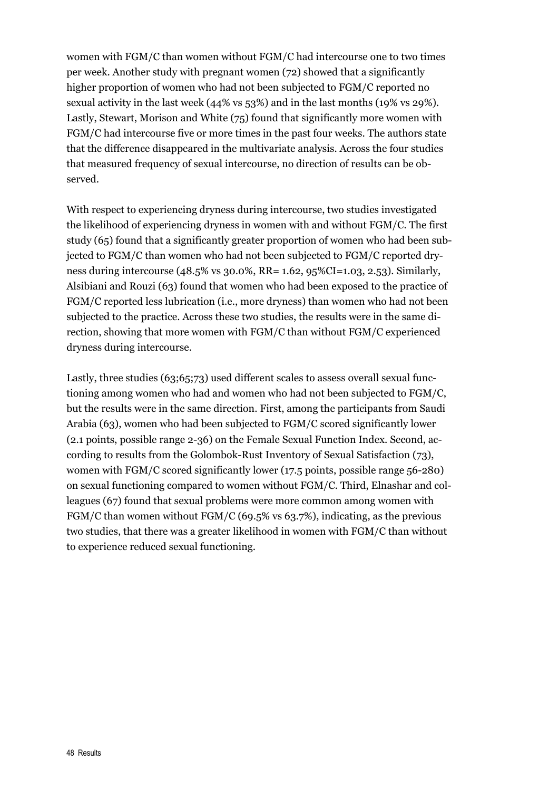women with FGM/C than women without FGM/C had intercourse one to two times per week. Another study with pregnant women (72) showed that a significantly higher proportion of women who had not been subjected to FGM/C reported no sexual activity in the last week (44% vs 53%) and in the last months (19% vs 29%). Lastly, Stewart, Morison and White (75) found that significantly more women with FGM/C had intercourse five or more times in the past four weeks. The authors state that the difference disappeared in the multivariate analysis. Across the four studies that measured frequency of sexual intercourse, no direction of results can be observed.

With respect to experiencing dryness during intercourse, two studies investigated the likelihood of experiencing dryness in women with and without FGM/C. The first study (65) found that a significantly greater proportion of women who had been subjected to FGM/C than women who had not been subjected to FGM/C reported dryness during intercourse (48.5% vs 30.0%, RR= 1.62, 95%CI=1.03, 2.53). Similarly, Alsibiani and Rouzi (63) found that women who had been exposed to the practice of FGM/C reported less lubrication (i.e., more dryness) than women who had not been subjected to the practice. Across these two studies, the results were in the same direction, showing that more women with FGM/C than without FGM/C experienced dryness during intercourse.

Lastly, three studies (63;65;73) used different scales to assess overall sexual functioning among women who had and women who had not been subjected to FGM/C, but the results were in the same direction. First, among the participants from Saudi Arabia (63), women who had been subjected to FGM/C scored significantly lower (2.1 points, possible range 2-36) on the Female Sexual Function Index. Second, according to results from the Golombok-Rust Inventory of Sexual Satisfaction (73), women with FGM/C scored significantly lower (17.5 points, possible range 56-280) on sexual functioning compared to women without FGM/C. Third, Elnashar and colleagues (67) found that sexual problems were more common among women with FGM/C than women without FGM/C (69.5% vs 63.7%), indicating, as the previous two studies, that there was a greater likelihood in women with FGM/C than without to experience reduced sexual functioning.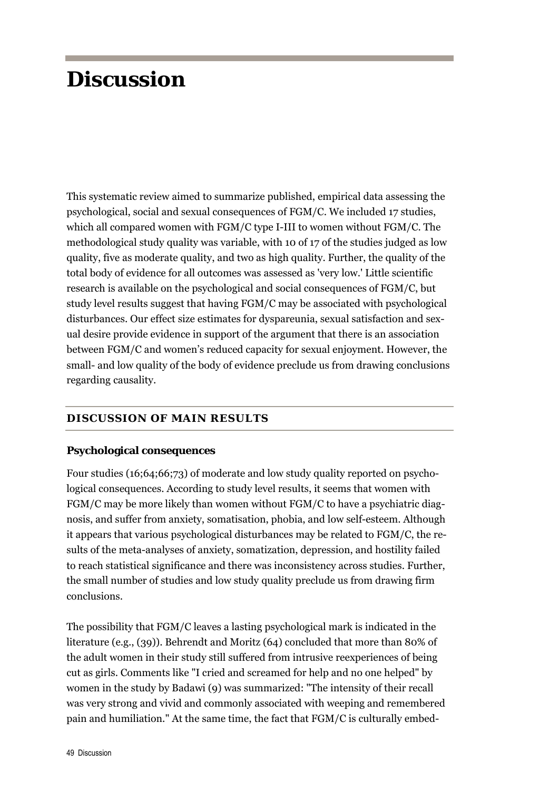## **Discussion**

This systematic review aimed to summarize published, empirical data assessing the psychological, social and sexual consequences of FGM/C. We included 17 studies, which all compared women with FGM/C type I-III to women without FGM/C. The methodological study quality was variable, with 10 of 17 of the studies judged as low quality, five as moderate quality, and two as high quality. Further, the quality of the total body of evidence for all outcomes was assessed as 'very low.' Little scientific research is available on the psychological and social consequences of FGM/C, but study level results suggest that having FGM/C may be associated with psychological disturbances. Our effect size estimates for dyspareunia, sexual satisfaction and sexual desire provide evidence in support of the argument that there is an association between FGM/C and women's reduced capacity for sexual enjoyment. However, the small- and low quality of the body of evidence preclude us from drawing conclusions regarding causality.

## **DISCUSSION OF MAIN RESULTS**

#### **Psychological consequences**

Four studies (16;64;66;73) of moderate and low study quality reported on psychological consequences. According to study level results, it seems that women with FGM/C may be more likely than women without FGM/C to have a psychiatric diagnosis, and suffer from anxiety, somatisation, phobia, and low self-esteem. Although it appears that various psychological disturbances may be related to FGM/C, the results of the meta-analyses of anxiety, somatization, depression, and hostility failed to reach statistical significance and there was inconsistency across studies. Further, the small number of studies and low study quality preclude us from drawing firm conclusions.

The possibility that FGM/C leaves a lasting psychological mark is indicated in the literature (e.g., (39)). Behrendt and Moritz (64) concluded that more than 80% of the adult women in their study still suffered from intrusive reexperiences of being cut as girls. Comments like "I cried and screamed for help and no one helped" by women in the study by Badawi (9) was summarized: "The intensity of their recall was very strong and vivid and commonly associated with weeping and remembered pain and humiliation." At the same time, the fact that FGM/C is culturally embed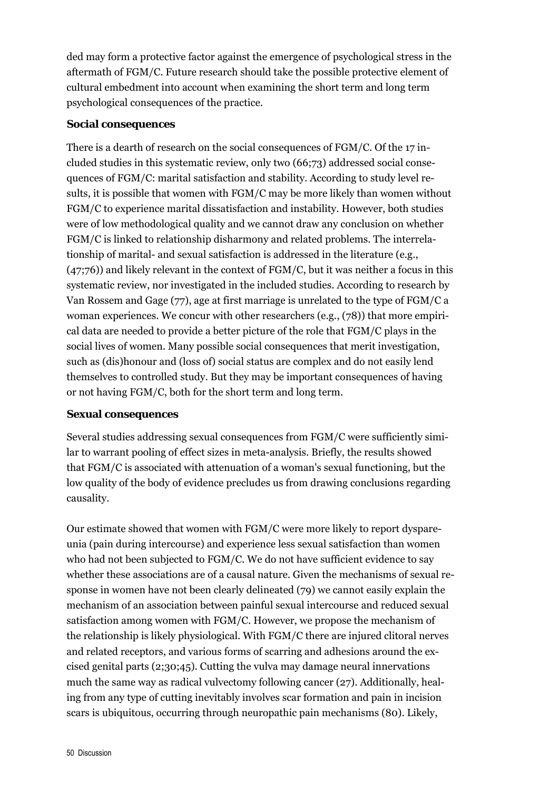ded may form a protective factor against the emergence of psychological stress in the aftermath of FGM/C. Future research should take the possible protective element of cultural embedment into account when examining the short term and long term psychological consequences of the practice.

## **Social consequences**

There is a dearth of research on the social consequences of FGM/C. Of the 17 included studies in this systematic review, only two (66;73) addressed social consequences of FGM/C: marital satisfaction and stability. According to study level results, it is possible that women with FGM/C may be more likely than women without FGM/C to experience marital dissatisfaction and instability. However, both studies were of low methodological quality and we cannot draw any conclusion on whether FGM/C is linked to relationship disharmony and related problems. The interrelationship of marital- and sexual satisfaction is addressed in the literature (e.g., (47;76)) and likely relevant in the context of FGM/C, but it was neither a focus in this systematic review, nor investigated in the included studies. According to research by Van Rossem and Gage (77), age at first marriage is unrelated to the type of FGM/C a woman experiences. We concur with other researchers (e.g., (78)) that more empirical data are needed to provide a better picture of the role that FGM/C plays in the social lives of women. Many possible social consequences that merit investigation, such as (dis)honour and (loss of) social status are complex and do not easily lend themselves to controlled study. But they may be important consequences of having or not having FGM/C, both for the short term and long term.

#### **Sexual consequences**

Several studies addressing sexual consequences from FGM/C were sufficiently similar to warrant pooling of effect sizes in meta-analysis. Briefly, the results showed that FGM/C is associated with attenuation of a woman's sexual functioning, but the low quality of the body of evidence precludes us from drawing conclusions regarding causality.

Our estimate showed that women with FGM/C were more likely to report dyspareunia (pain during intercourse) and experience less sexual satisfaction than women who had not been subjected to FGM/C. We do not have sufficient evidence to say whether these associations are of a causal nature. Given the mechanisms of sexual response in women have not been clearly delineated (79) we cannot easily explain the mechanism of an association between painful sexual intercourse and reduced sexual satisfaction among women with FGM/C. However, we propose the mechanism of the relationship is likely physiological. With FGM/C there are injured clitoral nerves and related receptors, and various forms of scarring and adhesions around the excised genital parts (2;30;45). Cutting the vulva may damage neural innervations much the same way as radical vulvectomy following cancer (27). Additionally, healing from any type of cutting inevitably involves scar formation and pain in incision scars is ubiquitous, occurring through neuropathic pain mechanisms (80). Likely,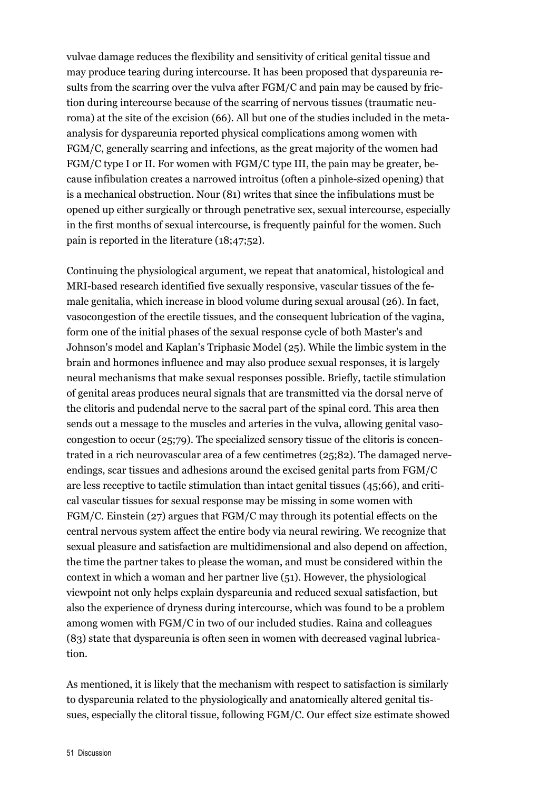vulvae damage reduces the flexibility and sensitivity of critical genital tissue and may produce tearing during intercourse. It has been proposed that dyspareunia results from the scarring over the vulva after FGM/C and pain may be caused by friction during intercourse because of the scarring of nervous tissues (traumatic neuroma) at the site of the excision (66). All but one of the studies included in the metaanalysis for dyspareunia reported physical complications among women with FGM/C, generally scarring and infections, as the great majority of the women had FGM/C type I or II. For women with FGM/C type III, the pain may be greater, because infibulation creates a narrowed introitus (often a pinhole-sized opening) that is a mechanical obstruction. Nour (81) writes that since the infibulations must be opened up either surgically or through penetrative sex, sexual intercourse, especially in the first months of sexual intercourse, is frequently painful for the women. Such pain is reported in the literature (18;47;52).

Continuing the physiological argument, we repeat that anatomical, histological and MRI-based research identified five sexually responsive, vascular tissues of the female genitalia, which increase in blood volume during sexual arousal (26). In fact, vasocongestion of the erectile tissues, and the consequent lubrication of the vagina, form one of the initial phases of the sexual response cycle of both Master's and Johnson's model and Kaplan's Triphasic Model (25). While the limbic system in the brain and hormones influence and may also produce sexual responses, it is largely neural mechanisms that make sexual responses possible. Briefly, tactile stimulation of genital areas produces neural signals that are transmitted via the dorsal nerve of the clitoris and pudendal nerve to the sacral part of the spinal cord. This area then sends out a message to the muscles and arteries in the vulva, allowing genital vasocongestion to occur (25;79). The specialized sensory tissue of the clitoris is concentrated in a rich neurovascular area of a few centimetres (25;82). The damaged nerveendings, scar tissues and adhesions around the excised genital parts from FGM/C are less receptive to tactile stimulation than intact genital tissues (45;66), and critical vascular tissues for sexual response may be missing in some women with FGM/C. Einstein (27) argues that FGM/C may through its potential effects on the central nervous system affect the entire body via neural rewiring. We recognize that sexual pleasure and satisfaction are multidimensional and also depend on affection, the time the partner takes to please the woman, and must be considered within the context in which a woman and her partner live (51). However, the physiological viewpoint not only helps explain dyspareunia and reduced sexual satisfaction, but also the experience of dryness during intercourse, which was found to be a problem among women with FGM/C in two of our included studies. Raina and colleagues (83) state that dyspareunia is often seen in women with decreased vaginal lubrication.

As mentioned, it is likely that the mechanism with respect to satisfaction is similarly to dyspareunia related to the physiologically and anatomically altered genital tissues, especially the clitoral tissue, following FGM/C. Our effect size estimate showed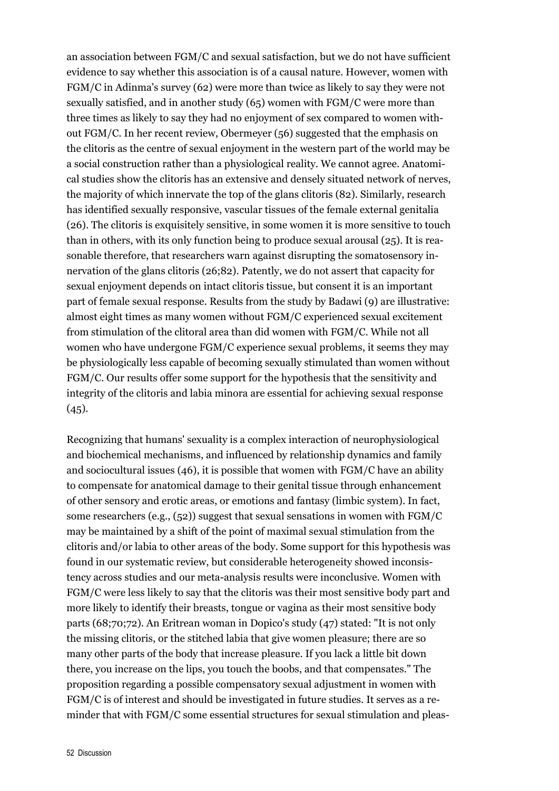an association between FGM/C and sexual satisfaction, but we do not have sufficient evidence to say whether this association is of a causal nature. However, women with FGM/C in Adinma's survey (62) were more than twice as likely to say they were not sexually satisfied, and in another study (65) women with FGM/C were more than three times as likely to say they had no enjoyment of sex compared to women without FGM/C. In her recent review, Obermeyer (56) suggested that the emphasis on the clitoris as the centre of sexual enjoyment in the western part of the world may be a social construction rather than a physiological reality. We cannot agree. Anatomical studies show the clitoris has an extensive and densely situated network of nerves, the majority of which innervate the top of the glans clitoris (82). Similarly, research has identified sexually responsive, vascular tissues of the female external genitalia (26). The clitoris is exquisitely sensitive, in some women it is more sensitive to touch than in others, with its only function being to produce sexual arousal (25). It is reasonable therefore, that researchers warn against disrupting the somatosensory innervation of the glans clitoris (26;82). Patently, we do not assert that capacity for sexual enjoyment depends on intact clitoris tissue, but consent it is an important part of female sexual response. Results from the study by Badawi (9) are illustrative: almost eight times as many women without FGM/C experienced sexual excitement from stimulation of the clitoral area than did women with FGM/C. While not all women who have undergone FGM/C experience sexual problems, it seems they may be physiologically less capable of becoming sexually stimulated than women without FGM/C. Our results offer some support for the hypothesis that the sensitivity and integrity of the clitoris and labia minora are essential for achieving sexual response  $(45).$ 

Recognizing that humans' sexuality is a complex interaction of neurophysiological and biochemical mechanisms, and influenced by relationship dynamics and family and sociocultural issues (46), it is possible that women with FGM/C have an ability to compensate for anatomical damage to their genital tissue through enhancement of other sensory and erotic areas, or emotions and fantasy (limbic system). In fact, some researchers (e.g., (52)) suggest that sexual sensations in women with FGM/C may be maintained by a shift of the point of maximal sexual stimulation from the clitoris and/or labia to other areas of the body. Some support for this hypothesis was found in our systematic review, but considerable heterogeneity showed inconsistency across studies and our meta-analysis results were inconclusive. Women with FGM/C were less likely to say that the clitoris was their most sensitive body part and more likely to identify their breasts, tongue or vagina as their most sensitive body parts (68;70;72). An Eritrean woman in Dopico's study (47) stated: "It is not only the missing clitoris, or the stitched labia that give women pleasure; there are so many other parts of the body that increase pleasure. If you lack a little bit down there, you increase on the lips, you touch the boobs, and that compensates." The proposition regarding a possible compensatory sexual adjustment in women with FGM/C is of interest and should be investigated in future studies. It serves as a reminder that with FGM/C some essential structures for sexual stimulation and pleas-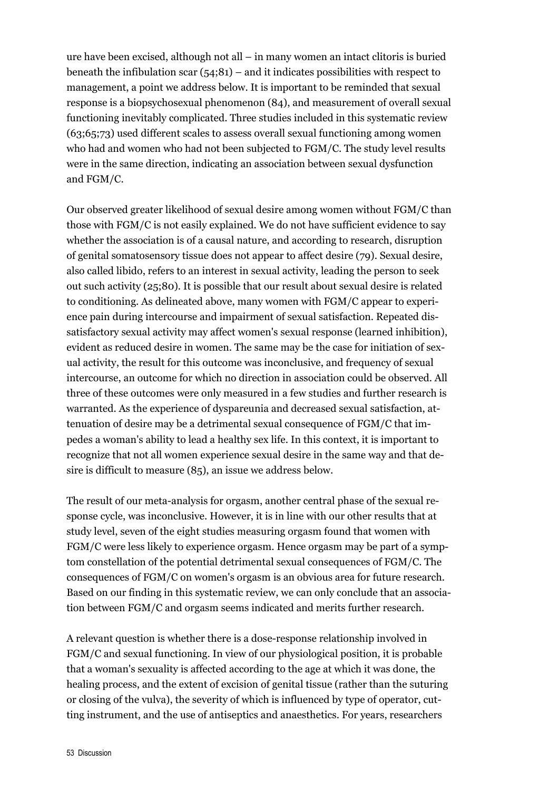ure have been excised, although not all – in many women an intact clitoris is buried beneath the infibulation scar  $(54;81)$  – and it indicates possibilities with respect to management, a point we address below. It is important to be reminded that sexual response is a biopsychosexual phenomenon (84), and measurement of overall sexual functioning inevitably complicated. Three studies included in this systematic review (63;65;73) used different scales to assess overall sexual functioning among women who had and women who had not been subjected to FGM/C. The study level results were in the same direction, indicating an association between sexual dysfunction and FGM/C.

Our observed greater likelihood of sexual desire among women without FGM/C than those with FGM/C is not easily explained. We do not have sufficient evidence to say whether the association is of a causal nature, and according to research, disruption of genital somatosensory tissue does not appear to affect desire (79). Sexual desire, also called libido, refers to an interest in sexual activity, leading the person to seek out such activity (25;80). It is possible that our result about sexual desire is related to conditioning. As delineated above, many women with FGM/C appear to experience pain during intercourse and impairment of sexual satisfaction. Repeated dissatisfactory sexual activity may affect women's sexual response (learned inhibition), evident as reduced desire in women. The same may be the case for initiation of sexual activity, the result for this outcome was inconclusive, and frequency of sexual intercourse, an outcome for which no direction in association could be observed. All three of these outcomes were only measured in a few studies and further research is warranted. As the experience of dyspareunia and decreased sexual satisfaction, attenuation of desire may be a detrimental sexual consequence of FGM/C that impedes a woman's ability to lead a healthy sex life. In this context, it is important to recognize that not all women experience sexual desire in the same way and that desire is difficult to measure (85), an issue we address below.

The result of our meta-analysis for orgasm, another central phase of the sexual response cycle, was inconclusive. However, it is in line with our other results that at study level, seven of the eight studies measuring orgasm found that women with FGM/C were less likely to experience orgasm. Hence orgasm may be part of a symptom constellation of the potential detrimental sexual consequences of FGM/C. The consequences of FGM/C on women's orgasm is an obvious area for future research. Based on our finding in this systematic review, we can only conclude that an association between FGM/C and orgasm seems indicated and merits further research.

A relevant question is whether there is a dose-response relationship involved in FGM/C and sexual functioning. In view of our physiological position, it is probable that a woman's sexuality is affected according to the age at which it was done, the healing process, and the extent of excision of genital tissue (rather than the suturing or closing of the vulva), the severity of which is influenced by type of operator, cutting instrument, and the use of antiseptics and anaesthetics. For years, researchers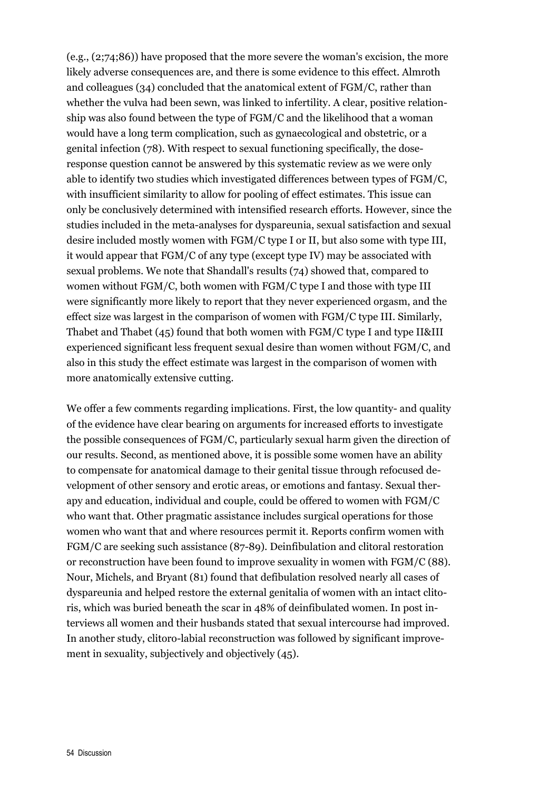(e.g., (2;74;86)) have proposed that the more severe the woman's excision, the more likely adverse consequences are, and there is some evidence to this effect. Almroth and colleagues (34) concluded that the anatomical extent of FGM/C, rather than whether the vulva had been sewn, was linked to infertility. A clear, positive relationship was also found between the type of FGM/C and the likelihood that a woman would have a long term complication, such as gynaecological and obstetric, or a genital infection (78). With respect to sexual functioning specifically, the doseresponse question cannot be answered by this systematic review as we were only able to identify two studies which investigated differences between types of FGM/C, with insufficient similarity to allow for pooling of effect estimates. This issue can only be conclusively determined with intensified research efforts. However, since the studies included in the meta-analyses for dyspareunia, sexual satisfaction and sexual desire included mostly women with FGM/C type I or II, but also some with type III, it would appear that FGM/C of *any* type (except type IV) may be associated with sexual problems. We note that Shandall's results (74) showed that, compared to women without FGM/C, both women with FGM/C type I and those with type III were significantly more likely to report that they never experienced orgasm, and the effect size was largest in the comparison of women with FGM/C type III. Similarly, Thabet and Thabet (45) found that both women with FGM/C type I and type II&III experienced significant less frequent sexual desire than women without FGM/C, and also in this study the effect estimate was largest in the comparison of women with more anatomically extensive cutting.

We offer a few comments regarding implications. First, the low quantity- and quality of the evidence have clear bearing on arguments for increased efforts to investigate the possible consequences of FGM/C, particularly sexual harm given the direction of our results. Second, as mentioned above, it is possible some women have an ability to compensate for anatomical damage to their genital tissue through refocused development of other sensory and erotic areas, or emotions and fantasy. Sexual therapy and education, individual and couple, could be offered to women with FGM/C who want that. Other pragmatic assistance includes surgical operations for those women who want that and where resources permit it. Reports confirm women with FGM/C are seeking such assistance (87-89). Deinfibulation and clitoral restoration or reconstruction have been found to improve sexuality in women with FGM/C (88). Nour, Michels, and Bryant (81) found that defibulation resolved nearly all cases of dyspareunia and helped restore the external genitalia of women with an intact clitoris, which was buried beneath the scar in 48% of deinfibulated women. In post interviews all women and their husbands stated that sexual intercourse had improved. In another study, clitoro-labial reconstruction was followed by significant improvement in sexuality, subjectively and objectively (45).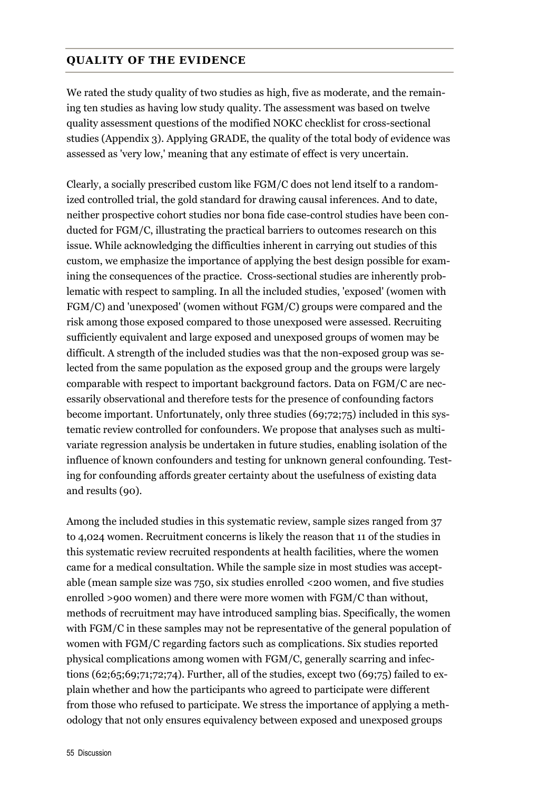## **QUALITY OF THE EVIDENCE**

We rated the study quality of two studies as high, five as moderate, and the remaining ten studies as having low study quality. The assessment was based on twelve quality assessment questions of the modified NOKC checklist for cross-sectional studies (Appendix 3). Applying GRADE, the quality of the total body of evidence was assessed as 'very low,' meaning that any estimate of effect is very uncertain.

Clearly, a socially prescribed custom like FGM/C does not lend itself to a randomized controlled trial, the gold standard for drawing causal inferences. And to date, neither prospective cohort studies nor bona fide case-control studies have been conducted for FGM/C, illustrating the practical barriers to outcomes research on this issue. While acknowledging the difficulties inherent in carrying out studies of this custom, we emphasize the importance of applying the best design possible for examining the consequences of the practice. Cross-sectional studies are inherently problematic with respect to sampling. In all the included studies, 'exposed' (women with FGM/C) and 'unexposed' (women without FGM/C) groups were compared and the risk among those exposed compared to those unexposed were assessed. Recruiting sufficiently equivalent and large exposed and unexposed groups of women may be difficult. A strength of the included studies was that the non-exposed group was selected from the same population as the exposed group and the groups were largely comparable with respect to important background factors. Data on FGM/C are necessarily observational and therefore tests for the presence of confounding factors become important. Unfortunately, only three studies (69;72;75) included in this systematic review controlled for confounders. We propose that analyses such as multivariate regression analysis be undertaken in future studies, enabling isolation of the influence of known confounders and testing for unknown general confounding. Testing for confounding affords greater certainty about the usefulness of existing data and results (90).

Among the included studies in this systematic review, sample sizes ranged from 37 to 4,024 women. Recruitment concerns is likely the reason that 11 of the studies in this systematic review recruited respondents at health facilities, where the women came for a medical consultation. While the sample size in most studies was acceptable (mean sample size was 750, six studies enrolled <200 women, and five studies enrolled >900 women) and there were more women with FGM/C than without, methods of recruitment may have introduced sampling bias. Specifically, the women with FGM/C in these samples may not be representative of the general population of women with FGM/C regarding factors such as complications. Six studies reported physical complications among women with FGM/C, generally scarring and infections  $(62; 65; 69; 71; 72; 74)$ . Further, all of the studies, except two  $(69; 75)$  failed to explain whether and how the participants who agreed to participate were different from those who refused to participate. We stress the importance of applying a methodology that not only ensures equivalency between exposed and unexposed groups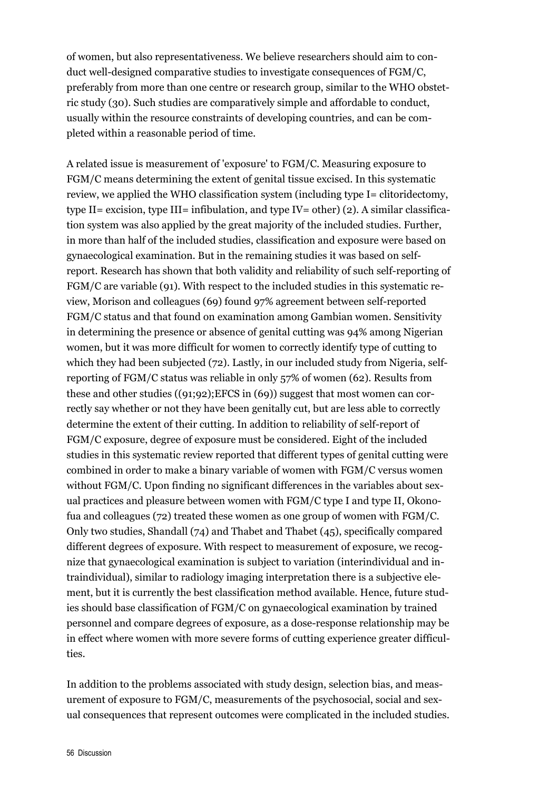of women, but also representativeness. We believe researchers should aim to conduct well-designed comparative studies to investigate consequences of FGM/C, preferably from more than one centre or research group, similar to the WHO obstetric study (30). Such studies are comparatively simple and affordable to conduct, usually within the resource constraints of developing countries, and can be completed within a reasonable period of time.

A related issue is measurement of 'exposure' to FGM/C. Measuring exposure to FGM/C means determining the extent of genital tissue excised. In this systematic review, we applied the WHO classification system (including type I= clitoridectomy, type II= excision, type III= infibulation, and type IV= other) (2). A similar classification system was also applied by the great majority of the included studies. Further, in more than half of the included studies, classification and exposure were based on gynaecological examination. But in the remaining studies it was based on selfreport. Research has shown that both validity and reliability of such self-reporting of FGM/C are variable (91). With respect to the included studies in this systematic review, Morison and colleagues (69) found 97% agreement between self-reported FGM/C status and that found on examination among Gambian women. Sensitivity in determining the presence or absence of genital cutting was 94% among Nigerian women, but it was more difficult for women to correctly identify type of cutting to which they had been subjected (72). Lastly, in our included study from Nigeria, selfreporting of FGM/C status was reliable in only 57% of women (62). Results from these and other studies ((91;92);EFCS in (69)) suggest that most women can correctly say whether or not they have been genitally cut, but are less able to correctly determine the extent of their cutting. In addition to reliability of self-report of FGM/C exposure, degree of exposure must be considered. Eight of the included studies in this systematic review reported that different types of genital cutting were combined in order to make a binary variable of women with FGM/C versus women without FGM/C. Upon finding no significant differences in the variables about sexual practices and pleasure between women with FGM/C type I and type II, Okonofua and colleagues (72) treated these women as one group of women with FGM/C. Only two studies, Shandall (74) and Thabet and Thabet (45), specifically compared different degrees of exposure. With respect to measurement of exposure, we recognize that gynaecological examination is subject to variation (interindividual and intraindividual), similar to radiology imaging interpretation there is a subjective element, but it is currently the best classification method available. Hence, future studies should base classification of FGM/C on gynaecological examination by trained personnel and compare degrees of exposure, as a dose-response relationship may be in effect where women with more severe forms of cutting experience greater difficulties.

In addition to the problems associated with study design, selection bias, and measurement of exposure to FGM/C, measurements of the psychosocial, social and sexual consequences that represent outcomes were complicated in the included studies.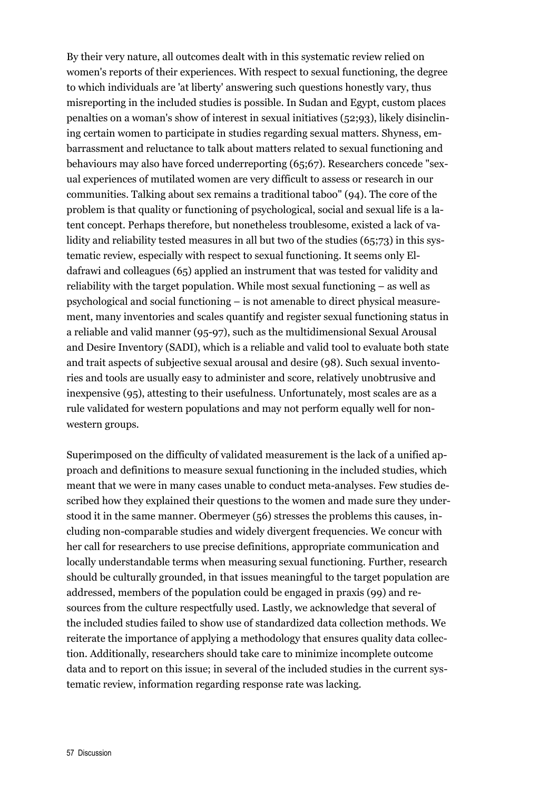By their very nature, all outcomes dealt with in this systematic review relied on women's reports of their experiences. With respect to sexual functioning, the degree to which individuals are 'at liberty' answering such questions honestly vary, thus misreporting in the included studies is possible. In Sudan and Egypt, custom places penalties on a woman's show of interest in sexual initiatives (52;93), likely disinclining certain women to participate in studies regarding sexual matters. Shyness, embarrassment and reluctance to talk about matters related to sexual functioning and behaviours may also have forced underreporting (65;67). Researchers concede "sexual experiences of mutilated women are very difficult to assess or research in our communities. Talking about sex remains a traditional taboo" (94). The core of the problem is that quality or functioning of psychological, social and sexual life is a latent concept. Perhaps therefore, but nonetheless troublesome, existed a lack of validity and reliability tested measures in all but two of the studies (65;73) in this systematic review, especially with respect to sexual functioning. It seems only Eldafrawi and colleagues (65) applied an instrument that was tested for validity and reliability with the target population. While most sexual functioning – as well as psychological and social functioning – is not amenable to direct physical measurement, many inventories and scales quantify and register sexual functioning status in a reliable and valid manner (95-97), such as the multidimensional Sexual Arousal and Desire Inventory (SADI), which is a reliable and valid tool to evaluate both state and trait aspects of subjective sexual arousal and desire (98). Such sexual inventories and tools are usually easy to administer and score, relatively unobtrusive and inexpensive (95), attesting to their usefulness. Unfortunately, most scales are as a rule validated for western populations and may not perform equally well for nonwestern groups.

Superimposed on the difficulty of validated measurement is the lack of a unified approach and definitions to measure sexual functioning in the included studies, which meant that we were in many cases unable to conduct meta-analyses. Few studies described how they explained their questions to the women and made sure they understood it in the same manner. Obermeyer (56) stresses the problems this causes, including non-comparable studies and widely divergent frequencies. We concur with her call for researchers to use precise definitions, appropriate communication and locally understandable terms when measuring sexual functioning. Further, research should be culturally grounded, in that issues meaningful to the target population are addressed, members of the population could be engaged in praxis (99) and resources from the culture respectfully used. Lastly, we acknowledge that several of the included studies failed to show use of standardized data collection methods. We reiterate the importance of applying a methodology that ensures quality data collection. Additionally, researchers should take care to minimize incomplete outcome data and to report on this issue; in several of the included studies in the current systematic review, information regarding response rate was lacking.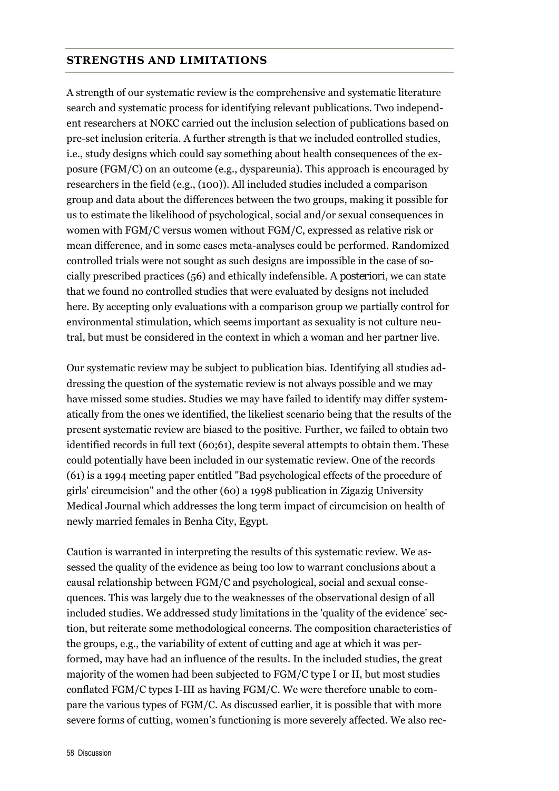## **STRENGTHS AND LIMITATIONS**

A strength of our systematic review is the comprehensive and systematic literature search and systematic process for identifying relevant publications. Two independent researchers at NOKC carried out the inclusion selection of publications based on pre-set inclusion criteria. A further strength is that we included controlled studies, i.e., study designs which could say something about health consequences of the exposure (FGM/C) on an outcome (e.g., dyspareunia). This approach is encouraged by researchers in the field (e.g., (100)). All included studies included a comparison group and data about the differences between the two groups, making it possible for us to estimate the likelihood of psychological, social and/or sexual consequences in women with FGM/C versus women without FGM/C, expressed as relative risk or mean difference, and in some cases meta-analyses could be performed. Randomized controlled trials were not sought as such designs are impossible in the case of socially prescribed practices (56) and ethically indefensible. *A posteriori*, we can state that we found no controlled studies that were evaluated by designs not included here. By accepting only evaluations with a comparison group we partially control for environmental stimulation, which seems important as sexuality is not culture neutral, but must be considered in the context in which a woman and her partner live.

Our systematic review may be subject to publication bias. Identifying all studies addressing the question of the systematic review is not always possible and we may have missed some studies. Studies we may have failed to identify may differ systematically from the ones we identified, the likeliest scenario being that the results of the present systematic review are biased to the positive. Further, we failed to obtain two identified records in full text (60;61), despite several attempts to obtain them. These could potentially have been included in our systematic review. One of the records (61) is a 1994 meeting paper entitled "Bad psychological effects of the procedure of girls' circumcision" and the other (60) a 1998 publication in Zigazig University Medical Journal which addresses the long term impact of circumcision on health of newly married females in Benha City, Egypt.

Caution is warranted in interpreting the results of this systematic review. We assessed the quality of the evidence as being too low to warrant conclusions about a causal relationship between FGM/C and psychological, social and sexual consequences. This was largely due to the weaknesses of the observational design of all included studies. We addressed study limitations in the 'quality of the evidence' section, but reiterate some methodological concerns. The composition characteristics of the groups, e.g., the variability of extent of cutting and age at which it was performed, may have had an influence of the results. In the included studies, the great majority of the women had been subjected to FGM/C type I or II, but most studies conflated FGM/C types I-III as having FGM/C. We were therefore unable to compare the various types of FGM/C. As discussed earlier, it is possible that with more severe forms of cutting, women's functioning is more severely affected. We also rec-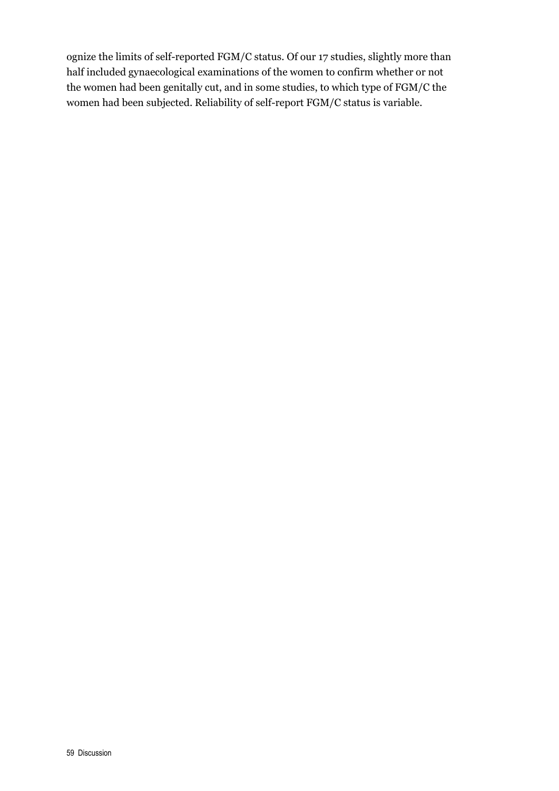ognize the limits of self-reported FGM/C status. Of our 17 studies, slightly more than half included gynaecological examinations of the women to confirm whether or not the women had been genitally cut, and in some studies, to which type of FGM/C the women had been subjected. Reliability of self-report FGM/C status is variable.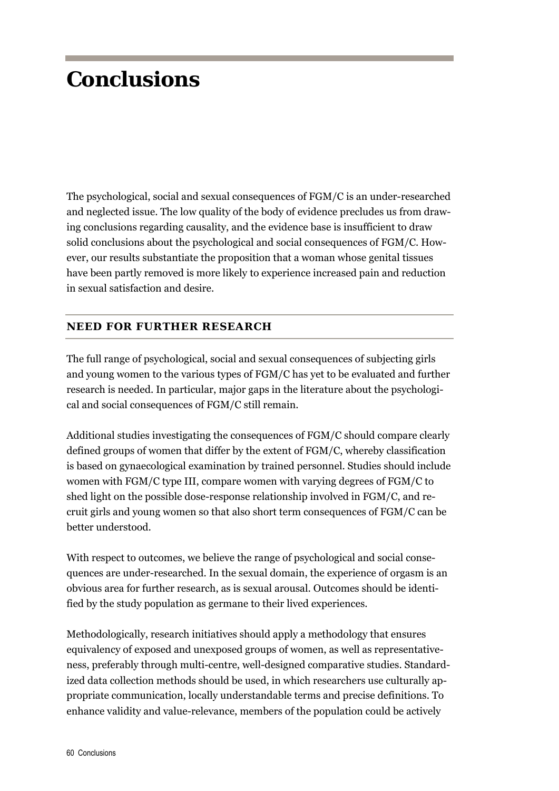# **Conclusions**

The psychological, social and sexual consequences of FGM/C is an under-researched and neglected issue. The low quality of the body of evidence precludes us from drawing conclusions regarding causality, and the evidence base is insufficient to draw solid conclusions about the psychological and social consequences of FGM/C. However, our results substantiate the proposition that a woman whose genital tissues have been partly removed is more likely to experience increased pain and reduction in sexual satisfaction and desire.

## **NEED FOR FURTHER RESEARCH**

The full range of psychological, social and sexual consequences of subjecting girls and young women to the various types of FGM/C has yet to be evaluated and further research is needed. In particular, major gaps in the literature about the psychological and social consequences of FGM/C still remain.

Additional studies investigating the consequences of FGM/C should compare clearly defined groups of women that differ by the extent of FGM/C, whereby classification is based on gynaecological examination by trained personnel. Studies should include women with FGM/C type III, compare women with varying degrees of FGM/C to shed light on the possible dose-response relationship involved in FGM/C, and recruit girls and young women so that also short term consequences of FGM/C can be better understood.

With respect to outcomes, we believe the range of psychological and social consequences are under-researched. In the sexual domain, the experience of orgasm is an obvious area for further research, as is sexual arousal. Outcomes should be identified by the study population as germane to their lived experiences.

Methodologically, research initiatives should apply a methodology that ensures equivalency of exposed and unexposed groups of women, as well as representativeness, preferably through multi-centre, well-designed comparative studies. Standardized data collection methods should be used, in which researchers use culturally appropriate communication, locally understandable terms and precise definitions. To enhance validity and value-relevance, members of the population could be actively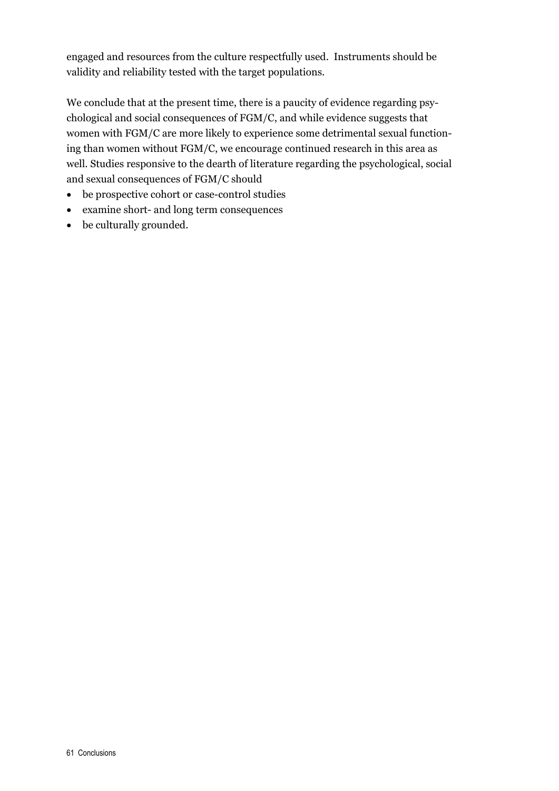engaged and resources from the culture respectfully used. Instruments should be validity and reliability tested with the target populations.

We conclude that at the present time, there is a paucity of evidence regarding psychological and social consequences of FGM/C, and while evidence suggests that women with FGM/C are more likely to experience some detrimental sexual functioning than women without FGM/C, we encourage continued research in this area as well. Studies responsive to the dearth of literature regarding the psychological, social and sexual consequences of FGM/C should

- be prospective cohort or case-control studies
- examine short- and long term consequences
- be culturally grounded.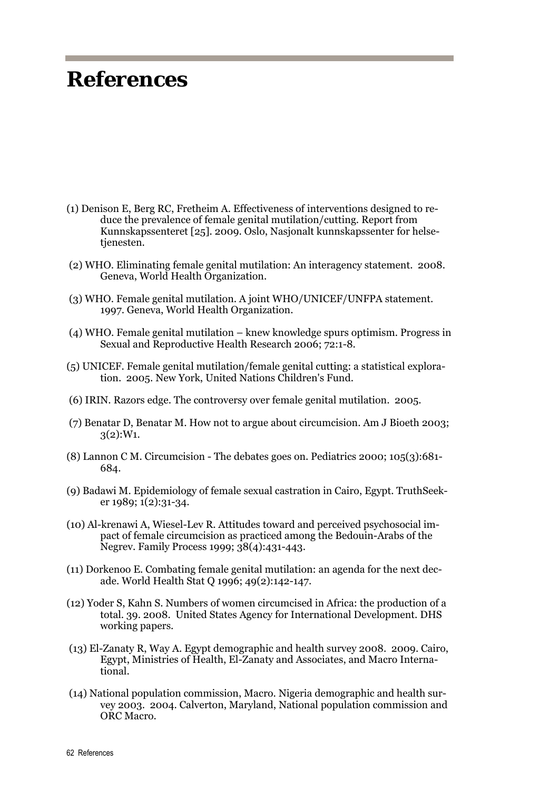## **References**

- (1) Denison E, Berg RC, Fretheim A. Effectiveness of interventions designed to reduce the prevalence of female genital mutilation/cutting. Report from Kunnskapssenteret [25]. 2009. Oslo, Nasjonalt kunnskapssenter for helsetienesten.
- (2) WHO. Eliminating female genital mutilation: An interagency statement. 2008. Geneva, World Health Organization.
- (3) WHO. Female genital mutilation. A joint WHO/UNICEF/UNFPA statement. 1997. Geneva, World Health Organization.
- (4) WHO. Female genital mutilation knew knowledge spurs optimism. Progress in Sexual and Reproductive Health Research 2006; 72:1-8.
- (5) UNICEF. Female genital mutilation/female genital cutting: a statistical exploration. 2005. New York, United Nations Children's Fund.
- (6) IRIN. Razors edge. The controversy over female genital mutilation. 2005.
- (7) Benatar D, Benatar M. How not to argue about circumcision. Am J Bioeth 2003;  $3(2):W_1$ .
- (8) Lannon C M. Circumcision The debates goes on. Pediatrics 2000; 105(3):681- 684.
- (9) Badawi M. Epidemiology of female sexual castration in Cairo, Egypt. TruthSeeker 1989; 1(2):31-34.
- (10) Al-krenawi A, Wiesel-Lev R. Attitudes toward and perceived psychosocial impact of female circumcision as practiced among the Bedouin-Arabs of the Negrev. Family Process 1999; 38(4):431-443.
- (11) Dorkenoo E. Combating female genital mutilation: an agenda for the next decade. World Health Stat Q 1996; 49(2):142-147.
- (12) Yoder S, Kahn S. Numbers of women circumcised in Africa: the production of a total. 39. 2008. United States Agency for International Development. DHS working papers.
- (13) El-Zanaty R, Way A. Egypt demographic and health survey 2008. 2009. Cairo, Egypt, Ministries of Health, El-Zanaty and Associates, and Macro International.
- (14) National population commission, Macro. Nigeria demographic and health survey 2003. 2004. Calverton, Maryland, National population commission and ORC Macro.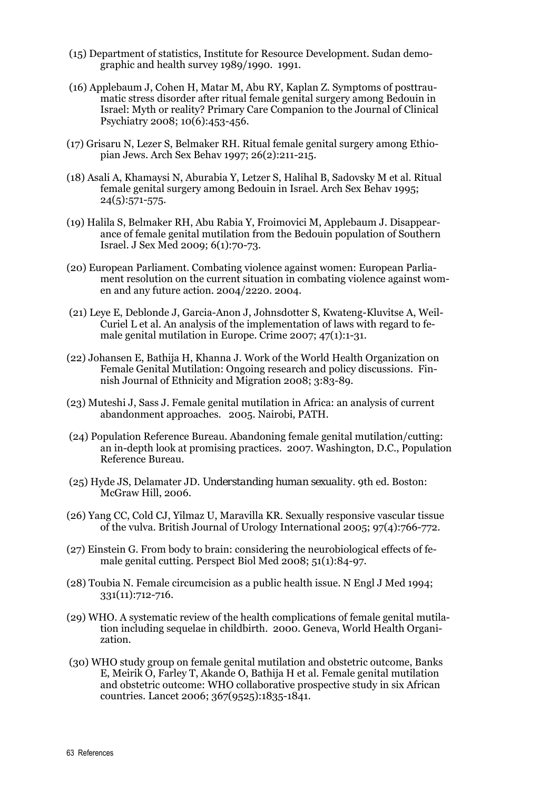- (15) Department of statistics, Institute for Resource Development. Sudan demographic and health survey 1989/1990. 1991.
- (16) Applebaum J, Cohen H, Matar M, Abu RY, Kaplan Z. Symptoms of posttraumatic stress disorder after ritual female genital surgery among Bedouin in Israel: Myth or reality? Primary Care Companion to the Journal of Clinical Psychiatry 2008; 10(6):453-456.
- (17) Grisaru N, Lezer S, Belmaker RH. Ritual female genital surgery among Ethiopian Jews. Arch Sex Behav 1997; 26(2):211-215.
- (18) Asali A, Khamaysi N, Aburabia Y, Letzer S, Halihal B, Sadovsky M et al. Ritual female genital surgery among Bedouin in Israel. Arch Sex Behav 1995;  $24(5):571-575.$
- (19) Halila S, Belmaker RH, Abu Rabia Y, Froimovici M, Applebaum J. Disappearance of female genital mutilation from the Bedouin population of Southern Israel. J Sex Med 2009; 6(1):70-73.
- (20) European Parliament. Combating violence against women: European Parliament resolution on the current situation in combating violence against women and any future action. 2004/2220. 2004.
- (21) Leye E, Deblonde J, Garcia-Anon J, Johnsdotter S, Kwateng-Kluvitse A, Weil-Curiel L et al. An analysis of the implementation of laws with regard to female genital mutilation in Europe. Crime 2007; 47(1):1-31.
- (22) Johansen E, Bathija H, Khanna J. Work of the World Health Organization on Female Genital Mutilation: Ongoing research and policy discussions. Finnish Journal of Ethnicity and Migration 2008; 3:83-89.
- (23) Muteshi J, Sass J. Female genital mutilation in Africa: an analysis of current abandonment approaches. 2005. Nairobi, PATH.
- (24) Population Reference Bureau. Abandoning female genital mutilation/cutting: an in-depth look at promising practices. 2007. Washington, D.C., Population Reference Bureau.
- (25) Hyde JS, Delamater JD. *Understanding human sexuality*. 9th ed. Boston: McGraw Hill, 2006.
- (26) Yang CC, Cold CJ, Yilmaz U, Maravilla KR. Sexually responsive vascular tissue of the vulva. British Journal of Urology International 2005; 97(4):766-772.
- (27) Einstein G. From body to brain: considering the neurobiological effects of female genital cutting. Perspect Biol Med 2008; 51(1):84-97.
- (28) Toubia N. Female circumcision as a public health issue. N Engl J Med 1994; 331(11):712-716.
- (29) WHO. A systematic review of the health complications of female genital mutilation including sequelae in childbirth. 2000. Geneva, World Health Organization.
- (30) WHO study group on female genital mutilation and obstetric outcome, Banks E, Meirik O, Farley T, Akande O, Bathija H et al. Female genital mutilation and obstetric outcome: WHO collaborative prospective study in six African countries. Lancet 2006; 367(9525):1835-1841.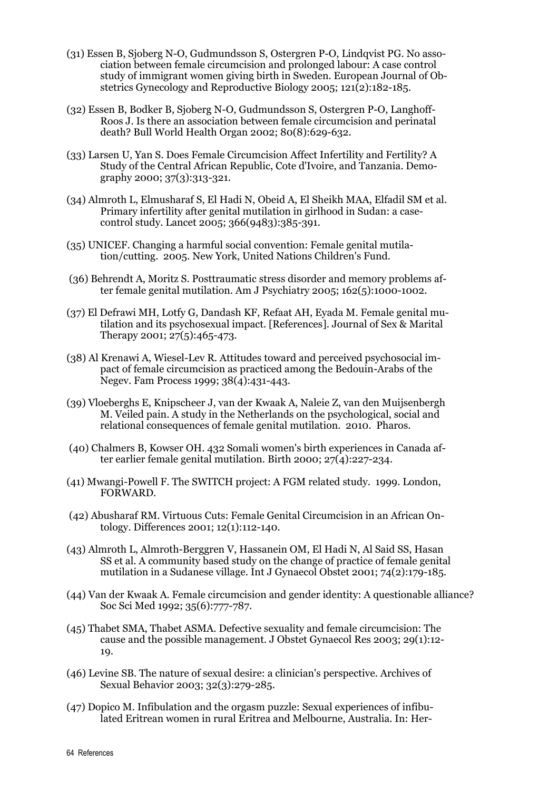- (31) Essen B, Sjoberg N-O, Gudmundsson S, Ostergren P-O, Lindqvist PG. No association between female circumcision and prolonged labour: A case control study of immigrant women giving birth in Sweden. European Journal of Obstetrics Gynecology and Reproductive Biology 2005; 121(2):182-185.
- (32) Essen B, Bodker B, Sjoberg N-O, Gudmundsson S, Ostergren P-O, Langhoff-Roos J. Is there an association between female circumcision and perinatal death? Bull World Health Organ 2002; 80(8):629-632.
- (33) Larsen U, Yan S. Does Female Circumcision Affect Infertility and Fertility? A Study of the Central African Republic, Cote d'Ivoire, and Tanzania. Demography 2000; 37(3):313-321.
- (34) Almroth L, Elmusharaf S, El Hadi N, Obeid A, El Sheikh MAA, Elfadil SM et al. Primary infertility after genital mutilation in girlhood in Sudan: a casecontrol study. Lancet 2005; 366(9483):385-391.
- (35) UNICEF. Changing a harmful social convention: Female genital mutilation/cutting. 2005. New York, United Nations Children's Fund.
- (36) Behrendt A, Moritz S. Posttraumatic stress disorder and memory problems after female genital mutilation. Am J Psychiatry 2005; 162(5):1000-1002.
- (37) El Defrawi MH, Lotfy G, Dandash KF, Refaat AH, Eyada M. Female genital mutilation and its psychosexual impact. [References]. Journal of Sex & Marital Therapy 2001; 27(5):465-473.
- (38) Al Krenawi A, Wiesel-Lev R. Attitudes toward and perceived psychosocial impact of female circumcision as practiced among the Bedouin-Arabs of the Negev. Fam Process 1999; 38(4):431-443.
- (39) Vloeberghs E, Knipscheer J, van der Kwaak A, Naleie Z, van den Muijsenbergh M. Veiled pain. A study in the Netherlands on the psychological, social and relational consequences of female genital mutilation. 2010. Pharos.
- (40) Chalmers B, Kowser OH. 432 Somali women's birth experiences in Canada after earlier female genital mutilation. Birth 2000;  $27(\overline{4})$ :227-234.
- (41) Mwangi-Powell F. The SWITCH project: A FGM related study. 1999. London, FORWARD.
- (42) Abusharaf RM. Virtuous Cuts: Female Genital Circumcision in an African Ontology. Differences 2001; 12(1):112-140.
- (43) Almroth L, Almroth-Berggren V, Hassanein OM, El Hadi N, Al Said SS, Hasan SS et al. A community based study on the change of practice of female genital mutilation in a Sudanese village. Int J Gynaecol Obstet 2001; 74(2):179-185.
- (44) Van der Kwaak A. Female circumcision and gender identity: A questionable alliance? Soc Sci Med 1992; 35(6):777-787.
- (45) Thabet SMA, Thabet ASMA. Defective sexuality and female circumcision: The cause and the possible management. J Obstet Gynaecol Res 2003; 29(1):12- 19.
- (46) Levine SB. The nature of sexual desire: a clinician's perspective. Archives of Sexual Behavior 2003; 32(3):279-285.
- (47) Dopico M. Infibulation and the orgasm puzzle: Sexual experiences of infibulated Eritrean women in rural Eritrea and Melbourne, Australia. In: Her-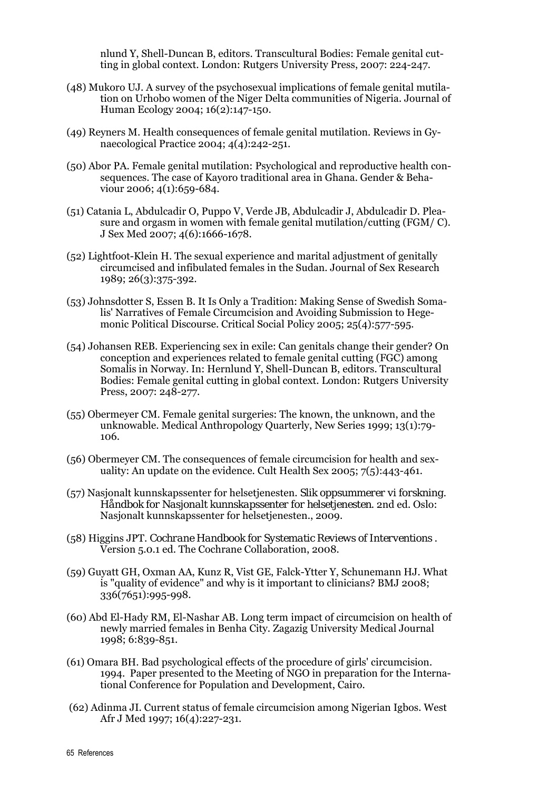nlund Y, Shell-Duncan B, editors. Transcultural Bodies: Female genital cutting in global context. London: Rutgers University Press, 2007: 224-247.

- (48) Mukoro UJ. A survey of the psychosexual implications of female genital mutilation on Urhobo women of the Niger Delta communities of Nigeria. Journal of Human Ecology 2004; 16(2):147-150.
- (49) Reyners M. Health consequences of female genital mutilation. Reviews in Gynaecological Practice 2004; 4(4):242-251.
- (50) Abor PA. Female genital mutilation: Psychological and reproductive health consequences. The case of Kayoro traditional area in Ghana. Gender & Behaviour 2006;  $4(1):659-684$ .
- (51) Catania L, Abdulcadir O, Puppo V, Verde JB, Abdulcadir J, Abdulcadir D. Pleasure and orgasm in women with female genital mutilation/cutting (FGM/ C). J Sex Med 2007; 4(6):1666-1678.
- (52) Lightfoot-Klein H. The sexual experience and marital adjustment of genitally circumcised and infibulated females in the Sudan. Journal of Sex Research 1989; 26(3):375-392.
- (53) Johnsdotter S, Essen B. It Is Only a Tradition: Making Sense of Swedish Somalis' Narratives of Female Circumcision and Avoiding Submission to Hegemonic Political Discourse. Critical Social Policy 2005; 25(4):577-595.
- (54) Johansen REB. Experiencing sex in exile: Can genitals change their gender? On conception and experiences related to female genital cutting (FGC) among Somalis in Norway. In: Hernlund Y, Shell-Duncan B, editors. Transcultural Bodies: Female genital cutting in global context. London: Rutgers University Press, 2007: 248-277.
- (55) Obermeyer CM. Female genital surgeries: The known, the unknown, and the unknowable. Medical Anthropology Quarterly, New Series 1999; 13(1):79- 106.
- (56) Obermeyer CM. The consequences of female circumcision for health and sexuality: An update on the evidence. Cult Health Sex 2005; 7(5):443-461.
- (57) Nasjonalt kunnskapssenter for helsetjenesten. *Slik oppsummerer vi forskning. Håndbok for Nasjonalt kunnskapssenter for helsetjenesten*. 2nd ed. Oslo: Nasjonalt kunnskapssenter for helsetjenesten., 2009.
- (58) Higgins JPT. *Cochrane Handbook for Systematic Reviews of Interventions* . Version 5.0.1 ed. The Cochrane Collaboration, 2008.
- (59) Guyatt GH, Oxman AA, Kunz R, Vist GE, Falck-Ytter Y, Schunemann HJ. What is "quality of evidence" and why is it important to clinicians? BMJ 2008; 336(7651):995-998.
- (60) Abd El-Hady RM, El-Nashar AB. Long term impact of circumcision on health of newly married females in Benha City. Zagazig University Medical Journal 1998; 6:839-851.
- (61) Omara BH. Bad psychological effects of the procedure of girls' circumcision. 1994. Paper presented to the Meeting of NGO in preparation for the International Conference for Population and Development, Cairo.
- (62) Adinma JI. Current status of female circumcision among Nigerian Igbos. West Afr J Med 1997; 16(4):227-231.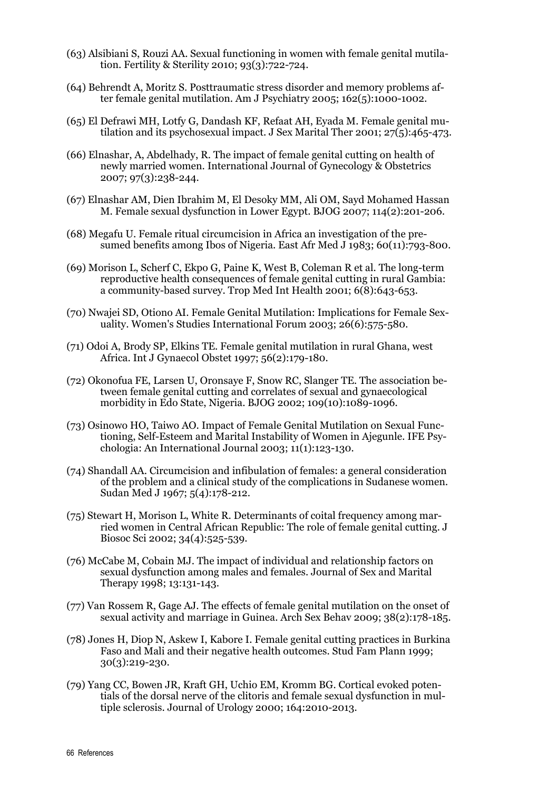- (63) Alsibiani S, Rouzi AA. Sexual functioning in women with female genital mutilation. Fertility & Sterility 2010; 93(3):722-724.
- (64) Behrendt A, Moritz S. Posttraumatic stress disorder and memory problems after female genital mutilation. Am J Psychiatry 2005; 162(5):1000-1002.
- (65) El Defrawi MH, Lotfy G, Dandash KF, Refaat AH, Eyada M. Female genital mutilation and its psychosexual impact. J Sex Marital Ther 2001; 27(5):465-473.
- (66) Elnashar, A, Abdelhady, R. The impact of female genital cutting on health of newly married women. International Journal of Gynecology & Obstetrics 2007; 97(3):238-244.
- (67) Elnashar AM, Dien Ibrahim M, El Desoky MM, Ali OM, Sayd Mohamed Hassan M. Female sexual dysfunction in Lower Egypt. BJOG 2007; 114(2):201-206.
- (68) Megafu U. Female ritual circumcision in Africa an investigation of the presumed benefits among Ibos of Nigeria. East Afr Med J 1983; 60(11):793-800.
- (69) Morison L, Scherf C, Ekpo G, Paine K, West B, Coleman R et al. The long-term reproductive health consequences of female genital cutting in rural Gambia: a community-based survey. Trop Med Int Health 2001; 6(8):643-653.
- (70) Nwajei SD, Otiono AI. Female Genital Mutilation: Implications for Female Sexuality. Women's Studies International Forum 2003; 26(6):575-580.
- (71) Odoi A, Brody SP, Elkins TE. Female genital mutilation in rural Ghana, west Africa. Int J Gynaecol Obstet 1997; 56(2):179-180.
- (72) Okonofua FE, Larsen U, Oronsaye F, Snow RC, Slanger TE. The association between female genital cutting and correlates of sexual and gynaecological morbidity in Edo State, Nigeria. BJOG 2002; 109(10):1089-1096.
- (73) Osinowo HO, Taiwo AO. Impact of Female Genital Mutilation on Sexual Functioning, Self-Esteem and Marital Instability of Women in Ajegunle. IFE Psychologia: An International Journal 2003; 11(1):123-130.
- (74) Shandall AA. Circumcision and infibulation of females: a general consideration of the problem and a clinical study of the complications in Sudanese women. Sudan Med J 1967; 5(4):178-212.
- (75) Stewart H, Morison L, White R. Determinants of coital frequency among married women in Central African Republic: The role of female genital cutting. J Biosoc Sci 2002; 34(4):525-539.
- (76) McCabe M, Cobain MJ. The impact of individual and relationship factors on sexual dysfunction among males and females. Journal of Sex and Marital Therapy 1998; 13:131-143.
- (77) Van Rossem R, Gage AJ. The effects of female genital mutilation on the onset of sexual activity and marriage in Guinea. Arch Sex Behav 2009; 38(2):178-185.
- (78) Jones H, Diop N, Askew I, Kabore I. Female genital cutting practices in Burkina Faso and Mali and their negative health outcomes. Stud Fam Plann 1999; 30(3):219-230.
- (79) Yang CC, Bowen JR, Kraft GH, Uchio EM, Kromm BG. Cortical evoked potentials of the dorsal nerve of the clitoris and female sexual dysfunction in multiple sclerosis. Journal of Urology 2000; 164:2010-2013.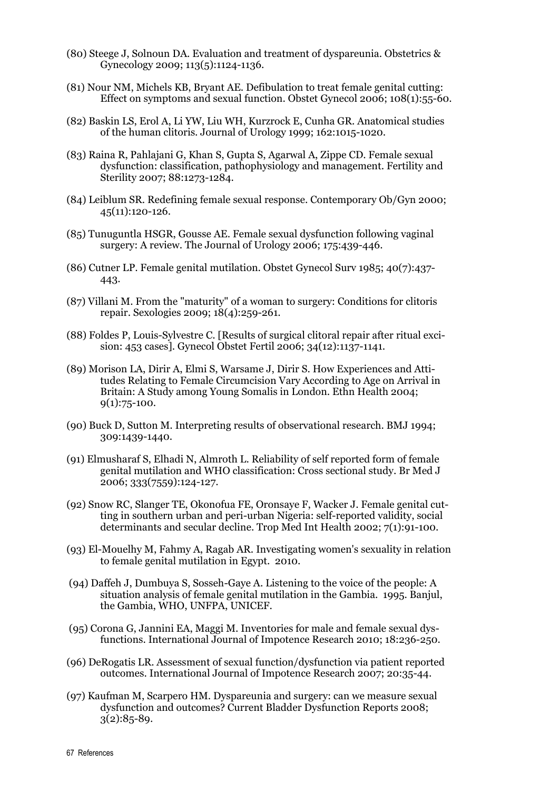- (80) Steege J, Solnoun DA. Evaluation and treatment of dyspareunia. Obstetrics & Gynecology 2009; 113(5):1124-1136.
- (81) Nour NM, Michels KB, Bryant AE. Defibulation to treat female genital cutting: Effect on symptoms and sexual function. Obstet Gynecol 2006; 108(1):55-60.
- (82) Baskin LS, Erol A, Li YW, Liu WH, Kurzrock E, Cunha GR. Anatomical studies of the human clitoris. Journal of Urology 1999; 162:1015-1020.
- (83) Raina R, Pahlajani G, Khan S, Gupta S, Agarwal A, Zippe CD. Female sexual dysfunction: classification, pathophysiology and management. Fertility and Sterility 2007; 88:1273-1284.
- (84) Leiblum SR. Redefining female sexual response. Contemporary Ob/Gyn 2000; 45(11):120-126.
- (85) Tunuguntla HSGR, Gousse AE. Female sexual dysfunction following vaginal surgery: A review. The Journal of Urology 2006; 175:439-446.
- (86) Cutner LP. Female genital mutilation. Obstet Gynecol Surv 1985; 40(7):437- 443.
- (87) Villani M. From the "maturity" of a woman to surgery: Conditions for clitoris repair. Sexologies 2009; 18(4):259-261.
- (88) Foldes P, Louis-Sylvestre C. [Results of surgical clitoral repair after ritual excision: 453 cases]. Gynecol Obstet Fertil 2006; 34(12):1137-1141.
- (89) Morison LA, Dirir A, Elmi S, Warsame J, Dirir S. How Experiences and Attitudes Relating to Female Circumcision Vary According to Age on Arrival in Britain: A Study among Young Somalis in London. Ethn Health 2004;  $9(1):75-100.$
- (90) Buck D, Sutton M. Interpreting results of observational research. BMJ 1994; 309:1439-1440.
- (91) Elmusharaf S, Elhadi N, Almroth L. Reliability of self reported form of female genital mutilation and WHO classification: Cross sectional study. Br Med J 2006; 333(7559):124-127.
- (92) Snow RC, Slanger TE, Okonofua FE, Oronsaye F, Wacker J. Female genital cutting in southern urban and peri-urban Nigeria: self-reported validity, social determinants and secular decline. Trop Med Int Health 2002; 7(1):91-100.
- (93) El-Mouelhy M, Fahmy A, Ragab AR. Investigating women's sexuality in relation to female genital mutilation in Egypt. 2010.
- (94) Daffeh J, Dumbuya S, Sosseh-Gaye A. Listening to the voice of the people: A situation analysis of female genital mutilation in the Gambia. 1995. Banjul, the Gambia, WHO, UNFPA, UNICEF.
- (95) Corona G, Jannini EA, Maggi M. Inventories for male and female sexual dysfunctions. International Journal of Impotence Research 2010; 18:236-250.
- (96) DeRogatis LR. Assessment of sexual function/dysfunction via patient reported outcomes. International Journal of Impotence Research 2007; 20:35-44.
- (97) Kaufman M, Scarpero HM. Dyspareunia and surgery: can we measure sexual dysfunction and outcomes? Current Bladder Dysfunction Reports 2008;  $3(2):85-89.$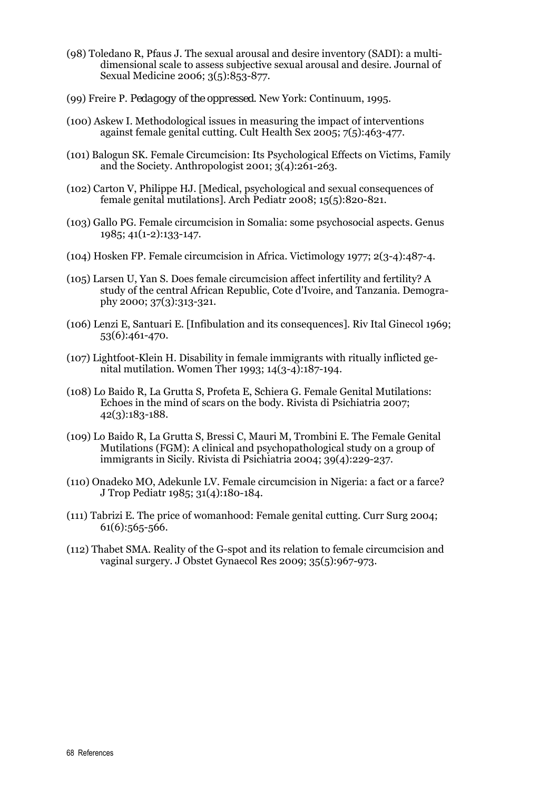- (98) Toledano R, Pfaus J. The sexual arousal and desire inventory (SADI): a multidimensional scale to assess subjective sexual arousal and desire. Journal of Sexual Medicine 2006; 3(5):853-877.
- (99) Freire P. *Pedagogy of the oppressed*. New York: Continuum, 1995.
- (100) Askew I. Methodological issues in measuring the impact of interventions against female genital cutting. Cult Health Sex 2005; 7(5):463-477.
- (101) Balogun SK. Female Circumcision: Its Psychological Effects on Victims, Family and the Society. Anthropologist 2001; 3(4):261-263.
- (102) Carton V, Philippe HJ. [Medical, psychological and sexual consequences of female genital mutilations]. Arch Pediatr 2008; 15(5):820-821.
- (103) Gallo PG. Female circumcision in Somalia: some psychosocial aspects. Genus 1985; 41(1-2):133-147.
- (104) Hosken FP. Female circumcision in Africa. Victimology 1977; 2(3-4):487-4.
- (105) Larsen U, Yan S. Does female circumcision affect infertility and fertility? A study of the central African Republic, Cote d'Ivoire, and Tanzania. Demography 2000; 37(3):313-321.
- (106) Lenzi E, Santuari E. [Infibulation and its consequences]. Riv Ital Ginecol 1969; 53(6):461-470.
- (107) Lightfoot-Klein H. Disability in female immigrants with ritually inflicted genital mutilation. Women Ther 1993; 14(3-4):187-194.
- (108) Lo Baido R, La Grutta S, Profeta E, Schiera G. Female Genital Mutilations: Echoes in the mind of scars on the body. Rivista di Psichiatria 2007; 42(3):183-188.
- (109) Lo Baido R, La Grutta S, Bressi C, Mauri M, Trombini E. The Female Genital Mutilations (FGM): A clinical and psychopathological study on a group of immigrants in Sicily. Rivista di Psichiatria 2004; 39(4):229-237.
- (110) Onadeko MO, Adekunle LV. Female circumcision in Nigeria: a fact or a farce? J Trop Pediatr 1985; 31(4):180-184.
- (111) Tabrizi E. The price of womanhood: Female genital cutting. Curr Surg 2004; 61(6):565-566.
- (112) Thabet SMA. Reality of the G-spot and its relation to female circumcision and vaginal surgery. J Obstet Gynaecol Res 2009; 35(5):967-973.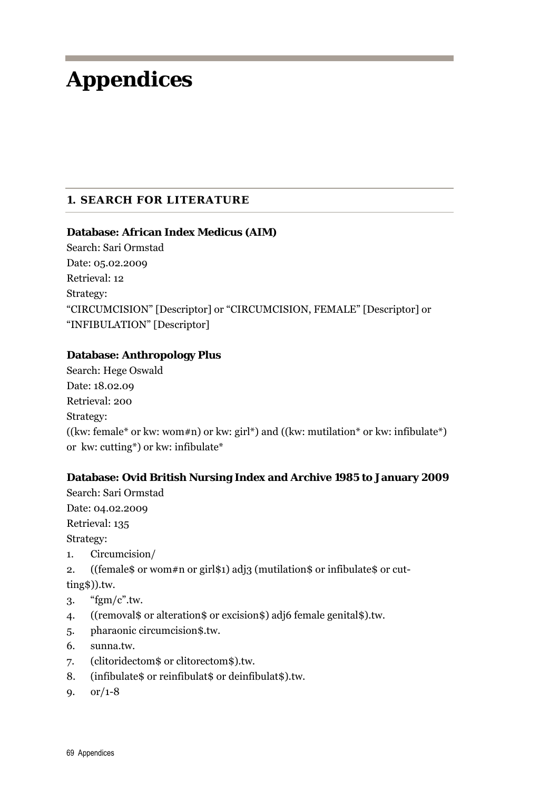# **Appendices**

## **1. SEARCH FOR LITERATURE**

## **Database: African Index Medicus (AIM)**

Search: Sari Ormstad Date: 05.02.2009 Retrieval: 12 Strategy: "CIRCUMCISION" [Descriptor] or "CIRCUMCISION, FEMALE" [Descriptor] or "INFIBULATION" [Descriptor]

## **Database: Anthropology Plus**

Search: Hege Oswald Date: 18.02.09 Retrieval: 200 Strategy: ((kw: female\* or kw: wom#n) or kw: girl\*) and ((kw: mutilation\* or kw: infibulate\*) or kw: cutting\*) or kw: infibulate\*

## **Database: Ovid British Nursing Index and Archive 1985 to January 2009**

Search: Sari Ormstad Date: 04.02.2009 Retrieval: 135 Strategy:

- 1. Circumcision/
- 2. ((female\$ or wom#n or girl\$1) adj3 (mutilation\$ or infibulate\$ or cut-

ting\$)).tw.

- 3. "fgm/c".tw.
- 4. ((removal\$ or alteration\$ or excision\$) adj6 female genital\$).tw.
- 5. pharaonic circumcision\$.tw.
- 6. sunna.tw.
- 7. (clitoridectom\$ or clitorectom\$).tw.
- 8. (infibulate\$ or reinfibulat\$ or deinfibulat\$).tw.
- 9. or/1-8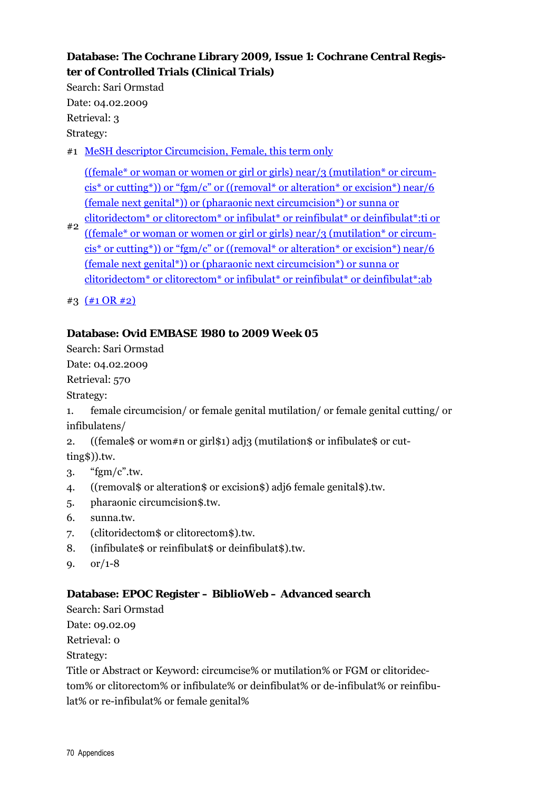## **Database: The Cochrane Library 2009, Issue 1: Cochrane Central Register of Controlled Trials (Clinical Trials)**

Search: Sari Ormstad Date: 04.02.2009 Retrieval: 3 Strategy:

#1 MeSH descriptor Circumcision, Female, this term only

((female\* or woman or women or girl or girls) near/3 (mutilation\* or circum $cis^*$  or cutting\*)) or "fgm/c" or ((removal\* or alteration\* or excision\*) near/6 (female next genital\*)) or (pharaonic next circumcision\*) or sunna or

- #2 clitoridectom\* or clitorectom\* or infibulat\* or reinfibulat\* or deinfibulat\*:ti or ((female\* or woman or women or girl or girls) near/3 (mutilation\* or circum $cis^*$  or cutting\*)) or "fgm/c" or ((removal\* or alteration\* or excision\*) near/6 (female next genital\*)) or (pharaonic next circumcision\*) or sunna or clitoridectom\* or clitorectom\* or infibulat\* or reinfibulat\* or deinfibulat\*:ab
- #3  $($ #1 OR #2)

## **Database: Ovid EMBASE 1980 to 2009 Week 05**

Search: Sari Ormstad

Date: 04.02.2009

Retrieval: 570

Strategy:

- 1. female circumcision/ or female genital mutilation/ or female genital cutting/ or infibulatens/
- 2. ((female\$ or wom#n or girl\$1) adj3 (mutilation\$ or infibulate\$ or cutting\$)).tw.
- $3.$  "fgm/c".tw.
- 4. ((removal\$ or alteration\$ or excision\$) adj6 female genital\$).tw.
- 5. pharaonic circumcision\$.tw.
- 6. sunna.tw.
- 7. (clitoridectom\$ or clitorectom\$).tw.
- 8. (infibulate\$ or reinfibulat\$ or deinfibulat\$).tw.
- 9. or/1-8

## **Database: EPOC Register – BiblioWeb – Advanced search**

Search: Sari Ormstad

Date: 09.02.09

Retrieval: 0

Strategy:

Title or Abstract or Keyword: circumcise% or mutilation% or FGM or clitoridectom% or clitorectom% or infibulate% or deinfibulat% or de-infibulat% or reinfibulat% or re-infibulat% or female genital%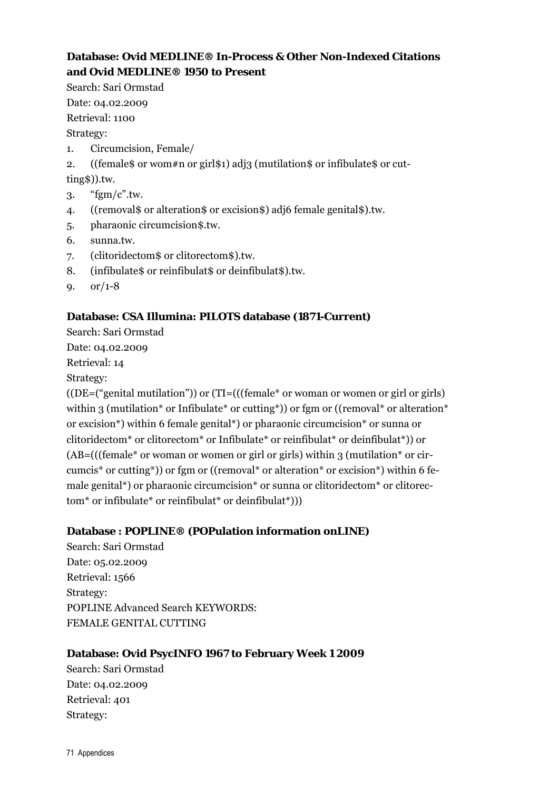# **Database: Ovid MEDLINE® In-Process & Other Non-Indexed Citations and Ovid MEDLINE® 1950 to Present**

Search: Sari Ormstad Date: 04.02.2009 Retrieval: 1100 Strategy:

- 1. Circumcision, Female/
- 2. ((female\$ or wom#n or girl\$1) adj3 (mutilation\$ or infibulate\$ or cut-

ting\$)).tw.

- $3.$  "fgm/c".tw.
- 4. ((removal\$ or alteration\$ or excision\$) adj6 female genital\$).tw.
- 5. pharaonic circumcision\$.tw.
- 6. sunna.tw.
- 7. (clitoridectom\$ or clitorectom\$).tw.
- 8. (infibulate\$ or reinfibulat\$ or deinfibulat\$).tw.
- 9. or/1-8

## **Database: CSA Illumina: PILOTS database (1871-Current)**

Search: Sari Ormstad

Date: 04.02.2009

Retrieval: 14

Strategy:

((DE=("genital mutilation")) or (TI=(((female\* or woman or women or girl or girls) within 3 (mutilation\* or Infibulate\* or cutting\*)) or fgm or ((removal\* or alteration\* or excision\*) within 6 female genital\*) or pharaonic circumcision\* or sunna or clitoridectom\* or clitorectom\* or Infibulate\* or reinfibulat\* or deinfibulat\*)) or  $(AB=(((female* or woman or women or girl or girls) within 3 (mutation* or cir$ cumcis\* or cutting\*)) or fgm or ((removal\* or alteration\* or excision\*) within 6 female genital\*) or pharaonic circumcision\* or sunna or clitoridectom\* or clitorectom\* or infibulate\* or reinfibulat\* or deinfibulat\*)))

### **Database : POPLINE® (POPulation information onLINE)**

Search: Sari Ormstad Date: 05.02.2009 Retrieval: 1566 Strategy: POPLINE Advanced Search KEYWORDS: FEMALE GENITAL CUTTING

### **Database: Ovid PsycINFO 1967 to February Week 1 2009**

Search: Sari Ormstad Date: 04.02.2009 Retrieval: 401 Strategy: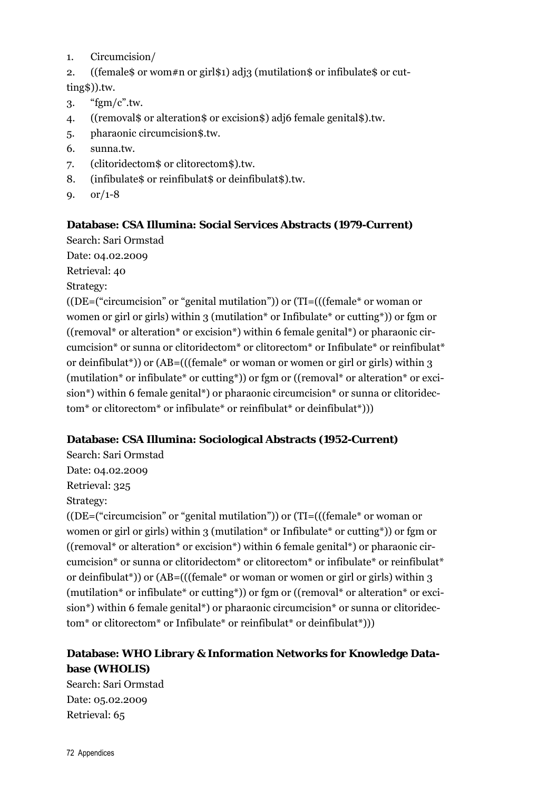- 1. Circumcision/
- 2. ((female\$ or wom#n or girl\$1) adj3 (mutilation\$ or infibulate\$ or cutting\$)).tw.
- 3. "fgm/c".tw.
- 4. ((removal\$ or alteration\$ or excision\$) adj6 female genital\$).tw.
- 5. pharaonic circumcision\$.tw.
- 6. sunna.tw.
- 7. (clitoridectom\$ or clitorectom\$).tw.
- 8. (infibulate\$ or reinfibulat\$ or deinfibulat\$).tw.
- 9. or/1-8

## **Database: CSA Illumina: Social Services Abstracts (1979-Current)**

Search: Sari Ormstad

Date: 04.02.2009

Retrieval: 40

Strategy:

((DE=("circumcision" or "genital mutilation")) or (TI=(((female\* or woman or women or girl or girls) within 3 (mutilation<sup>\*</sup> or Infibulate<sup>\*</sup> or cutting<sup>\*</sup>)) or fgm or ((removal\* or alteration\* or excision\*) within 6 female genital\*) or pharaonic circumcision\* or sunna or clitoridectom\* or clitorectom\* or Infibulate\* or reinfibulat\* or deinfibulat\*)) or (AB=(((female\* or woman or women or girl or girls) within 3 (mutilation\* or infibulate\* or cutting\*)) or fgm or ((removal\* or alteration\* or excision<sup>\*</sup>) within 6 female genital<sup>\*</sup>) or pharaonic circumcision<sup>\*</sup> or sunna or clitoridectom<sup>\*</sup> or clitorectom<sup>\*</sup> or infibulate<sup>\*</sup> or reinfibulat<sup>\*</sup> or deinfibulat<sup>\*</sup>)))

## **Database: CSA Illumina: Sociological Abstracts (1952-Current)**

Search: Sari Ormstad Date: 04.02.2009 Retrieval: 325 Strategy:

((DE=("circumcision" or "genital mutilation")) or (TI=(((female\* or woman or women or girl or girls) within 3 (mutilation\* or Infibulate\* or cutting\*)) or fgm or ((removal\* or alteration\* or excision\*) within 6 female genital\*) or pharaonic circumcision\* or sunna or clitoridectom\* or clitorectom\* or infibulate\* or reinfibulat\* or deinfibulat\*)) or (AB=(((female\* or woman or women or girl or girls) within 3 (mutilation\* or infibulate\* or cutting\*)) or fgm or ((removal\* or alteration\* or excision\*) within 6 female genital\*) or pharaonic circumcision\* or sunna or clitoridectom<sup>\*</sup> or clitorectom<sup>\*</sup> or Infibulate<sup>\*</sup> or reinfibulat<sup>\*</sup> or deinfibulat<sup>\*</sup>)))

# **Database: WHO Library & Information Networks for Knowledge Database (WHOLIS)**

Search: Sari Ormstad Date: 05.02.2009 Retrieval: 65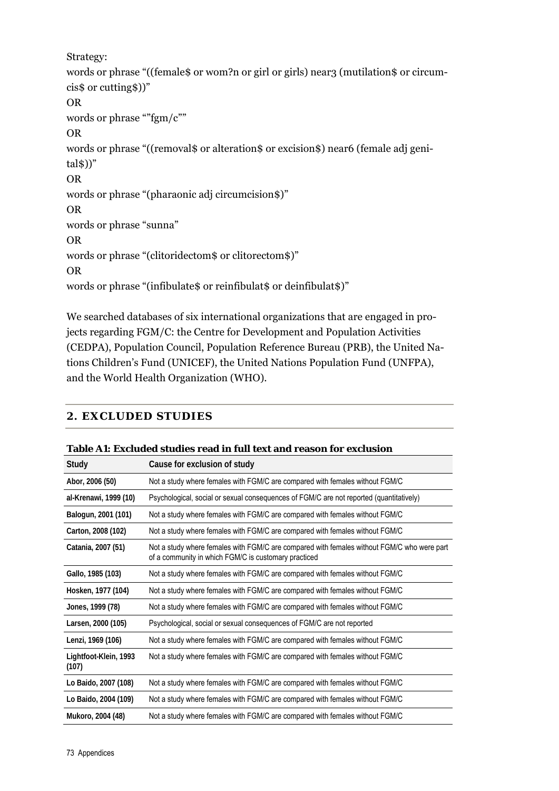Strategy: words or phrase "((female\$ or wom?n or girl or girls) near3 (mutilation\$ or circumcis\$ or cutting\$))" OR words or phrase ""fgm/c"" OR words or phrase "((removal\$ or alteration\$ or excision\$) near6 (female adj geni $tals)$ " OR words or phrase "(pharaonic adj circumcision\$)" OR words or phrase "sunna" OR words or phrase "(clitoridectom\$ or clitorectom\$)" OR words or phrase "(infibulate\$ or reinfibulat\$ or deinfibulat\$)"

We searched databases of six international organizations that are engaged in projects regarding FGM/C: the Centre for Development and Population Activities (CEDPA), Population Council, Population Reference Bureau (PRB), the United Nations Children's Fund (UNICEF), the United Nations Population Fund (UNFPA), and the World Health Organization (WHO).

## **2. EXCLUDED STUDIES**

| Study                          | Cause for exclusion of study                                                                                                                       |
|--------------------------------|----------------------------------------------------------------------------------------------------------------------------------------------------|
| Abor, 2006 (50)                | Not a study where females with FGM/C are compared with females without FGM/C                                                                       |
| al-Krenawi, 1999 (10)          | Psychological, social or sexual consequences of FGM/C are not reported (quantitatively)                                                            |
| Balogun, 2001 (101)            | Not a study where females with FGM/C are compared with females without FGM/C                                                                       |
| Carton, 2008 (102)             | Not a study where females with FGM/C are compared with females without FGM/C                                                                       |
| Catania, 2007 (51)             | Not a study where females with FGM/C are compared with females without FGM/C who were part<br>of a community in which FGM/C is customary practiced |
| Gallo, 1985 (103)              | Not a study where females with FGM/C are compared with females without FGM/C                                                                       |
| Hosken, 1977 (104)             | Not a study where females with FGM/C are compared with females without FGM/C                                                                       |
| Jones, 1999 (78)               | Not a study where females with FGM/C are compared with females without FGM/C                                                                       |
| Larsen, 2000 (105)             | Psychological, social or sexual consequences of FGM/C are not reported                                                                             |
| Lenzi, 1969 (106)              | Not a study where females with FGM/C are compared with females without FGM/C                                                                       |
| Lightfoot-Klein, 1993<br>(107) | Not a study where females with FGM/C are compared with females without FGM/C                                                                       |
| Lo Baido, 2007 (108)           | Not a study where females with FGM/C are compared with females without FGM/C                                                                       |
| Lo Baido, 2004 (109)           | Not a study where females with FGM/C are compared with females without FGM/C                                                                       |
| Mukoro, 2004 (48)              | Not a study where females with FGM/C are compared with females without FGM/C                                                                       |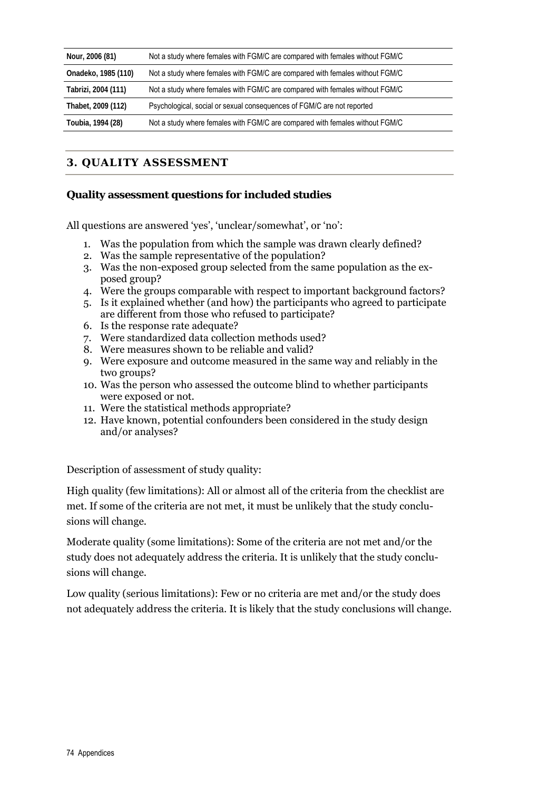| Nour, 2006 (81)     | Not a study where females with FGM/C are compared with females without FGM/C |
|---------------------|------------------------------------------------------------------------------|
| Onadeko, 1985 (110) | Not a study where females with FGM/C are compared with females without FGM/C |
| Tabrizi, 2004 (111) | Not a study where females with FGM/C are compared with females without FGM/C |
| Thabet, 2009 (112)  | Psychological, social or sexual consequences of FGM/C are not reported       |
| Toubia, 1994 (28)   | Not a study where females with FGM/C are compared with females without FGM/C |

# **3. QUALITY ASSESSMENT**

## **Quality assessment questions for included studies**

All questions are answered 'yes', 'unclear/somewhat', or 'no':

- 1. Was the population from which the sample was drawn clearly defined?
- 2. Was the sample representative of the population?
- 3. Was the non-exposed group selected from the same population as the exposed group?
- 4. Were the groups comparable with respect to important background factors?
- 5. Is it explained whether (and how) the participants who agreed to participate are different from those who refused to participate?
- 6. Is the response rate adequate?
- 7. Were standardized data collection methods used?
- 8. Were measures shown to be reliable and valid?
- 9. Were exposure and outcome measured in the same way and reliably in the two groups?
- 10. Was the person who assessed the outcome blind to whether participants were exposed or not.
- 11. Were the statistical methods appropriate?
- 12. Have known, potential confounders been considered in the study design and/or analyses?

Description of assessment of study quality:

High quality (few limitations): All or almost all of the criteria from the checklist are met. If some of the criteria are not met, it must be unlikely that the study conclusions will change.

Moderate quality (some limitations): Some of the criteria are not met and/or the study does not adequately address the criteria. It is unlikely that the study conclusions will change.

Low quality (serious limitations): Few or no criteria are met and/or the study does not adequately address the criteria. It is likely that the study conclusions will change.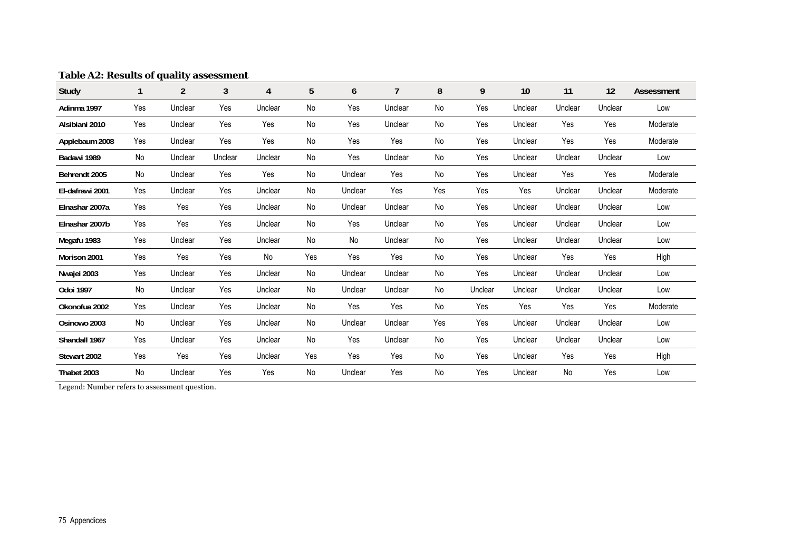|  |  |  |  | <b>Table A2: Results of quality assessment</b> |
|--|--|--|--|------------------------------------------------|
|--|--|--|--|------------------------------------------------|

| Study           |     | $\overline{2}$ | 3       | 4       | 5   | 6       |         | 8         | 9       | 10      | 11      | 12      | Assessment |
|-----------------|-----|----------------|---------|---------|-----|---------|---------|-----------|---------|---------|---------|---------|------------|
| Adinma 1997     | Yes | Unclear        | Yes     | Unclear | No  | Yes     | Unclear | <b>No</b> | Yes     | Unclear | Unclear | Unclear | Low        |
| Alsibiani 2010  | Yes | Unclear        | Yes     | Yes     | No  | Yes     | Unclear | <b>No</b> | Yes     | Unclear | Yes     | Yes     | Moderate   |
| Applebaum 2008  | Yes | Unclear        | Yes     | Yes     | No  | Yes     | Yes     | <b>No</b> | Yes     | Unclear | Yes     | Yes     | Moderate   |
| Badawi 1989     | No  | Unclear        | Unclear | Unclear | No  | Yes     | Unclear | No        | Yes     | Unclear | Unclear | Unclear | Low        |
| Behrendt 2005   | No  | Unclear        | Yes     | Yes     | No  | Unclear | Yes     | No        | Yes     | Unclear | Yes     | Yes     | Moderate   |
| El-dafrawi 2001 | Yes | Unclear        | Yes     | Unclear | No  | Unclear | Yes     | Yes       | Yes     | Yes     | Unclear | Unclear | Moderate   |
| Elnashar 2007a  | Yes | Yes            | Yes     | Unclear | No  | Unclear | Unclear | <b>No</b> | Yes     | Unclear | Unclear | Unclear | Low        |
| Elnashar 2007b  | Yes | Yes            | Yes     | Unclear | No  | Yes     | Unclear | No        | Yes     | Unclear | Unclear | Unclear | Low        |
| Megafu 1983     | Yes | Unclear        | Yes     | Unclear | No  | No      | Unclear | <b>No</b> | Yes     | Unclear | Unclear | Unclear | Low        |
| Morison 2001    | Yes | Yes            | Yes     | No      | Yes | Yes     | Yes     | No        | Yes     | Unclear | Yes     | Yes     | High       |
| Nwajei 2003     | Yes | Unclear        | Yes     | Unclear | No  | Unclear | Unclear | No        | Yes     | Unclear | Unclear | Unclear | Low        |
| Odoi 1997       | No  | Unclear        | Yes     | Unclear | No  | Unclear | Unclear | <b>No</b> | Unclear | Unclear | Unclear | Unclear | Low        |
| Okonofua 2002   | Yes | Unclear        | Yes     | Unclear | No  | Yes     | Yes     | <b>No</b> | Yes     | Yes     | Yes     | Yes     | Moderate   |
| Osinowo 2003    | No  | Unclear        | Yes     | Unclear | No  | Unclear | Unclear | Yes       | Yes     | Unclear | Unclear | Unclear | Low        |
| Shandall 1967   | Yes | Unclear        | Yes     | Unclear | No  | Yes     | Unclear | No        | Yes     | Unclear | Unclear | Unclear | Low        |
| Stewart 2002    | Yes | Yes            | Yes     | Unclear | Yes | Yes     | Yes     | No        | Yes     | Unclear | Yes     | Yes     | High       |
| Thabet 2003     | No  | Unclear        | Yes     | Yes     | No  | Unclear | Yes     | No        | Yes     | Unclear | No      | Yes     | Low        |

Legend: Number refers to assessment question.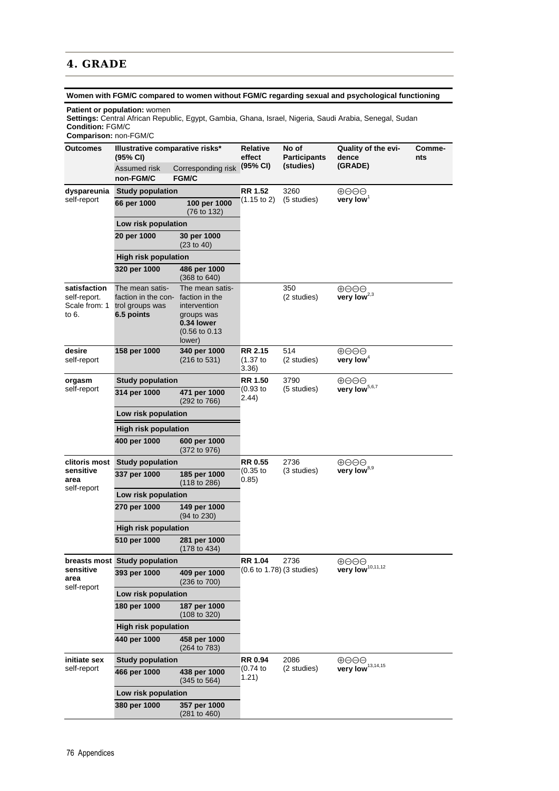#### **4. GRADE**

**Women with FGM/C compared to women without FGM/C regarding sexual and psychological functioning** 

#### **Patient or population:** women

**Settings:** Central African Republic, Egypt, Gambia, Ghana, Israel, Nigeria, Saudi Arabia, Senegal, Sudan **Condition:** FGM/C **Comparison:** non-FGM/C

| <b>Outcomes</b>                                        | Illustrative comparative risks*<br>$(95% \text{ Cl})$                   |                                                                                                                      | Relative<br>effect           | No of<br><b>Participants</b>         | Quality of the evi-<br>dence                           | Comme-<br>nts |
|--------------------------------------------------------|-------------------------------------------------------------------------|----------------------------------------------------------------------------------------------------------------------|------------------------------|--------------------------------------|--------------------------------------------------------|---------------|
|                                                        | Assumed risk<br>non-FGM/C                                               | Corresponding risk<br><b>FGM/C</b>                                                                                   | (95% CI)                     | (studies)                            | (GRADE)                                                |               |
| dyspareunia<br>self-report                             | <b>Study population</b>                                                 |                                                                                                                      | RR 1.52                      | 3260                                 | ⊕⊖⊖⊕                                                   |               |
|                                                        | 66 per 1000                                                             | 100 per 1000<br>(76 to 132)                                                                                          | $(1.15 \text{ to } 2)$       | (5 studies)                          | very low                                               |               |
|                                                        | Low risk population                                                     |                                                                                                                      |                              |                                      |                                                        |               |
|                                                        | 20 per 1000                                                             | 30 per 1000<br>(23 to 40)                                                                                            |                              |                                      |                                                        |               |
|                                                        | <b>High risk population</b>                                             |                                                                                                                      |                              |                                      |                                                        |               |
|                                                        | 320 per 1000                                                            | 486 per 1000<br>$(368 \text{ to } 640)$                                                                              |                              |                                      |                                                        |               |
| satisfaction<br>self-report.<br>Scale from: 1<br>to 6. | The mean satis-<br>faction in the con-<br>trol groups was<br>6.5 points | The mean satis-<br>faction in the<br>intervention<br>groups was<br>0.34 lower<br>$(0.56 \text{ to } 0.13)$<br>lower) |                              | 350<br>(2 studies)                   | ⊕⊖⊖⊖<br>very low $^{2,3}$                              |               |
| desire<br>self-report                                  | 158 per 1000                                                            | 340 per 1000<br>$(216 \text{ to } 531)$                                                                              | RR 2.15<br>(1.37 to<br>3.36) | 514<br>(2 studies)                   | ⊕⊖⊖⊕<br>very low <sup>4</sup>                          |               |
| orgasm                                                 | <b>Study population</b>                                                 |                                                                                                                      | <b>RR 1.50</b>               | 3790                                 | ⊕⊖⊖⊖                                                   |               |
| self-report                                            | 314 per 1000                                                            | 471 per 1000<br>(292 to 766)                                                                                         | (0.93 to<br>(2.44)           | (5 studies)                          | very $low^{5,6,7}$                                     |               |
|                                                        | Low risk population                                                     |                                                                                                                      |                              |                                      |                                                        |               |
|                                                        | <b>High risk population</b>                                             |                                                                                                                      |                              |                                      |                                                        |               |
|                                                        | 400 per 1000                                                            | 600 per 1000<br>(372 to 976)                                                                                         |                              |                                      |                                                        |               |
| clitoris most                                          | <b>Study population</b>                                                 |                                                                                                                      | <b>RR 0.55</b>               | 2736<br>(3 studies)                  | $\oplus$ ⊖⊖                                            |               |
| sensitive<br>area<br>self-report                       | 337 per 1000                                                            | 185 per 1000<br>(118 to 286)                                                                                         | $(0.35)$ to<br>0.85)         |                                      | very low $^{8,9}$                                      |               |
|                                                        | Low risk population                                                     |                                                                                                                      |                              |                                      |                                                        |               |
|                                                        | 270 per 1000<br>149 per 1000<br>$(94 \text{ to } 230)$                  |                                                                                                                      |                              |                                      |                                                        |               |
|                                                        | <b>High risk population</b>                                             |                                                                                                                      |                              |                                      |                                                        |               |
|                                                        | 510 per 1000                                                            | 281 per 1000<br>(178 to 434)                                                                                         |                              |                                      |                                                        |               |
| sensitive                                              | breasts most Study population                                           |                                                                                                                      | RR 1.04                      | 2736                                 | $\oplus$ $\ominus$ $\ominus$<br>very low $^{10,11,12}$ |               |
| area<br>self-report                                    | 409 per 1000<br>393 per 1000<br>(236 to 700)                            |                                                                                                                      |                              | $(0.6 \text{ to } 1.78)$ (3 studies) |                                                        |               |
|                                                        | Low risk population                                                     |                                                                                                                      |                              |                                      |                                                        |               |
|                                                        | 180 per 1000                                                            | 187 per 1000<br>(108 to 320)                                                                                         |                              |                                      |                                                        |               |
|                                                        | <b>High risk population</b>                                             |                                                                                                                      |                              |                                      |                                                        |               |
|                                                        | 440 per 1000                                                            | 458 per 1000<br>(264 to 783)                                                                                         |                              |                                      |                                                        |               |
| initiate sex                                           | <b>Study population</b>                                                 |                                                                                                                      | RR 0.94                      | 2086<br>(2 studies)                  | $\oplus$ $\ominus$ $\ominus$<br>very $low^{13,14,15}$  |               |
| self-report                                            | 466 per 1000                                                            | 438 per 1000<br>$(345 \text{ to } 564)$                                                                              | (0.74)<br>1.21)              |                                      |                                                        |               |
|                                                        | Low risk population                                                     |                                                                                                                      |                              |                                      |                                                        |               |
|                                                        | 380 per 1000                                                            | 357 per 1000<br>(281 to 460)                                                                                         |                              |                                      |                                                        |               |